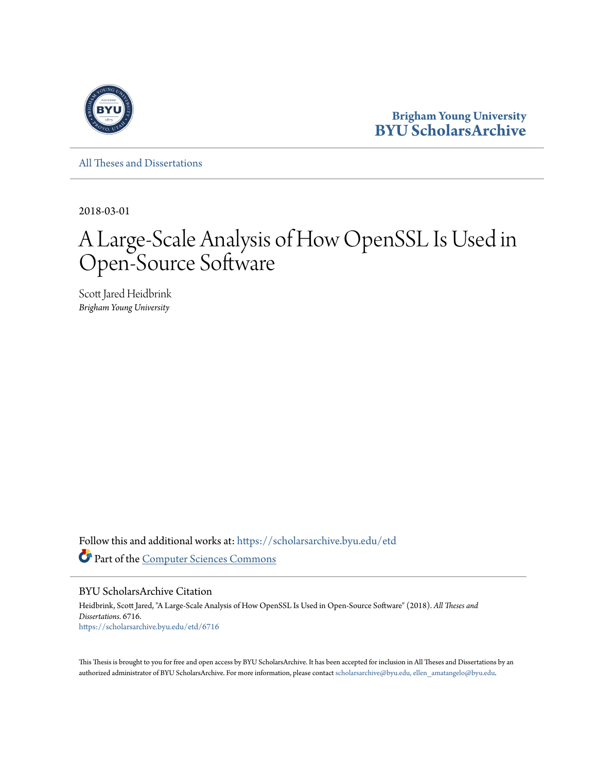

**Brigham Young University [BYU ScholarsArchive](https://scholarsarchive.byu.edu?utm_source=scholarsarchive.byu.edu%2Fetd%2F6716&utm_medium=PDF&utm_campaign=PDFCoverPages)**

[All Theses and Dissertations](https://scholarsarchive.byu.edu/etd?utm_source=scholarsarchive.byu.edu%2Fetd%2F6716&utm_medium=PDF&utm_campaign=PDFCoverPages)

2018-03-01

# A Large-Scale Analysis of How OpenSSL Is Used in Open-Source Software

Scott Jared Heidbrink *Brigham Young University*

Follow this and additional works at: [https://scholarsarchive.byu.edu/etd](https://scholarsarchive.byu.edu/etd?utm_source=scholarsarchive.byu.edu%2Fetd%2F6716&utm_medium=PDF&utm_campaign=PDFCoverPages) Part of the [Computer Sciences Commons](http://network.bepress.com/hgg/discipline/142?utm_source=scholarsarchive.byu.edu%2Fetd%2F6716&utm_medium=PDF&utm_campaign=PDFCoverPages)

BYU ScholarsArchive Citation

Heidbrink, Scott Jared, "A Large-Scale Analysis of How OpenSSL Is Used in Open-Source Software" (2018). *All Theses and Dissertations*. 6716. [https://scholarsarchive.byu.edu/etd/6716](https://scholarsarchive.byu.edu/etd/6716?utm_source=scholarsarchive.byu.edu%2Fetd%2F6716&utm_medium=PDF&utm_campaign=PDFCoverPages)

This Thesis is brought to you for free and open access by BYU ScholarsArchive. It has been accepted for inclusion in All Theses and Dissertations by an authorized administrator of BYU ScholarsArchive. For more information, please contact [scholarsarchive@byu.edu, ellen\\_amatangelo@byu.edu.](mailto:scholarsarchive@byu.edu,%20ellen_amatangelo@byu.edu)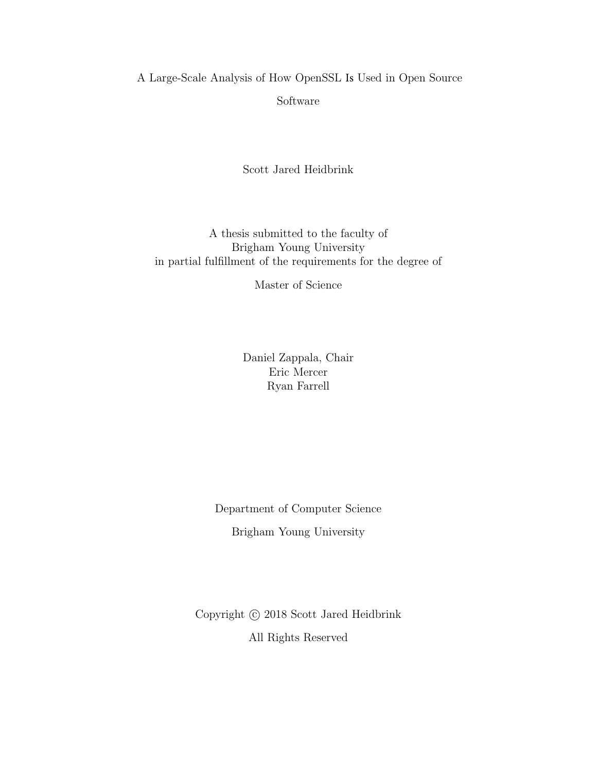A Large-Scale Analysis of How OpenSSL Is Used in Open Source Software

Scott Jared Heidbrink

A thesis submitted to the faculty of Brigham Young University in partial fulfillment of the requirements for the degree of

Master of Science

Daniel Zappala, Chair Eric Mercer Ryan Farrell

Department of Computer Science Brigham Young University

Copyright  $\odot$  2018 Scott Jared Heidbrink All Rights Reserved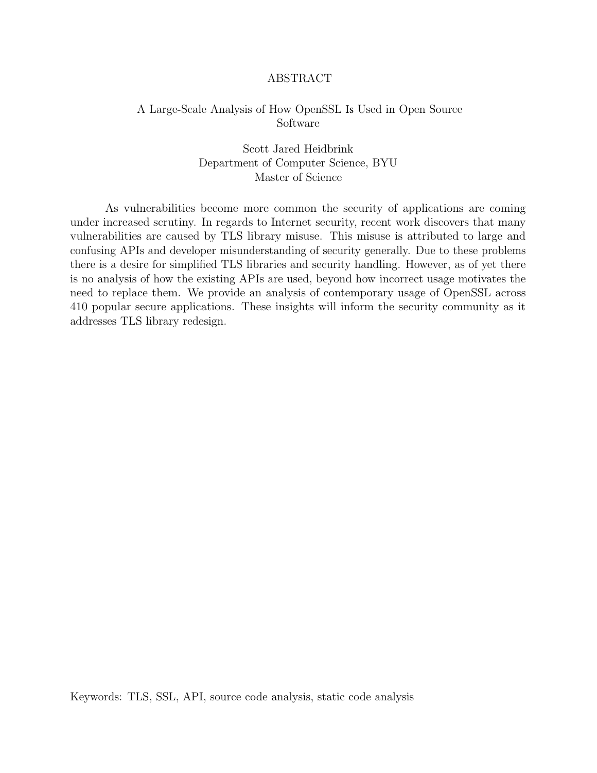#### ABSTRACT

# A Large-Scale Analysis of How OpenSSL Is Used in Open Source Software

# Scott Jared Heidbrink Department of Computer Science, BYU Master of Science

As vulnerabilities become more common the security of applications are coming under increased scrutiny. In regards to Internet security, recent work discovers that many vulnerabilities are caused by TLS library misuse. This misuse is attributed to large and confusing APIs and developer misunderstanding of security generally. Due to these problems there is a desire for simplified TLS libraries and security handling. However, as of yet there is no analysis of how the existing APIs are used, beyond how incorrect usage motivates the need to replace them. We provide an analysis of contemporary usage of OpenSSL across 410 popular secure applications. These insights will inform the security community as it addresses TLS library redesign.

Keywords: TLS, SSL, API, source code analysis, static code analysis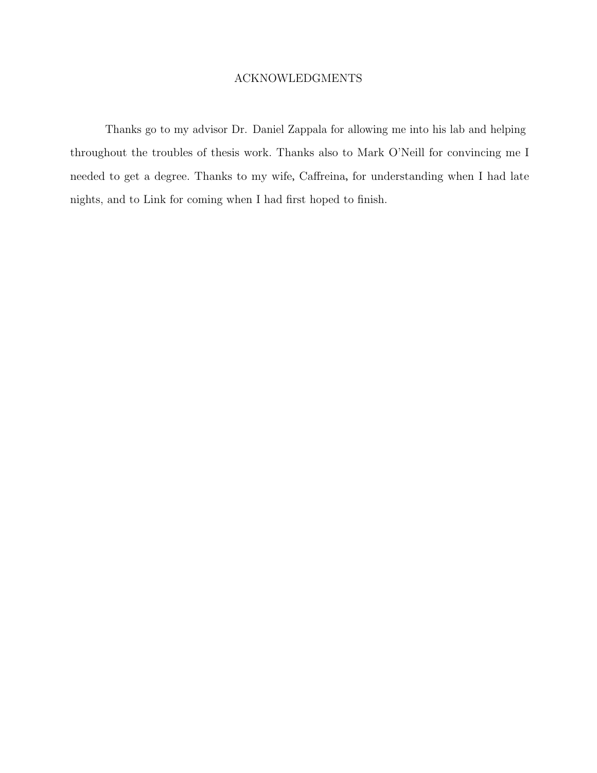## ACKNOWLEDGMENTS

Thanks go to my advisor Dr. Daniel Zappala for allowing me into his lab and helping throughout the troubles of thesis work. Thanks also to Mark O'Neill for convincing me I needed to get a degree. Thanks to my wife, Caffreina, for understanding when I had late nights, and to Link for coming when I had first hoped to finish.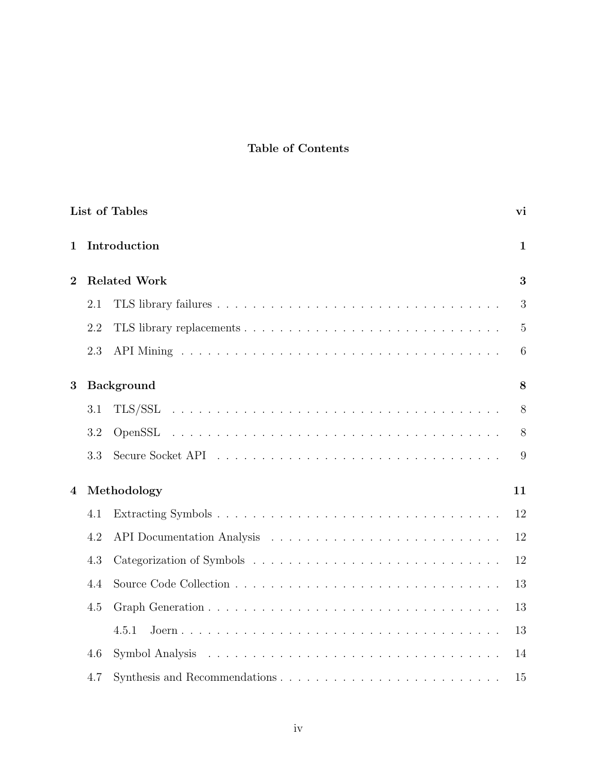# Table of Contents

| <b>List of Tables</b><br>vi |              |                     |                |  |  |
|-----------------------------|--------------|---------------------|----------------|--|--|
| $\mathbf{1}$                | Introduction |                     |                |  |  |
| $\overline{2}$              |              | <b>Related Work</b> |                |  |  |
|                             | 2.1          |                     | 3              |  |  |
|                             | 2.2          |                     | $\overline{5}$ |  |  |
|                             | 2.3          |                     | 6              |  |  |
| <b>Background</b><br>3      |              |                     | 8              |  |  |
|                             | 3.1          |                     | 8              |  |  |
|                             | 3.2          |                     | 8              |  |  |
|                             | 3.3          |                     | 9              |  |  |
| 4                           | Methodology  |                     |                |  |  |
|                             | 4.1          |                     | 12             |  |  |
|                             | 4.2          |                     | 12             |  |  |
|                             | 4.3          |                     | 12             |  |  |
|                             | 4.4          |                     | 13             |  |  |
|                             | 4.5          |                     | 13             |  |  |
|                             |              | 4.5.1               | 13             |  |  |
|                             | 4.6          |                     | 14             |  |  |
|                             | 4.7          |                     | 15             |  |  |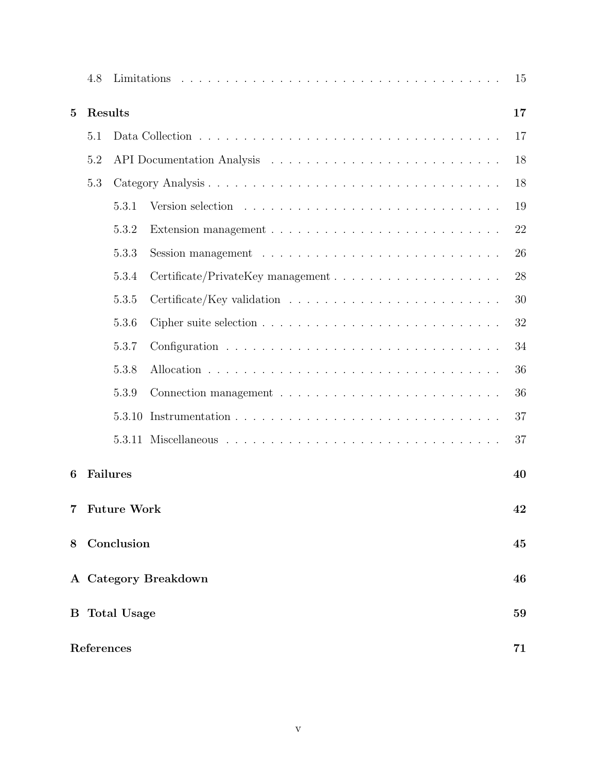|                           | 4.8                      |        |                                                                                        | 15 |  |
|---------------------------|--------------------------|--------|----------------------------------------------------------------------------------------|----|--|
| Results<br>$\overline{5}$ |                          |        |                                                                                        |    |  |
|                           | 5.1                      |        |                                                                                        |    |  |
|                           | 5.2                      |        |                                                                                        | 18 |  |
|                           | 5.3                      |        |                                                                                        | 18 |  |
|                           |                          | 5.3.1  |                                                                                        | 19 |  |
|                           |                          | 5.3.2  |                                                                                        | 22 |  |
|                           |                          | 5.3.3  |                                                                                        | 26 |  |
|                           |                          | 5.3.4  |                                                                                        | 28 |  |
|                           |                          | 5.3.5  |                                                                                        | 30 |  |
|                           |                          | 5.3.6  |                                                                                        | 32 |  |
|                           |                          | 5.3.7  |                                                                                        | 34 |  |
|                           |                          | 5.3.8  |                                                                                        | 36 |  |
|                           |                          | 5.3.9  | Connection management $\ldots \ldots \ldots \ldots \ldots \ldots \ldots \ldots \ldots$ | 36 |  |
|                           |                          | 5.3.10 |                                                                                        | 37 |  |
|                           |                          | 5.3.11 |                                                                                        | 37 |  |
| 6                         | <b>Failures</b>          |        |                                                                                        | 40 |  |
|                           | <b>Future Work</b><br>42 |        |                                                                                        |    |  |
| 8                         | Conclusion               |        |                                                                                        |    |  |
|                           | A Category Breakdown     |        |                                                                                        |    |  |
| $\mathbf{B}$              | <b>Total Usage</b>       |        |                                                                                        |    |  |
|                           | References               |        |                                                                                        |    |  |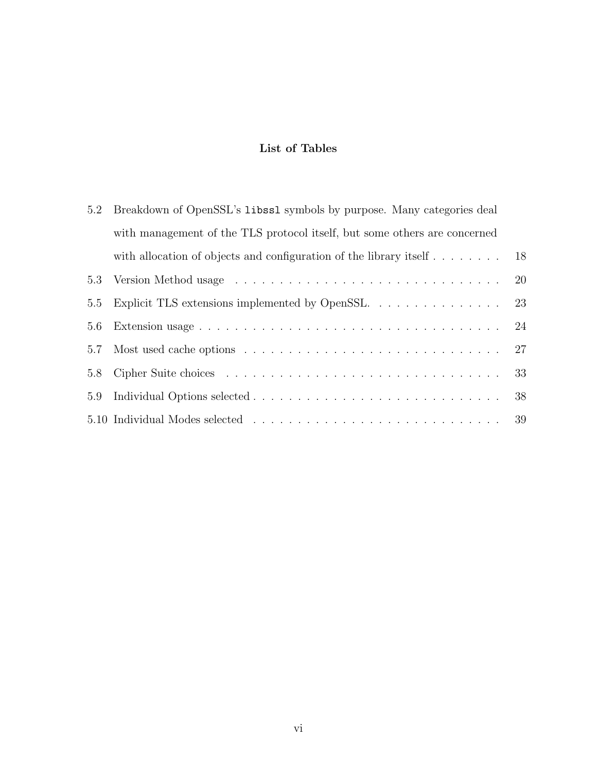# List of Tables

<span id="page-6-0"></span>

| 5.2 | Breakdown of OpenSSL's libssl symbols by purpose. Many categories deal           |    |  |  |
|-----|----------------------------------------------------------------------------------|----|--|--|
|     | with management of the TLS protocol itself, but some others are concerned        |    |  |  |
|     | with allocation of objects and configuration of the library itself $\dots \dots$ | 18 |  |  |
| 5.3 |                                                                                  | 20 |  |  |
| 5.5 | Explicit TLS extensions implemented by OpenSSL                                   | 23 |  |  |
| 5.6 |                                                                                  | 24 |  |  |
| 5.7 |                                                                                  | 27 |  |  |
| 5.8 |                                                                                  | 33 |  |  |
| 5.9 |                                                                                  | 38 |  |  |
|     |                                                                                  |    |  |  |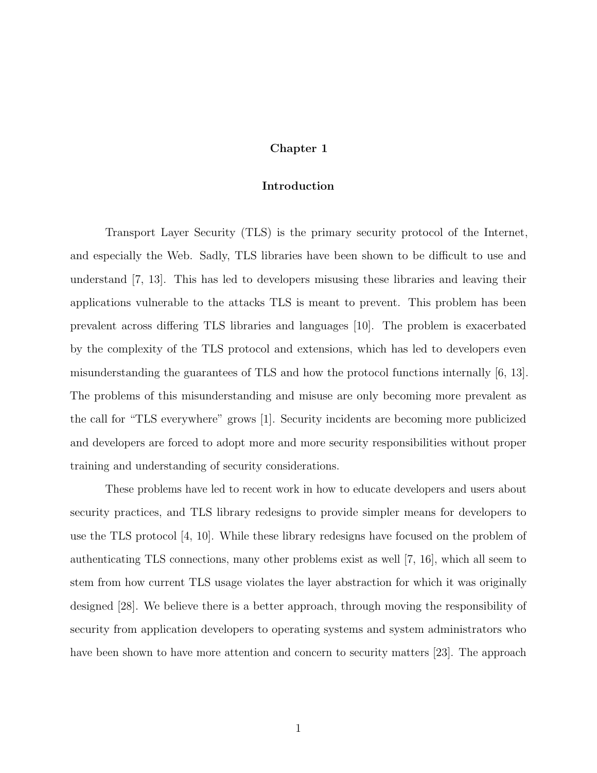#### Chapter 1

#### Introduction

<span id="page-7-0"></span>Transport Layer Security (TLS) is the primary security protocol of the Internet, and especially the Web. Sadly, TLS libraries have been shown to be difficult to use and understand [\[7,](#page-77-1) [13\]](#page-78-0). This has led to developers misusing these libraries and leaving their applications vulnerable to the attacks TLS is meant to prevent. This problem has been prevalent across differing TLS libraries and languages [\[10\]](#page-77-2). The problem is exacerbated by the complexity of the TLS protocol and extensions, which has led to developers even misunderstanding the guarantees of TLS and how the protocol functions internally [\[6,](#page-77-3) [13\]](#page-78-0). The problems of this misunderstanding and misuse are only becoming more prevalent as the call for "TLS everywhere" grows [\[1\]](#page-77-4). Security incidents are becoming more publicized and developers are forced to adopt more and more security responsibilities without proper training and understanding of security considerations.

These problems have led to recent work in how to educate developers and users about security practices, and TLS library redesigns to provide simpler means for developers to use the TLS protocol [\[4,](#page-77-5) [10\]](#page-77-2). While these library redesigns have focused on the problem of authenticating TLS connections, many other problems exist as well [\[7,](#page-77-1) [16\]](#page-78-1), which all seem to stem from how current TLS usage violates the layer abstraction for which it was originally designed [\[28\]](#page-79-0). We believe there is a better approach, through moving the responsibility of security from application developers to operating systems and system administrators who have been shown to have more attention and concern to security matters [\[23\]](#page-79-1). The approach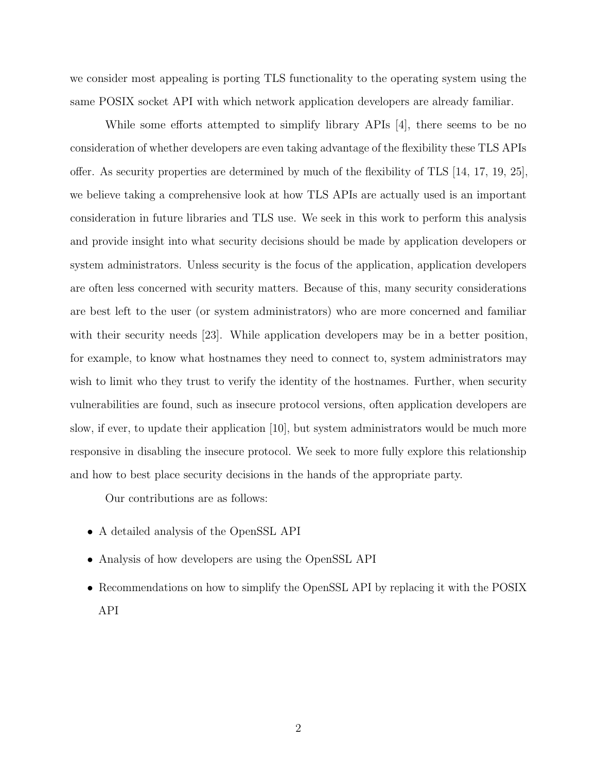we consider most appealing is porting TLS functionality to the operating system using the same POSIX socket API with which network application developers are already familiar.

While some efforts attempted to simplify library APIs [\[4\]](#page-77-5), there seems to be no consideration of whether developers are even taking advantage of the flexibility these TLS APIs offer. As security properties are determined by much of the flexibility of TLS [\[14,](#page-78-2) [17,](#page-78-3) [19,](#page-78-4) [25\]](#page-79-2), we believe taking a comprehensive look at how TLS APIs are actually used is an important consideration in future libraries and TLS use. We seek in this work to perform this analysis and provide insight into what security decisions should be made by application developers or system administrators. Unless security is the focus of the application, application developers are often less concerned with security matters. Because of this, many security considerations are best left to the user (or system administrators) who are more concerned and familiar with their security needs [\[23\]](#page-79-1). While application developers may be in a better position, for example, to know what hostnames they need to connect to, system administrators may wish to limit who they trust to verify the identity of the hostnames. Further, when security vulnerabilities are found, such as insecure protocol versions, often application developers are slow, if ever, to update their application [\[10\]](#page-77-2), but system administrators would be much more responsive in disabling the insecure protocol. We seek to more fully explore this relationship and how to best place security decisions in the hands of the appropriate party.

Our contributions are as follows:

- A detailed analysis of the OpenSSL API
- Analysis of how developers are using the OpenSSL API
- Recommendations on how to simplify the OpenSSL API by replacing it with the POSIX API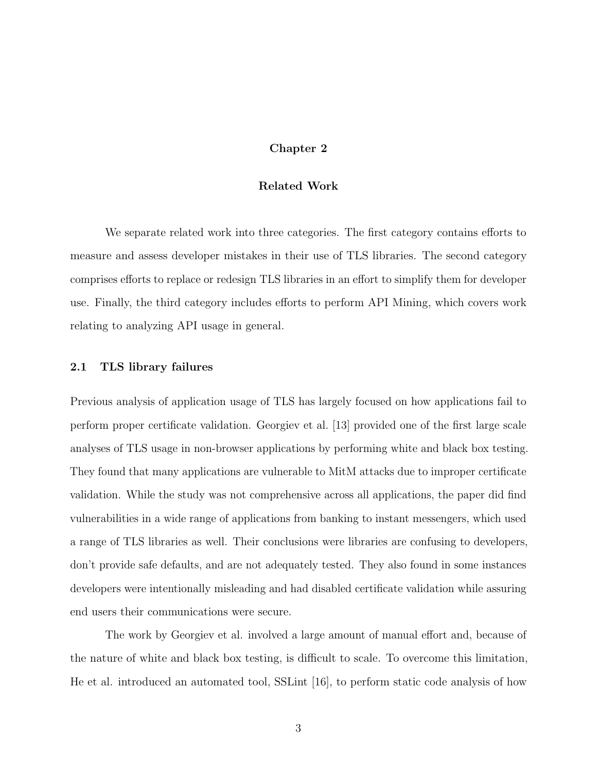#### Chapter 2

#### Related Work

<span id="page-9-0"></span>We separate related work into three categories. The first category contains efforts to measure and assess developer mistakes in their use of TLS libraries. The second category comprises efforts to replace or redesign TLS libraries in an effort to simplify them for developer use. Finally, the third category includes efforts to perform API Mining, which covers work relating to analyzing API usage in general.

#### <span id="page-9-1"></span>2.1 TLS library failures

Previous analysis of application usage of TLS has largely focused on how applications fail to perform proper certificate validation. Georgiev et al. [\[13\]](#page-78-0) provided one of the first large scale analyses of TLS usage in non-browser applications by performing white and black box testing. They found that many applications are vulnerable to MitM attacks due to improper certificate validation. While the study was not comprehensive across all applications, the paper did find vulnerabilities in a wide range of applications from banking to instant messengers, which used a range of TLS libraries as well. Their conclusions were libraries are confusing to developers, don't provide safe defaults, and are not adequately tested. They also found in some instances developers were intentionally misleading and had disabled certificate validation while assuring end users their communications were secure.

The work by Georgiev et al. involved a large amount of manual effort and, because of the nature of white and black box testing, is difficult to scale. To overcome this limitation, He et al. introduced an automated tool, SSLint [\[16\]](#page-78-1), to perform static code analysis of how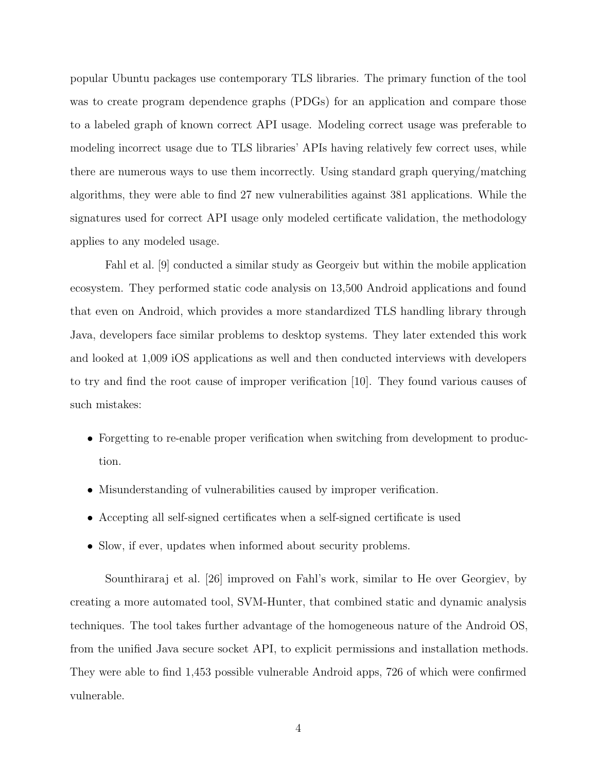popular Ubuntu packages use contemporary TLS libraries. The primary function of the tool was to create program dependence graphs (PDGs) for an application and compare those to a labeled graph of known correct API usage. Modeling correct usage was preferable to modeling incorrect usage due to TLS libraries' APIs having relatively few correct uses, while there are numerous ways to use them incorrectly. Using standard graph querying/matching algorithms, they were able to find 27 new vulnerabilities against 381 applications. While the signatures used for correct API usage only modeled certificate validation, the methodology applies to any modeled usage.

Fahl et al. [\[9\]](#page-77-6) conducted a similar study as Georgeiv but within the mobile application ecosystem. They performed static code analysis on 13,500 Android applications and found that even on Android, which provides a more standardized TLS handling library through Java, developers face similar problems to desktop systems. They later extended this work and looked at 1,009 iOS applications as well and then conducted interviews with developers to try and find the root cause of improper verification [\[10\]](#page-77-2). They found various causes of such mistakes:

- Forgetting to re-enable proper verification when switching from development to production.
- Misunderstanding of vulnerabilities caused by improper verification.
- Accepting all self-signed certificates when a self-signed certificate is used
- Slow, if ever, updates when informed about security problems.

Sounthiraraj et al. [\[26\]](#page-79-3) improved on Fahl's work, similar to He over Georgiev, by creating a more automated tool, SVM-Hunter, that combined static and dynamic analysis techniques. The tool takes further advantage of the homogeneous nature of the Android OS, from the unified Java secure socket API, to explicit permissions and installation methods. They were able to find 1,453 possible vulnerable Android apps, 726 of which were confirmed vulnerable.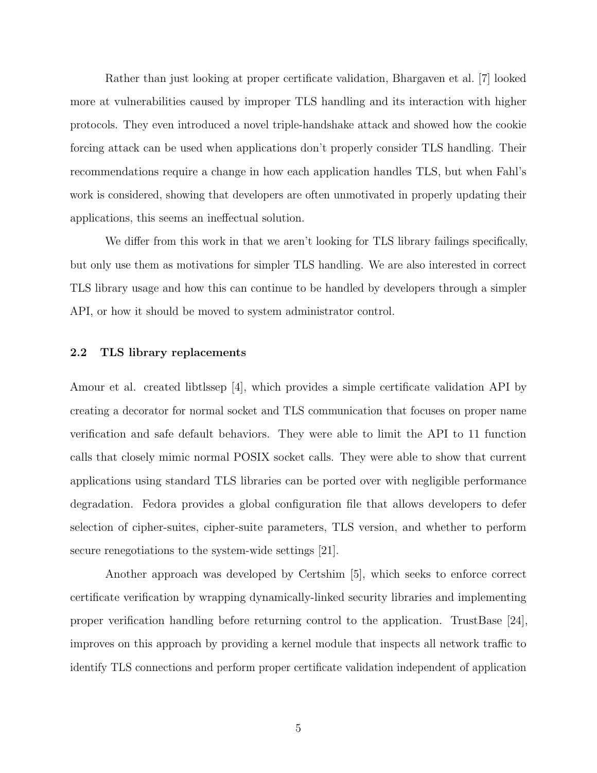Rather than just looking at proper certificate validation, Bhargaven et al. [\[7\]](#page-77-1) looked more at vulnerabilities caused by improper TLS handling and its interaction with higher protocols. They even introduced a novel triple-handshake attack and showed how the cookie forcing attack can be used when applications don't properly consider TLS handling. Their recommendations require a change in how each application handles TLS, but when Fahl's work is considered, showing that developers are often unmotivated in properly updating their applications, this seems an ineffectual solution.

We differ from this work in that we aren't looking for TLS library failings specifically, but only use them as motivations for simpler TLS handling. We are also interested in correct TLS library usage and how this can continue to be handled by developers through a simpler API, or how it should be moved to system administrator control.

#### <span id="page-11-0"></span>2.2 TLS library replacements

Amour et al. created libtlssep [\[4\]](#page-77-5), which provides a simple certificate validation API by creating a decorator for normal socket and TLS communication that focuses on proper name verification and safe default behaviors. They were able to limit the API to 11 function calls that closely mimic normal POSIX socket calls. They were able to show that current applications using standard TLS libraries can be ported over with negligible performance degradation. Fedora provides a global configuration file that allows developers to defer selection of cipher-suites, cipher-suite parameters, TLS version, and whether to perform secure renegotiations to the system-wide settings [\[21\]](#page-78-5).

Another approach was developed by Certshim [\[5\]](#page-77-7), which seeks to enforce correct certificate verification by wrapping dynamically-linked security libraries and implementing proper verification handling before returning control to the application. TrustBase [\[24\]](#page-79-4), improves on this approach by providing a kernel module that inspects all network traffic to identify TLS connections and perform proper certificate validation independent of application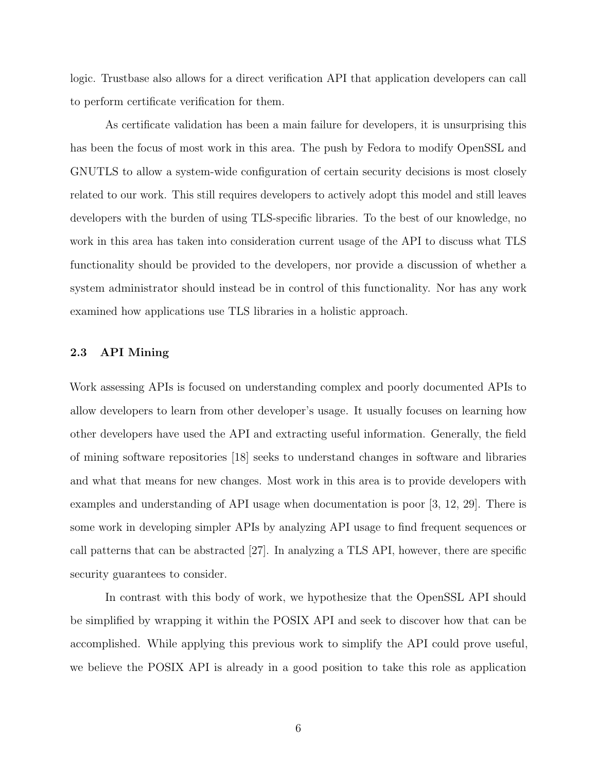logic. Trustbase also allows for a direct verification API that application developers can call to perform certificate verification for them.

As certificate validation has been a main failure for developers, it is unsurprising this has been the focus of most work in this area. The push by Fedora to modify OpenSSL and GNUTLS to allow a system-wide configuration of certain security decisions is most closely related to our work. This still requires developers to actively adopt this model and still leaves developers with the burden of using TLS-specific libraries. To the best of our knowledge, no work in this area has taken into consideration current usage of the API to discuss what TLS functionality should be provided to the developers, nor provide a discussion of whether a system administrator should instead be in control of this functionality. Nor has any work examined how applications use TLS libraries in a holistic approach.

#### <span id="page-12-0"></span>2.3 API Mining

Work assessing APIs is focused on understanding complex and poorly documented APIs to allow developers to learn from other developer's usage. It usually focuses on learning how other developers have used the API and extracting useful information. Generally, the field of mining software repositories [\[18\]](#page-78-6) seeks to understand changes in software and libraries and what that means for new changes. Most work in this area is to provide developers with examples and understanding of API usage when documentation is poor [\[3,](#page-77-8) [12,](#page-78-7) [29\]](#page-79-5). There is some work in developing simpler APIs by analyzing API usage to find frequent sequences or call patterns that can be abstracted [\[27\]](#page-79-6). In analyzing a TLS API, however, there are specific security guarantees to consider.

In contrast with this body of work, we hypothesize that the OpenSSL API should be simplified by wrapping it within the POSIX API and seek to discover how that can be accomplished. While applying this previous work to simplify the API could prove useful, we believe the POSIX API is already in a good position to take this role as application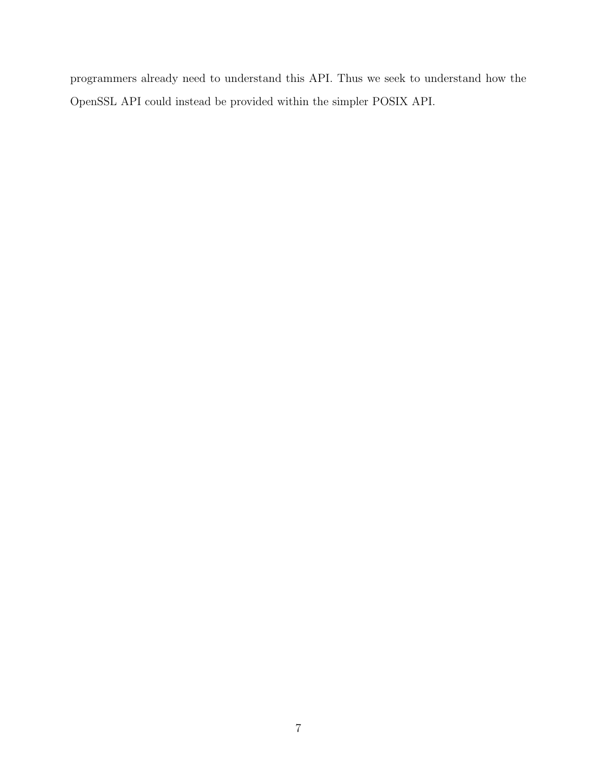programmers already need to understand this API. Thus we seek to understand how the OpenSSL API could instead be provided within the simpler POSIX API.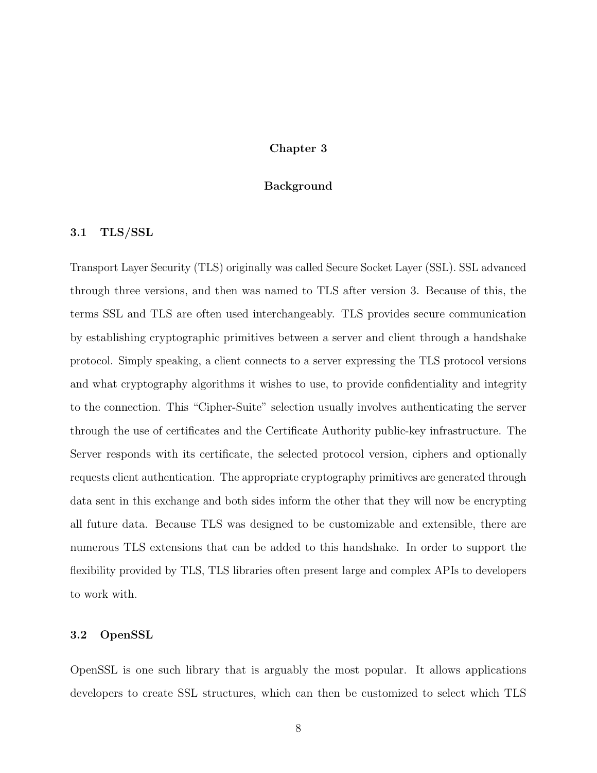#### Chapter 3

#### Background

#### <span id="page-14-1"></span><span id="page-14-0"></span>3.1 TLS/SSL

Transport Layer Security (TLS) originally was called Secure Socket Layer (SSL). SSL advanced through three versions, and then was named to TLS after version 3. Because of this, the terms SSL and TLS are often used interchangeably. TLS provides secure communication by establishing cryptographic primitives between a server and client through a handshake protocol. Simply speaking, a client connects to a server expressing the TLS protocol versions and what cryptography algorithms it wishes to use, to provide confidentiality and integrity to the connection. This "Cipher-Suite" selection usually involves authenticating the server through the use of certificates and the Certificate Authority public-key infrastructure. The Server responds with its certificate, the selected protocol version, ciphers and optionally requests client authentication. The appropriate cryptography primitives are generated through data sent in this exchange and both sides inform the other that they will now be encrypting all future data. Because TLS was designed to be customizable and extensible, there are numerous TLS extensions that can be added to this handshake. In order to support the flexibility provided by TLS, TLS libraries often present large and complex APIs to developers to work with.

#### <span id="page-14-2"></span>3.2 OpenSSL

OpenSSL is one such library that is arguably the most popular. It allows applications developers to create SSL structures, which can then be customized to select which TLS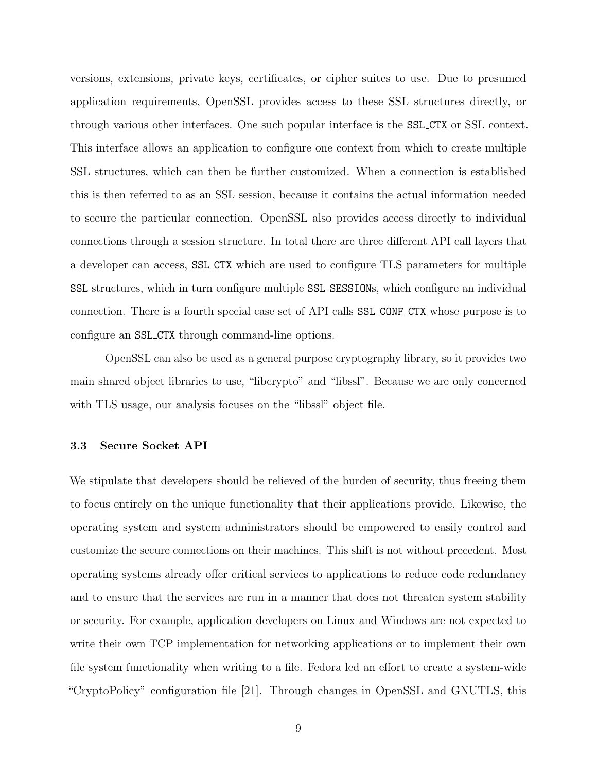versions, extensions, private keys, certificates, or cipher suites to use. Due to presumed application requirements, OpenSSL provides access to these SSL structures directly, or through various other interfaces. One such popular interface is the SSL CTX or SSL context. This interface allows an application to configure one context from which to create multiple SSL structures, which can then be further customized. When a connection is established this is then referred to as an SSL session, because it contains the actual information needed to secure the particular connection. OpenSSL also provides access directly to individual connections through a session structure. In total there are three different API call layers that a developer can access, SSL CTX which are used to configure TLS parameters for multiple SSL structures, which in turn configure multiple SSL SESSIONs, which configure an individual connection. There is a fourth special case set of API calls SSL CONF CTX whose purpose is to configure an SSL CTX through command-line options.

OpenSSL can also be used as a general purpose cryptography library, so it provides two main shared object libraries to use, "libcrypto" and "libssl". Because we are only concerned with TLS usage, our analysis focuses on the "libssl" object file.

#### <span id="page-15-0"></span>3.3 Secure Socket API

We stipulate that developers should be relieved of the burden of security, thus freeing them to focus entirely on the unique functionality that their applications provide. Likewise, the operating system and system administrators should be empowered to easily control and customize the secure connections on their machines. This shift is not without precedent. Most operating systems already offer critical services to applications to reduce code redundancy and to ensure that the services are run in a manner that does not threaten system stability or security. For example, application developers on Linux and Windows are not expected to write their own TCP implementation for networking applications or to implement their own file system functionality when writing to a file. Fedora led an effort to create a system-wide "CryptoPolicy" configuration file [\[21\]](#page-78-5). Through changes in OpenSSL and GNUTLS, this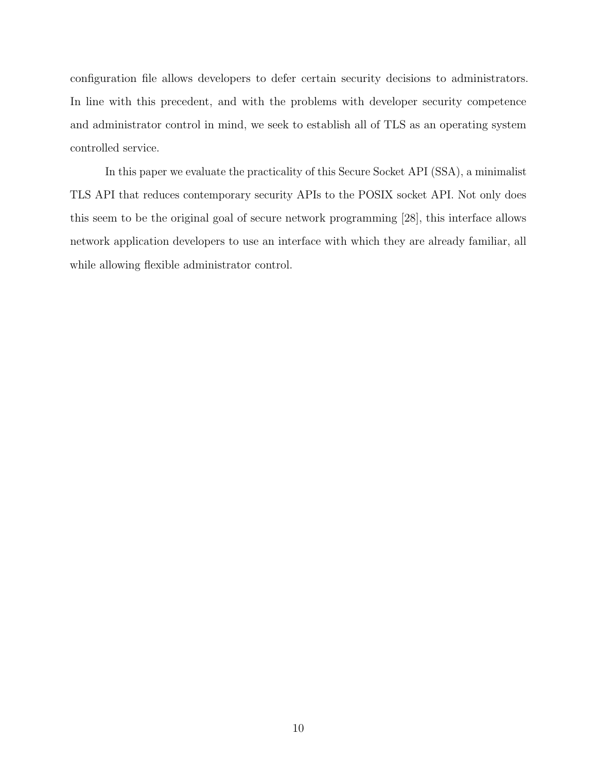configuration file allows developers to defer certain security decisions to administrators. In line with this precedent, and with the problems with developer security competence and administrator control in mind, we seek to establish all of TLS as an operating system controlled service.

In this paper we evaluate the practicality of this Secure Socket API (SSA), a minimalist TLS API that reduces contemporary security APIs to the POSIX socket API. Not only does this seem to be the original goal of secure network programming [\[28\]](#page-79-0), this interface allows network application developers to use an interface with which they are already familiar, all while allowing flexible administrator control.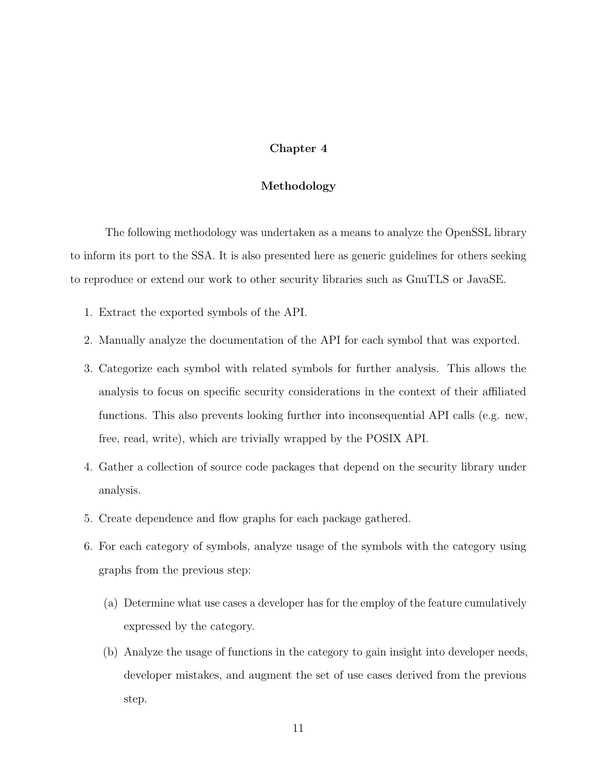#### Chapter 4

#### Methodology

<span id="page-17-0"></span>The following methodology was undertaken as a means to analyze the OpenSSL library to inform its port to the SSA. It is also presented here as generic guidelines for others seeking to reproduce or extend our work to other security libraries such as GnuTLS or JavaSE.

- 1. Extract the exported symbols of the API.
- 2. Manually analyze the documentation of the API for each symbol that was exported.
- 3. Categorize each symbol with related symbols for further analysis. This allows the analysis to focus on specific security considerations in the context of their affiliated functions. This also prevents looking further into inconsequential API calls (e.g. new, free, read, write), which are trivially wrapped by the POSIX API.
- 4. Gather a collection of source code packages that depend on the security library under analysis.
- 5. Create dependence and flow graphs for each package gathered.
- 6. For each category of symbols, analyze usage of the symbols with the category using graphs from the previous step:
	- (a) Determine what use cases a developer has for the employ of the feature cumulatively expressed by the category.
	- (b) Analyze the usage of functions in the category to gain insight into developer needs, developer mistakes, and augment the set of use cases derived from the previous step.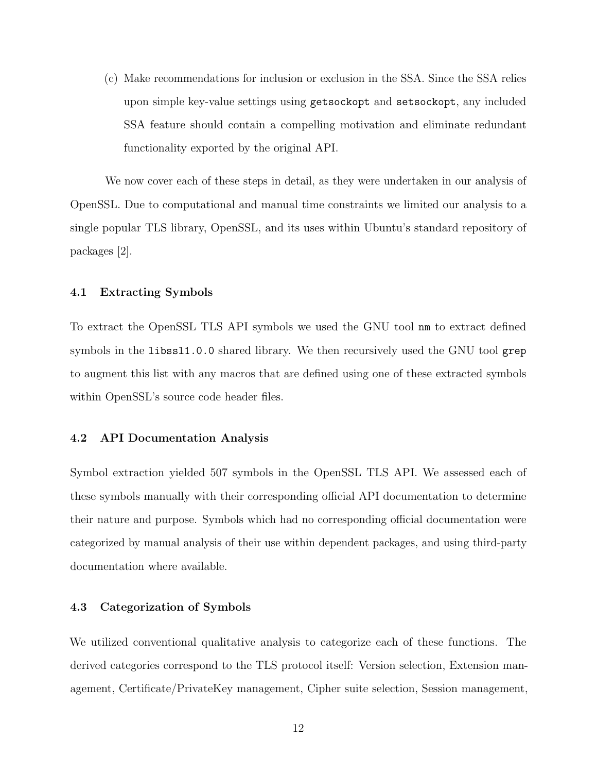(c) Make recommendations for inclusion or exclusion in the SSA. Since the SSA relies upon simple key-value settings using getsockopt and setsockopt, any included SSA feature should contain a compelling motivation and eliminate redundant functionality exported by the original API.

We now cover each of these steps in detail, as they were undertaken in our analysis of OpenSSL. Due to computational and manual time constraints we limited our analysis to a single popular TLS library, OpenSSL, and its uses within Ubuntu's standard repository of packages [\[2\]](#page-77-9).

#### <span id="page-18-0"></span>4.1 Extracting Symbols

To extract the OpenSSL TLS API symbols we used the GNU tool nm to extract defined symbols in the libssl1.0.0 shared library. We then recursively used the GNU tool grep to augment this list with any macros that are defined using one of these extracted symbols within OpenSSL's source code header files.

#### <span id="page-18-1"></span>4.2 API Documentation Analysis

Symbol extraction yielded 507 symbols in the OpenSSL TLS API. We assessed each of these symbols manually with their corresponding official API documentation to determine their nature and purpose. Symbols which had no corresponding official documentation were categorized by manual analysis of their use within dependent packages, and using third-party documentation where available.

#### <span id="page-18-2"></span>4.3 Categorization of Symbols

We utilized conventional qualitative analysis to categorize each of these functions. The derived categories correspond to the TLS protocol itself: Version selection, Extension management, Certificate/PrivateKey management, Cipher suite selection, Session management,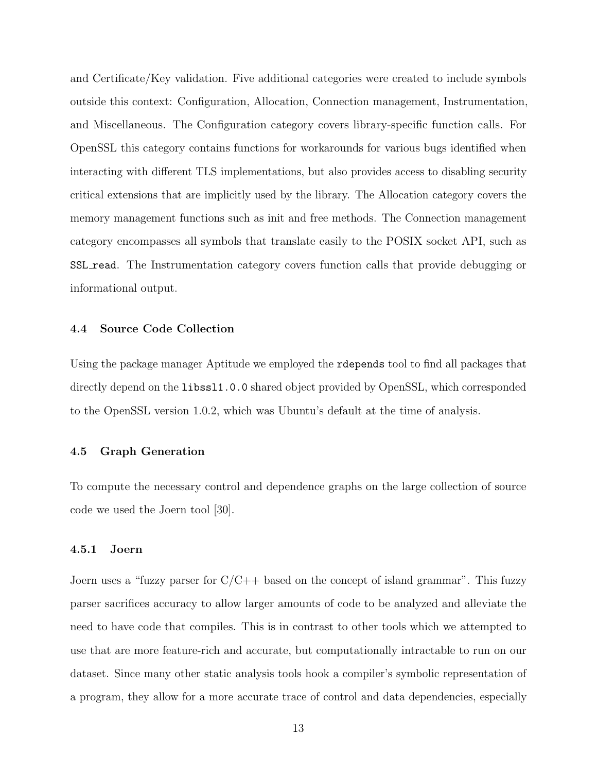and Certificate/Key validation. Five additional categories were created to include symbols outside this context: Configuration, Allocation, Connection management, Instrumentation, and Miscellaneous. The Configuration category covers library-specific function calls. For OpenSSL this category contains functions for workarounds for various bugs identified when interacting with different TLS implementations, but also provides access to disabling security critical extensions that are implicitly used by the library. The Allocation category covers the memory management functions such as init and free methods. The Connection management category encompasses all symbols that translate easily to the POSIX socket API, such as SSL read. The Instrumentation category covers function calls that provide debugging or informational output.

#### <span id="page-19-0"></span>4.4 Source Code Collection

Using the package manager Aptitude we employed the rdepends tool to find all packages that directly depend on the **libssl1.0.0** shared object provided by OpenSSL, which corresponded to the OpenSSL version 1.0.2, which was Ubuntu's default at the time of analysis.

#### <span id="page-19-1"></span>4.5 Graph Generation

To compute the necessary control and dependence graphs on the large collection of source code we used the Joern tool [\[30\]](#page-79-7).

#### <span id="page-19-2"></span>4.5.1 Joern

Joern uses a "fuzzy parser for  $C/C++$  based on the concept of island grammar". This fuzzy parser sacrifices accuracy to allow larger amounts of code to be analyzed and alleviate the need to have code that compiles. This is in contrast to other tools which we attempted to use that are more feature-rich and accurate, but computationally intractable to run on our dataset. Since many other static analysis tools hook a compiler's symbolic representation of a program, they allow for a more accurate trace of control and data dependencies, especially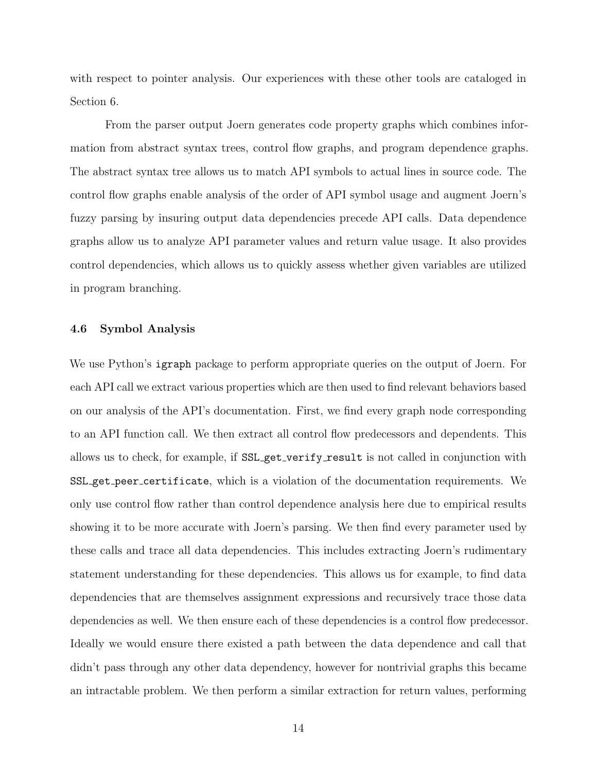with respect to pointer analysis. Our experiences with these other tools are cataloged in Section [6.](#page-46-0)

From the parser output Joern generates code property graphs which combines information from abstract syntax trees, control flow graphs, and program dependence graphs. The abstract syntax tree allows us to match API symbols to actual lines in source code. The control flow graphs enable analysis of the order of API symbol usage and augment Joern's fuzzy parsing by insuring output data dependencies precede API calls. Data dependence graphs allow us to analyze API parameter values and return value usage. It also provides control dependencies, which allows us to quickly assess whether given variables are utilized in program branching.

#### <span id="page-20-0"></span>4.6 Symbol Analysis

We use Python's igraph package to perform appropriate queries on the output of Joern. For each API call we extract various properties which are then used to find relevant behaviors based on our analysis of the API's documentation. First, we find every graph node corresponding to an API function call. We then extract all control flow predecessors and dependents. This allows us to check, for example, if SSL get verify result is not called in conjunction with SSL get peer certificate, which is a violation of the documentation requirements. We only use control flow rather than control dependence analysis here due to empirical results showing it to be more accurate with Joern's parsing. We then find every parameter used by these calls and trace all data dependencies. This includes extracting Joern's rudimentary statement understanding for these dependencies. This allows us for example, to find data dependencies that are themselves assignment expressions and recursively trace those data dependencies as well. We then ensure each of these dependencies is a control flow predecessor. Ideally we would ensure there existed a path between the data dependence and call that didn't pass through any other data dependency, however for nontrivial graphs this became an intractable problem. We then perform a similar extraction for return values, performing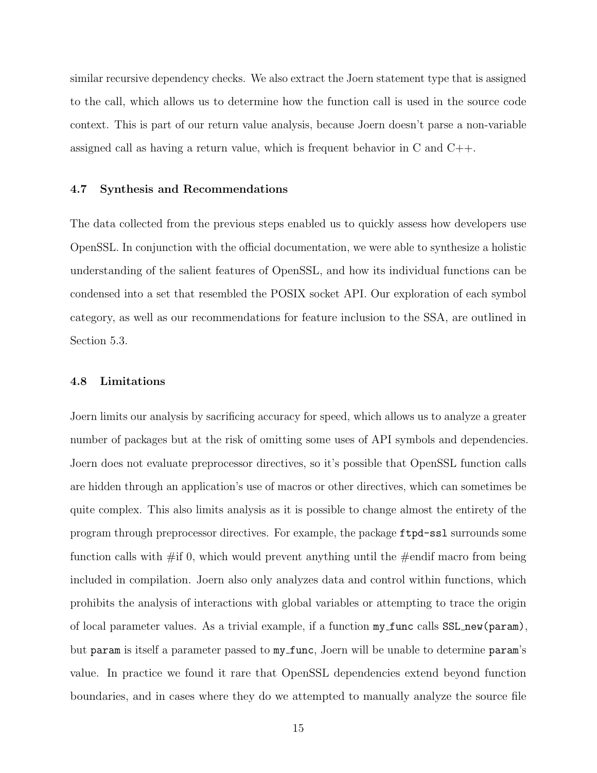similar recursive dependency checks. We also extract the Joern statement type that is assigned to the call, which allows us to determine how the function call is used in the source code context. This is part of our return value analysis, because Joern doesn't parse a non-variable assigned call as having a return value, which is frequent behavior in C and C++.

#### <span id="page-21-0"></span>4.7 Synthesis and Recommendations

The data collected from the previous steps enabled us to quickly assess how developers use OpenSSL. In conjunction with the official documentation, we were able to synthesize a holistic understanding of the salient features of OpenSSL, and how its individual functions can be condensed into a set that resembled the POSIX socket API. Our exploration of each symbol category, as well as our recommendations for feature inclusion to the SSA, are outlined in Section [5.3.](#page-24-1)

#### <span id="page-21-1"></span>4.8 Limitations

Joern limits our analysis by sacrificing accuracy for speed, which allows us to analyze a greater number of packages but at the risk of omitting some uses of API symbols and dependencies. Joern does not evaluate preprocessor directives, so it's possible that OpenSSL function calls are hidden through an application's use of macros or other directives, which can sometimes be quite complex. This also limits analysis as it is possible to change almost the entirety of the program through preprocessor directives. For example, the package ftpd-ssl surrounds some function calls with  $\#\text{if } 0$ , which would prevent anything until the  $\#\text{endif}$  macro from being included in compilation. Joern also only analyzes data and control within functions, which prohibits the analysis of interactions with global variables or attempting to trace the origin of local parameter values. As a trivial example, if a function my func calls SSL new(param), but param is itself a parameter passed to my func, Joern will be unable to determine param's value. In practice we found it rare that OpenSSL dependencies extend beyond function boundaries, and in cases where they do we attempted to manually analyze the source file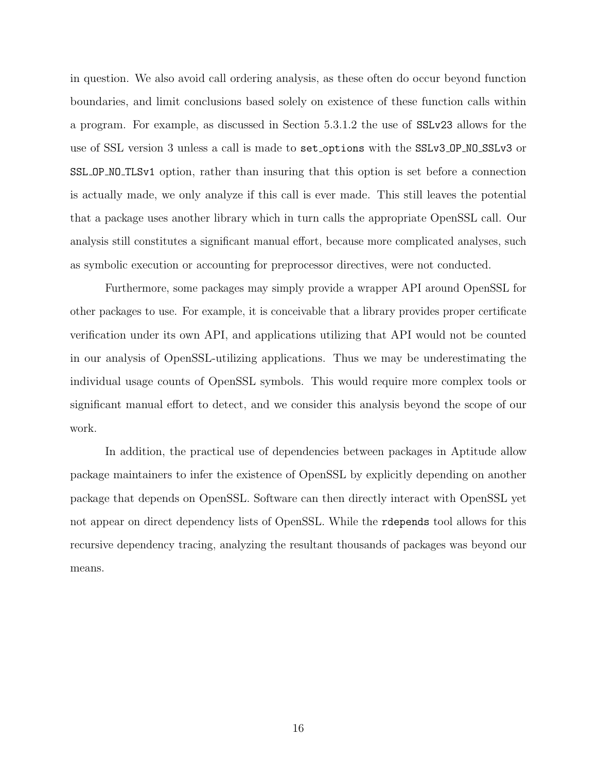in question. We also avoid call ordering analysis, as these often do occur beyond function boundaries, and limit conclusions based solely on existence of these function calls within a program. For example, as discussed in Section [5.3.1.2](#page-26-1) the use of SSLv23 allows for the use of SSL version 3 unless a call is made to set options with the SSLv3 OP NO SSLv3 or SSL OP NO TLSv1 option, rather than insuring that this option is set before a connection is actually made, we only analyze if this call is ever made. This still leaves the potential that a package uses another library which in turn calls the appropriate OpenSSL call. Our analysis still constitutes a significant manual effort, because more complicated analyses, such as symbolic execution or accounting for preprocessor directives, were not conducted.

Furthermore, some packages may simply provide a wrapper API around OpenSSL for other packages to use. For example, it is conceivable that a library provides proper certificate verification under its own API, and applications utilizing that API would not be counted in our analysis of OpenSSL-utilizing applications. Thus we may be underestimating the individual usage counts of OpenSSL symbols. This would require more complex tools or significant manual effort to detect, and we consider this analysis beyond the scope of our work.

In addition, the practical use of dependencies between packages in Aptitude allow package maintainers to infer the existence of OpenSSL by explicitly depending on another package that depends on OpenSSL. Software can then directly interact with OpenSSL yet not appear on direct dependency lists of OpenSSL. While the rdepends tool allows for this recursive dependency tracing, analyzing the resultant thousands of packages was beyond our means.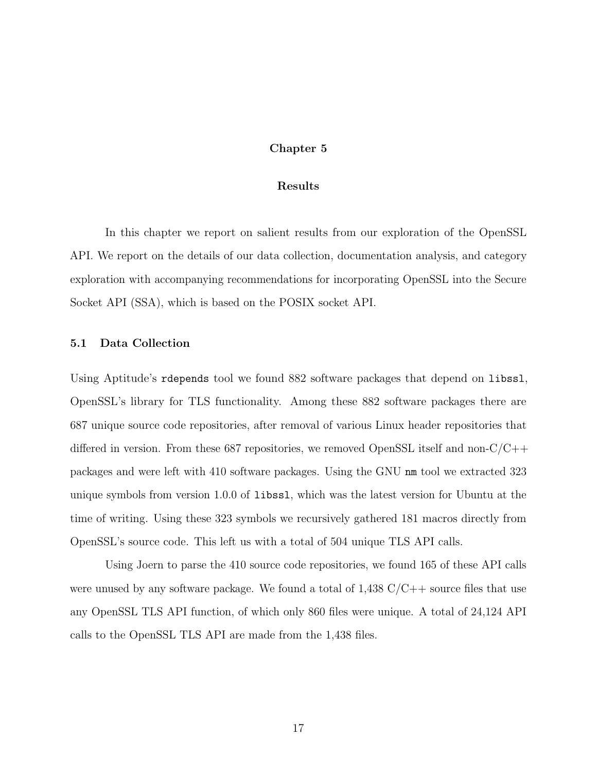#### Chapter 5

#### Results

<span id="page-23-0"></span>In this chapter we report on salient results from our exploration of the OpenSSL API. We report on the details of our data collection, documentation analysis, and category exploration with accompanying recommendations for incorporating OpenSSL into the Secure Socket API (SSA), which is based on the POSIX socket API.

## <span id="page-23-1"></span>5.1 Data Collection

Using Aptitude's rdepends tool we found 882 software packages that depend on libssl, OpenSSL's library for TLS functionality. Among these 882 software packages there are 687 unique source code repositories, after removal of various Linux header repositories that differed in version. From these 687 repositories, we removed OpenSSL itself and non-C/C++ packages and were left with 410 software packages. Using the GNU nm tool we extracted 323 unique symbols from version 1.0.0 of libssl, which was the latest version for Ubuntu at the time of writing. Using these 323 symbols we recursively gathered 181 macros directly from OpenSSL's source code. This left us with a total of 504 unique TLS API calls.

Using Joern to parse the 410 source code repositories, we found 165 of these API calls were unused by any software package. We found a total of  $1,438$  C/C++ source files that use any OpenSSL TLS API function, of which only 860 files were unique. A total of 24,124 API calls to the OpenSSL TLS API are made from the 1,438 files.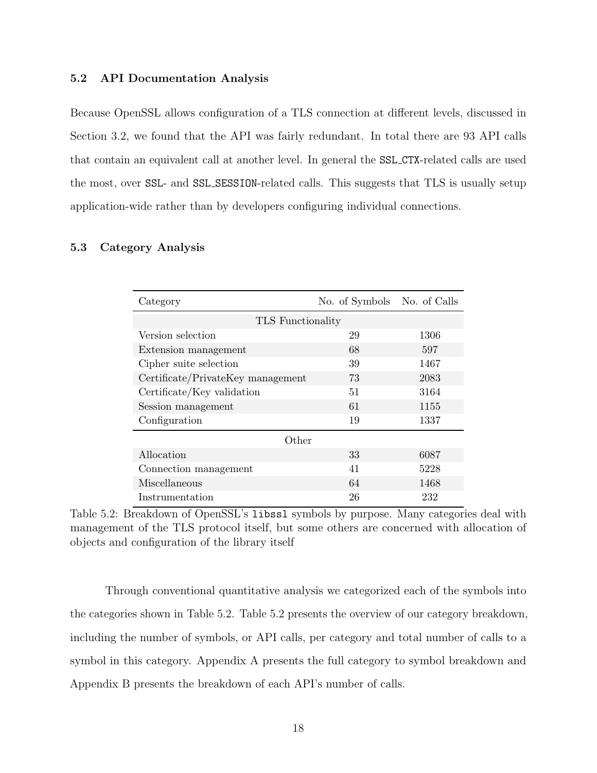#### <span id="page-24-0"></span>5.2 API Documentation Analysis

Because OpenSSL allows configuration of a TLS connection at different levels, discussed in Section [3.2,](#page-14-2) we found that the API was fairly redundant. In total there are 93 API calls that contain an equivalent call at another level. In general the SSL CTX-related calls are used the most, over SSL- and SSL SESSION-related calls. This suggests that TLS is usually setup application-wide rather than by developers configuring individual connections.

### <span id="page-24-2"></span><span id="page-24-1"></span>5.3 Category Analysis

| Category                          | No. of Symbols No. of Calls |      |  |  |  |
|-----------------------------------|-----------------------------|------|--|--|--|
| <b>TLS</b> Functionality          |                             |      |  |  |  |
| Version selection                 | 29                          | 1306 |  |  |  |
| Extension management              | 68                          | 597  |  |  |  |
| Cipher suite selection            | 39                          | 1467 |  |  |  |
| Certificate/PrivateKey management | 73                          | 2083 |  |  |  |
| Certificate/Key validation        | 51                          | 3164 |  |  |  |
| Session management                | 61                          | 1155 |  |  |  |
| Configuration                     | 19                          | 1337 |  |  |  |
| Other                             |                             |      |  |  |  |
| Allocation                        | 33                          | 6087 |  |  |  |
| Connection management             | 41                          | 5228 |  |  |  |
| Miscellaneous                     | 64                          | 1468 |  |  |  |
| Instrumentation                   | 26                          | 232  |  |  |  |

Table 5.2: Breakdown of OpenSSL's libssl symbols by purpose. Many categories deal with management of the TLS protocol itself, but some others are concerned with allocation of objects and configuration of the library itself

Through conventional quantitative analysis we categorized each of the symbols into the categories shown in Table [5.2.](#page-24-2) Table [5.2](#page-24-2) presents the overview of our category breakdown, including the number of symbols, or API calls, per category and total number of calls to a symbol in this category. Appendix [A](#page-52-0) presents the full category to symbol breakdown and Appendix [B](#page-65-0) presents the breakdown of each API's number of calls.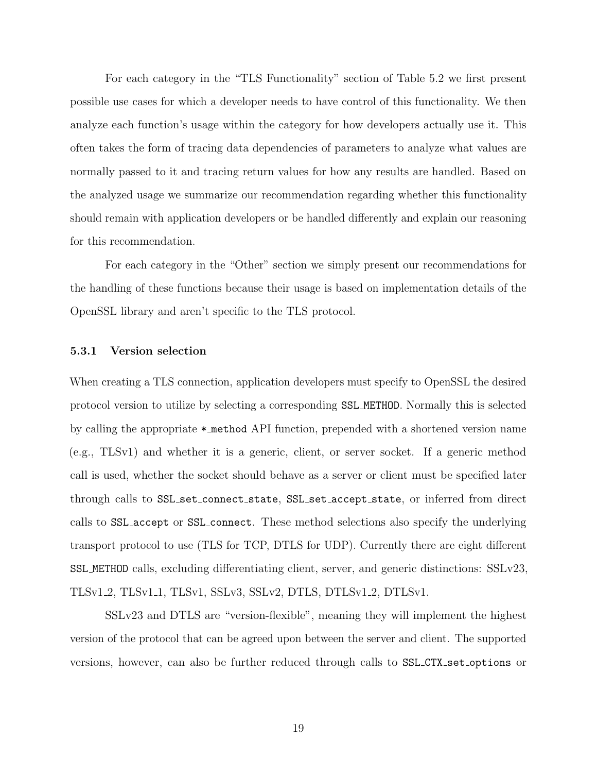For each category in the "TLS Functionality" section of Table [5.2](#page-24-2) we first present possible use cases for which a developer needs to have control of this functionality. We then analyze each function's usage within the category for how developers actually use it. This often takes the form of tracing data dependencies of parameters to analyze what values are normally passed to it and tracing return values for how any results are handled. Based on the analyzed usage we summarize our recommendation regarding whether this functionality should remain with application developers or be handled differently and explain our reasoning for this recommendation.

For each category in the "Other" section we simply present our recommendations for the handling of these functions because their usage is based on implementation details of the OpenSSL library and aren't specific to the TLS protocol.

#### <span id="page-25-0"></span>5.3.1 Version selection

When creating a TLS connection, application developers must specify to OpenSSL the desired protocol version to utilize by selecting a corresponding SSL METHOD. Normally this is selected by calling the appropriate \* method API function, prepended with a shortened version name (e.g., TLSv1) and whether it is a generic, client, or server socket. If a generic method call is used, whether the socket should behave as a server or client must be specified later through calls to SSL set connect state, SSL set accept state, or inferred from direct calls to SSL accept or SSL connect. These method selections also specify the underlying transport protocol to use (TLS for TCP, DTLS for UDP). Currently there are eight different SSL METHOD calls, excluding differentiating client, server, and generic distinctions: SSLv23, TLSv1 2, TLSv1 1, TLSv1, SSLv3, SSLv2, DTLS, DTLSv1 2, DTLSv1.

SSLv23 and DTLS are "version-flexible", meaning they will implement the highest version of the protocol that can be agreed upon between the server and client. The supported versions, however, can also be further reduced through calls to SSL CTX set options or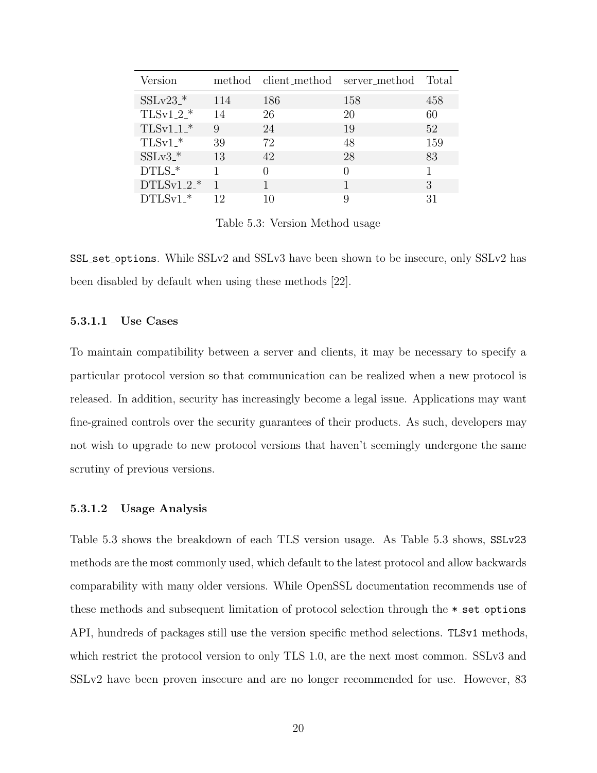<span id="page-26-0"></span>

| Version               |     |                  | method client_method server_method Total |     |
|-----------------------|-----|------------------|------------------------------------------|-----|
| $SSLv23$ <sup>*</sup> | 114 | 186              | 158                                      | 458 |
| $TLSv1.2.*$           | 14  | 26               | 20                                       | 60  |
| $TLSv1.1.*$           | 9   | 24               | 19                                       | 52  |
| $TLSv1.*$             | 39  | 72               | 48                                       | 159 |
| $SSLv3$ <sup>*</sup>  | 13  | 42               | 28                                       | 83  |
| $DTLS.*$              |     | $\left( \right)$ |                                          |     |
| $DTLSv1.2.*$          |     |                  |                                          | 3   |
| $DTLSv1.*$            | 12  |                  |                                          | 31  |

Table 5.3: Version Method usage

SSL set options. While SSLv2 and SSLv3 have been shown to be insecure, only SSLv2 has been disabled by default when using these methods [\[22\]](#page-78-8).

#### 5.3.1.1 Use Cases

To maintain compatibility between a server and clients, it may be necessary to specify a particular protocol version so that communication can be realized when a new protocol is released. In addition, security has increasingly become a legal issue. Applications may want fine-grained controls over the security guarantees of their products. As such, developers may not wish to upgrade to new protocol versions that haven't seemingly undergone the same scrutiny of previous versions.

#### <span id="page-26-1"></span>5.3.1.2 Usage Analysis

Table [5.3](#page-26-0) shows the breakdown of each TLS version usage. As Table [5.3](#page-26-0) shows, SSLv23 methods are the most commonly used, which default to the latest protocol and allow backwards comparability with many older versions. While OpenSSL documentation recommends use of these methods and subsequent limitation of protocol selection through the  $*$ -set-options API, hundreds of packages still use the version specific method selections. TLSv1 methods, which restrict the protocol version to only TLS 1.0, are the next most common. SSLv3 and SSLv2 have been proven insecure and are no longer recommended for use. However, 83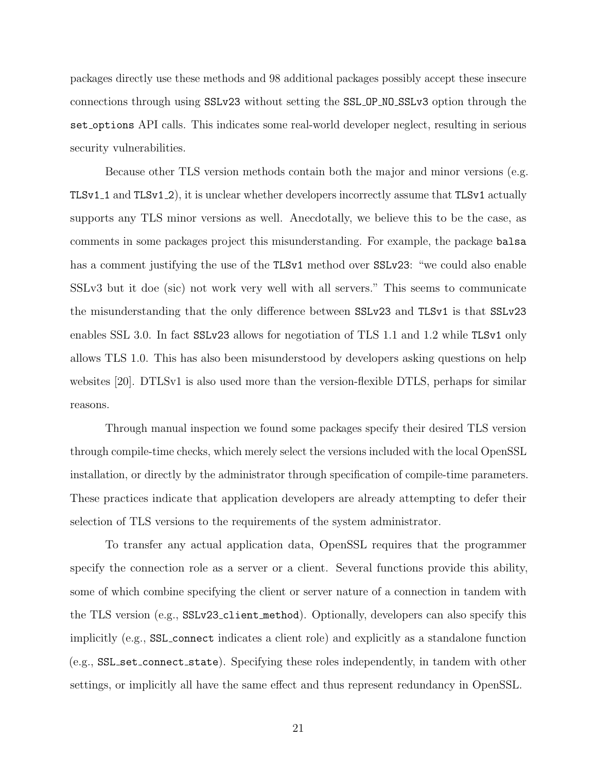packages directly use these methods and 98 additional packages possibly accept these insecure connections through using SSLv23 without setting the SSL OP NO SSLv3 option through the set options API calls. This indicates some real-world developer neglect, resulting in serious security vulnerabilities.

Because other TLS version methods contain both the major and minor versions (e.g. TLSv1 1 and TLSv1 2), it is unclear whether developers incorrectly assume that TLSv1 actually supports any TLS minor versions as well. Anecdotally, we believe this to be the case, as comments in some packages project this misunderstanding. For example, the package balsa has a comment justifying the use of the TLSv1 method over SSLv23: "we could also enable SSLv3 but it doe (sic) not work very well with all servers." This seems to communicate the misunderstanding that the only difference between SSLv23 and TLSv1 is that SSLv23 enables SSL 3.0. In fact SSLv23 allows for negotiation of TLS 1.1 and 1.2 while TLSv1 only allows TLS 1.0. This has also been misunderstood by developers asking questions on help websites [\[20\]](#page-78-9). DTLSv1 is also used more than the version-flexible DTLS, perhaps for similar reasons.

Through manual inspection we found some packages specify their desired TLS version through compile-time checks, which merely select the versions included with the local OpenSSL installation, or directly by the administrator through specification of compile-time parameters. These practices indicate that application developers are already attempting to defer their selection of TLS versions to the requirements of the system administrator.

To transfer any actual application data, OpenSSL requires that the programmer specify the connection role as a server or a client. Several functions provide this ability, some of which combine specifying the client or server nature of a connection in tandem with the TLS version (e.g., SSLv23 client method). Optionally, developers can also specify this implicitly (e.g., SSL connect indicates a client role) and explicitly as a standalone function (e.g., SSL set connect state). Specifying these roles independently, in tandem with other settings, or implicitly all have the same effect and thus represent redundancy in OpenSSL.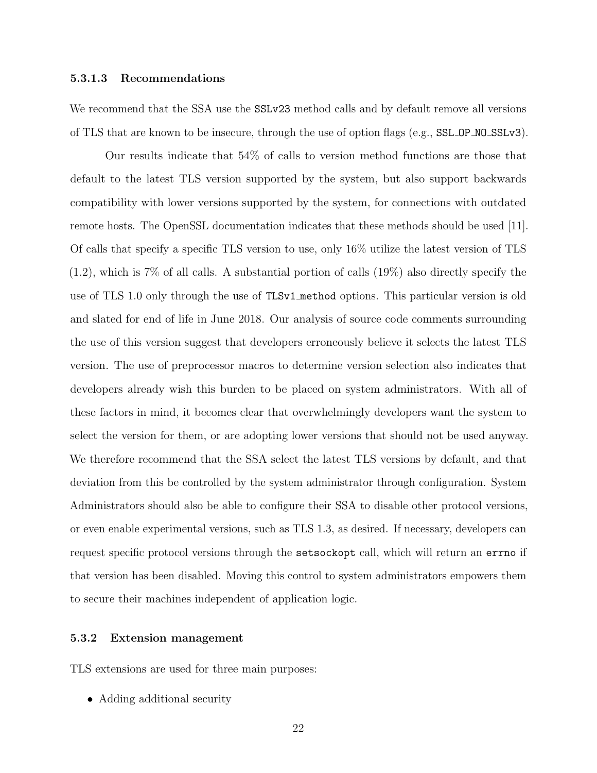#### 5.3.1.3 Recommendations

We recommend that the SSA use the  $SSLv23$  method calls and by default remove all versions of TLS that are known to be insecure, through the use of option flags (e.g., SSL OP NO SSLv3).

Our results indicate that 54% of calls to version method functions are those that default to the latest TLS version supported by the system, but also support backwards compatibility with lower versions supported by the system, for connections with outdated remote hosts. The OpenSSL documentation indicates that these methods should be used [\[11\]](#page-78-10). Of calls that specify a specific TLS version to use, only 16% utilize the latest version of TLS (1.2), which is 7% of all calls. A substantial portion of calls (19%) also directly specify the use of TLS 1.0 only through the use of TLSv1 method options. This particular version is old and slated for end of life in June 2018. Our analysis of source code comments surrounding the use of this version suggest that developers erroneously believe it selects the latest TLS version. The use of preprocessor macros to determine version selection also indicates that developers already wish this burden to be placed on system administrators. With all of these factors in mind, it becomes clear that overwhelmingly developers want the system to select the version for them, or are adopting lower versions that should not be used anyway. We therefore recommend that the SSA select the latest TLS versions by default, and that deviation from this be controlled by the system administrator through configuration. System Administrators should also be able to configure their SSA to disable other protocol versions, or even enable experimental versions, such as TLS 1.3, as desired. If necessary, developers can request specific protocol versions through the setsockopt call, which will return an errno if that version has been disabled. Moving this control to system administrators empowers them to secure their machines independent of application logic.

#### <span id="page-28-0"></span>5.3.2 Extension management

TLS extensions are used for three main purposes:

• Adding additional security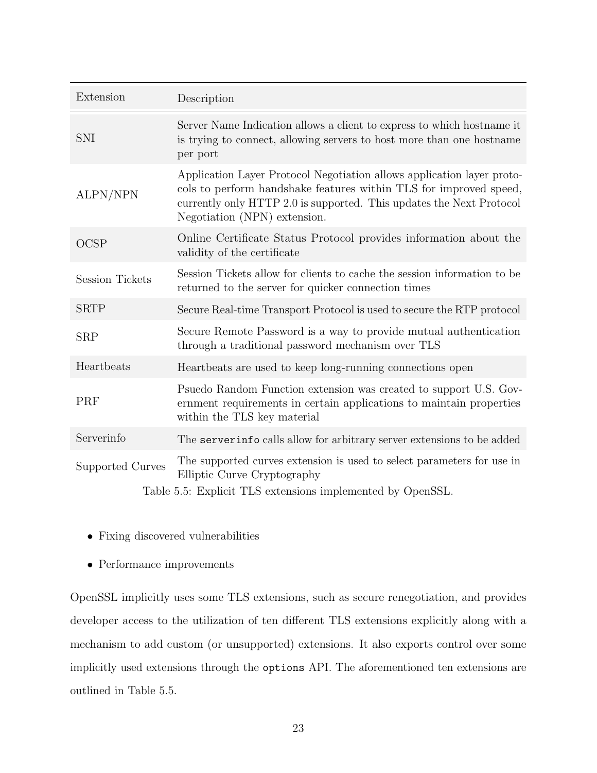<span id="page-29-0"></span>

| Extension                                                  | Description                                                                                                                                                                                                                                         |  |  |
|------------------------------------------------------------|-----------------------------------------------------------------------------------------------------------------------------------------------------------------------------------------------------------------------------------------------------|--|--|
| SNI                                                        | Server Name Indication allows a client to express to which hostname it<br>is trying to connect, allowing servers to host more than one hostname<br>per port                                                                                         |  |  |
| ALPN/NPN                                                   | Application Layer Protocol Negotiation allows application layer proto-<br>cols to perform handshake features within TLS for improved speed,<br>currently only HTTP 2.0 is supported. This updates the Next Protocol<br>Negotiation (NPN) extension. |  |  |
| <b>OCSP</b>                                                | Online Certificate Status Protocol provides information about the<br>validity of the certificate                                                                                                                                                    |  |  |
| <b>Session Tickets</b>                                     | Session Tickets allow for clients to cache the session information to be<br>returned to the server for quicker connection times                                                                                                                     |  |  |
| <b>SRTP</b>                                                | Secure Real-time Transport Protocol is used to secure the RTP protocol                                                                                                                                                                              |  |  |
| <b>SRP</b>                                                 | Secure Remote Password is a way to provide mutual authentication<br>through a traditional password mechanism over TLS                                                                                                                               |  |  |
| Heartbeats                                                 | Heartbeats are used to keep long-running connections open                                                                                                                                                                                           |  |  |
| PRF                                                        | Psuedo Random Function extension was created to support U.S. Gov-<br>ernment requirements in certain applications to maintain properties<br>within the TLS key material                                                                             |  |  |
| Serverinfo                                                 | The serverinfo calls allow for arbitrary server extensions to be added                                                                                                                                                                              |  |  |
| <b>Supported Curves</b>                                    | The supported curves extension is used to select parameters for use in<br>Elliptic Curve Cryptography                                                                                                                                               |  |  |
| Table 5.5: Explicit TLS extensions implemented by OpenSSL. |                                                                                                                                                                                                                                                     |  |  |

- Fixing discovered vulnerabilities
- Performance improvements

OpenSSL implicitly uses some TLS extensions, such as secure renegotiation, and provides developer access to the utilization of ten different TLS extensions explicitly along with a mechanism to add custom (or unsupported) extensions. It also exports control over some implicitly used extensions through the options API. The aforementioned ten extensions are outlined in Table [5.5.](#page-29-0)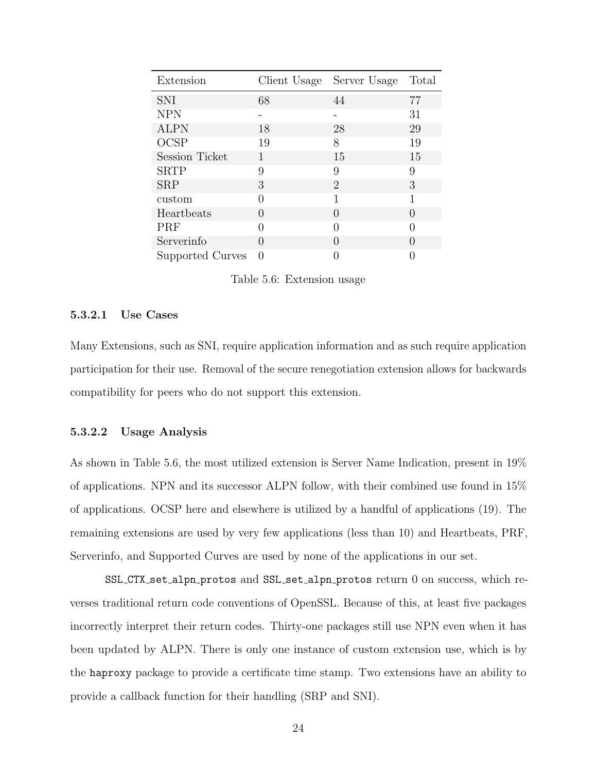<span id="page-30-0"></span>

| Extension             | Client Usage     | Server Usage     | Total            |
|-----------------------|------------------|------------------|------------------|
| <b>SNI</b>            | 68               | 44               | 77               |
| <b>NPN</b>            |                  |                  | 31               |
| <b>ALPN</b>           | 18               | 28               | 29               |
| <b>OCSP</b>           | 19               | 8                | 19               |
| <b>Session Ticket</b> | 1                | 15               | 15               |
| <b>SRTP</b>           | 9                | 9                | 9                |
| <b>SRP</b>            | 3                | $\overline{2}$   | 3                |
| custom                | $\mathcal{O}$    | 1                | 1                |
| Heartbeats            | $\mathbf{0}$     | $\left( \right)$ | $\left( \right)$ |
| PRF                   | $\left( \right)$ | $\mathbf{0}$     |                  |
| Serverinfo            | $\left( \right)$ | $\left( \right)$ | $\mathcal{O}$    |
| Supported Curves      | 0                |                  |                  |

Table 5.6: Extension usage

#### 5.3.2.1 Use Cases

Many Extensions, such as SNI, require application information and as such require application participation for their use. Removal of the secure renegotiation extension allows for backwards compatibility for peers who do not support this extension.

#### 5.3.2.2 Usage Analysis

As shown in Table [5.6,](#page-30-0) the most utilized extension is Server Name Indication, present in 19% of applications. NPN and its successor ALPN follow, with their combined use found in 15% of applications. OCSP here and elsewhere is utilized by a handful of applications (19). The remaining extensions are used by very few applications (less than 10) and Heartbeats, PRF, Serverinfo, and Supported Curves are used by none of the applications in our set.

SSL CTX set alpn protos and SSL set alpn protos return 0 on success, which reverses traditional return code conventions of OpenSSL. Because of this, at least five packages incorrectly interpret their return codes. Thirty-one packages still use NPN even when it has been updated by ALPN. There is only one instance of custom extension use, which is by the haproxy package to provide a certificate time stamp. Two extensions have an ability to provide a callback function for their handling (SRP and SNI).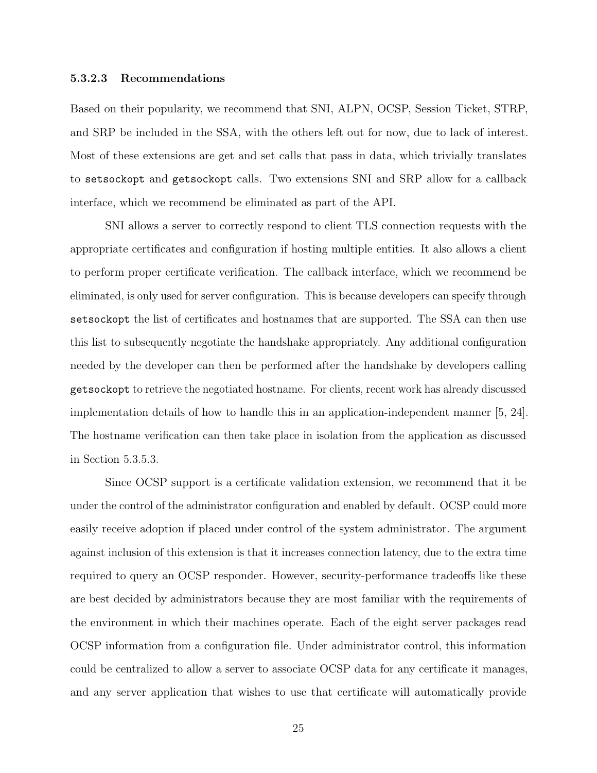#### 5.3.2.3 Recommendations

Based on their popularity, we recommend that SNI, ALPN, OCSP, Session Ticket, STRP, and SRP be included in the SSA, with the others left out for now, due to lack of interest. Most of these extensions are get and set calls that pass in data, which trivially translates to setsockopt and getsockopt calls. Two extensions SNI and SRP allow for a callback interface, which we recommend be eliminated as part of the API.

SNI allows a server to correctly respond to client TLS connection requests with the appropriate certificates and configuration if hosting multiple entities. It also allows a client to perform proper certificate verification. The callback interface, which we recommend be eliminated, is only used for server configuration. This is because developers can specify through setsockopt the list of certificates and hostnames that are supported. The SSA can then use this list to subsequently negotiate the handshake appropriately. Any additional configuration needed by the developer can then be performed after the handshake by developers calling getsockopt to retrieve the negotiated hostname. For clients, recent work has already discussed implementation details of how to handle this in an application-independent manner [\[5,](#page-77-7) [24\]](#page-79-4). The hostname verification can then take place in isolation from the application as discussed in Section [5.3.5.3.](#page-37-0)

Since OCSP support is a certificate validation extension, we recommend that it be under the control of the administrator configuration and enabled by default. OCSP could more easily receive adoption if placed under control of the system administrator. The argument against inclusion of this extension is that it increases connection latency, due to the extra time required to query an OCSP responder. However, security-performance tradeoffs like these are best decided by administrators because they are most familiar with the requirements of the environment in which their machines operate. Each of the eight server packages read OCSP information from a configuration file. Under administrator control, this information could be centralized to allow a server to associate OCSP data for any certificate it manages, and any server application that wishes to use that certificate will automatically provide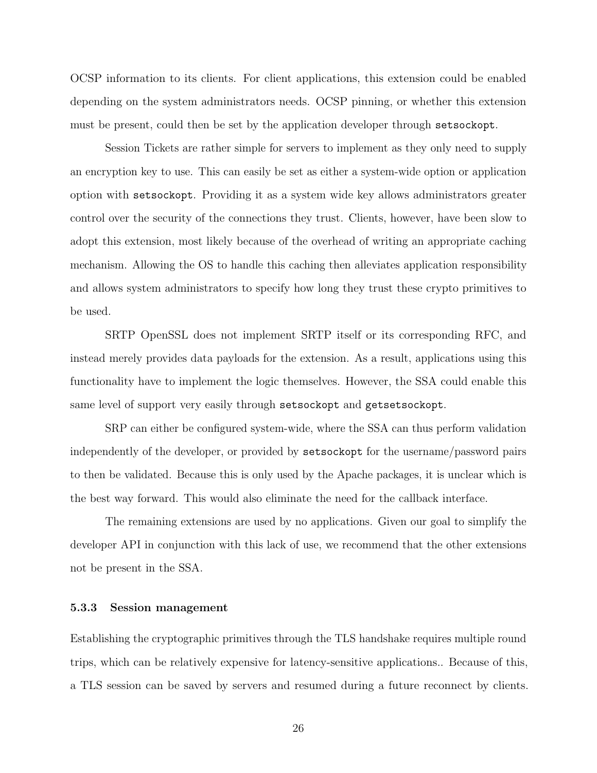OCSP information to its clients. For client applications, this extension could be enabled depending on the system administrators needs. OCSP pinning, or whether this extension must be present, could then be set by the application developer through setsockopt.

Session Tickets are rather simple for servers to implement as they only need to supply an encryption key to use. This can easily be set as either a system-wide option or application option with setsockopt. Providing it as a system wide key allows administrators greater control over the security of the connections they trust. Clients, however, have been slow to adopt this extension, most likely because of the overhead of writing an appropriate caching mechanism. Allowing the OS to handle this caching then alleviates application responsibility and allows system administrators to specify how long they trust these crypto primitives to be used.

SRTP OpenSSL does not implement SRTP itself or its corresponding RFC, and instead merely provides data payloads for the extension. As a result, applications using this functionality have to implement the logic themselves. However, the SSA could enable this same level of support very easily through setsockopt and getsetsockopt.

SRP can either be configured system-wide, where the SSA can thus perform validation independently of the developer, or provided by setsockopt for the username/password pairs to then be validated. Because this is only used by the Apache packages, it is unclear which is the best way forward. This would also eliminate the need for the callback interface.

The remaining extensions are used by no applications. Given our goal to simplify the developer API in conjunction with this lack of use, we recommend that the other extensions not be present in the SSA.

#### <span id="page-32-0"></span>5.3.3 Session management

Establishing the cryptographic primitives through the TLS handshake requires multiple round trips, which can be relatively expensive for latency-sensitive applications.. Because of this, a TLS session can be saved by servers and resumed during a future reconnect by clients.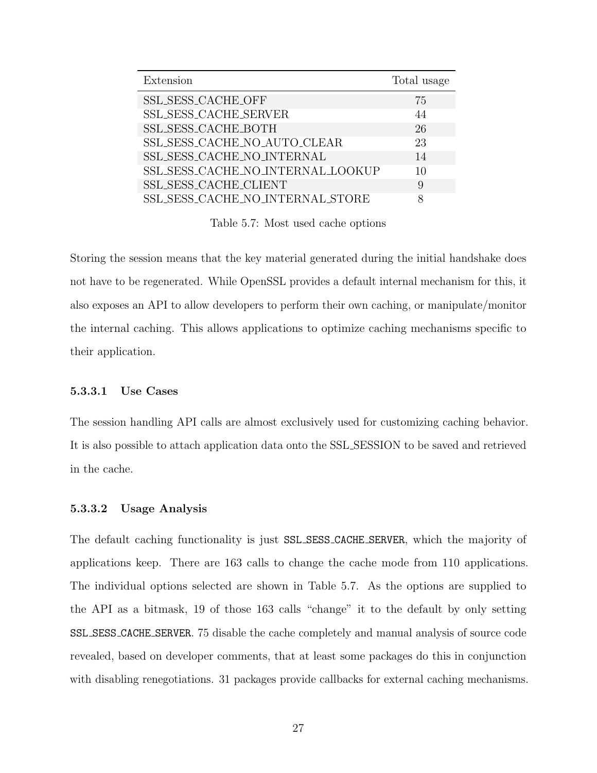<span id="page-33-0"></span>

| Extension                         | Total usage |
|-----------------------------------|-------------|
| SSL_SESS_CACHE_OFF                | 75          |
| SSL_SESS_CACHE_SERVER             | 44          |
| SSL SESS_CACHE_BOTH               | 26          |
| SSL_SESS_CACHE_NO_AUTO_CLEAR      | 23          |
| SSL SESS_CACHE_NO_INTERNAL        | 14          |
| SSL_SESS_CACHE_NO_INTERNAL_LOOKUP | 10          |
| SSL_SESS_CACHE_CLIENT             | 9           |
| SSL_SESS_CACHE_NO_INTERNAL_STORE  | 8           |

Table 5.7: Most used cache options

Storing the session means that the key material generated during the initial handshake does not have to be regenerated. While OpenSSL provides a default internal mechanism for this, it also exposes an API to allow developers to perform their own caching, or manipulate/monitor the internal caching. This allows applications to optimize caching mechanisms specific to their application.

#### 5.3.3.1 Use Cases

The session handling API calls are almost exclusively used for customizing caching behavior. It is also possible to attach application data onto the SSL SESSION to be saved and retrieved in the cache.

#### 5.3.3.2 Usage Analysis

The default caching functionality is just SSL SESS CACHE SERVER, which the majority of applications keep. There are 163 calls to change the cache mode from 110 applications. The individual options selected are shown in Table [5.7.](#page-33-0) As the options are supplied to the API as a bitmask, 19 of those 163 calls "change" it to the default by only setting SSL SESS CACHE SERVER. 75 disable the cache completely and manual analysis of source code revealed, based on developer comments, that at least some packages do this in conjunction with disabling renegotiations. 31 packages provide callbacks for external caching mechanisms.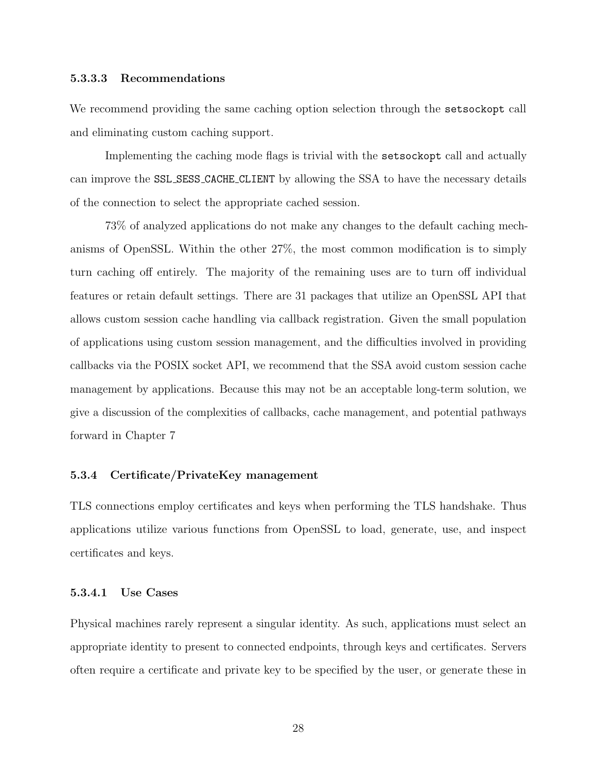#### 5.3.3.3 Recommendations

We recommend providing the same caching option selection through the setsockopt call and eliminating custom caching support.

Implementing the caching mode flags is trivial with the setsockopt call and actually can improve the SSL SESS CACHE CLIENT by allowing the SSA to have the necessary details of the connection to select the appropriate cached session.

73% of analyzed applications do not make any changes to the default caching mechanisms of OpenSSL. Within the other 27%, the most common modification is to simply turn caching off entirely. The majority of the remaining uses are to turn off individual features or retain default settings. There are 31 packages that utilize an OpenSSL API that allows custom session cache handling via callback registration. Given the small population of applications using custom session management, and the difficulties involved in providing callbacks via the POSIX socket API, we recommend that the SSA avoid custom session cache management by applications. Because this may not be an acceptable long-term solution, we give a discussion of the complexities of callbacks, cache management, and potential pathways forward in Chapter [7](#page-48-0)

#### <span id="page-34-0"></span>5.3.4 Certificate/PrivateKey management

TLS connections employ certificates and keys when performing the TLS handshake. Thus applications utilize various functions from OpenSSL to load, generate, use, and inspect certificates and keys.

#### 5.3.4.1 Use Cases

Physical machines rarely represent a singular identity. As such, applications must select an appropriate identity to present to connected endpoints, through keys and certificates. Servers often require a certificate and private key to be specified by the user, or generate these in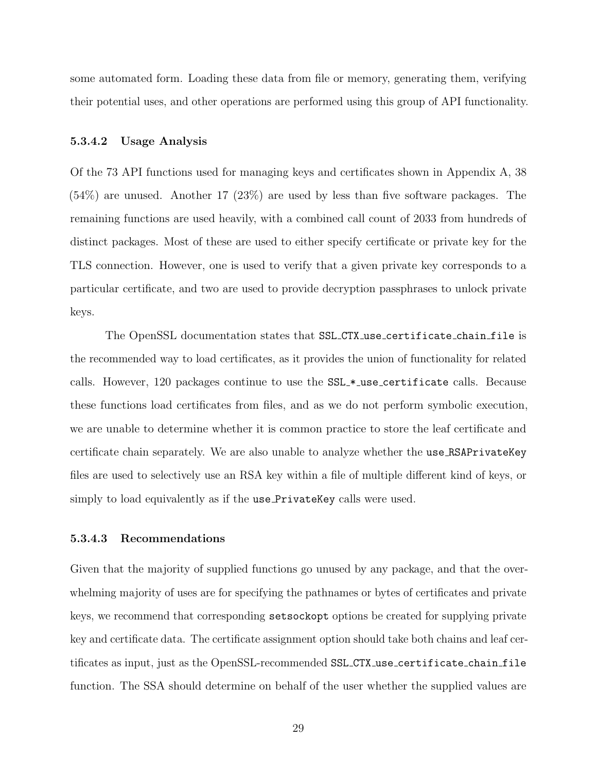some automated form. Loading these data from file or memory, generating them, verifying their potential uses, and other operations are performed using this group of API functionality.

#### 5.3.4.2 Usage Analysis

Of the 73 API functions used for managing keys and certificates shown in Appendix [A,](#page-52-0) 38 (54%) are unused. Another 17 (23%) are used by less than five software packages. The remaining functions are used heavily, with a combined call count of 2033 from hundreds of distinct packages. Most of these are used to either specify certificate or private key for the TLS connection. However, one is used to verify that a given private key corresponds to a particular certificate, and two are used to provide decryption passphrases to unlock private keys.

The OpenSSL documentation states that SSL CTX use certificate chain file is the recommended way to load certificates, as it provides the union of functionality for related calls. However, 120 packages continue to use the SSL \* use certificate calls. Because these functions load certificates from files, and as we do not perform symbolic execution, we are unable to determine whether it is common practice to store the leaf certificate and certificate chain separately. We are also unable to analyze whether the use RSAPrivateKey files are used to selectively use an RSA key within a file of multiple different kind of keys, or simply to load equivalently as if the use PrivateKey calls were used.

#### 5.3.4.3 Recommendations

Given that the majority of supplied functions go unused by any package, and that the overwhelming majority of uses are for specifying the pathnames or bytes of certificates and private keys, we recommend that corresponding setsockopt options be created for supplying private key and certificate data. The certificate assignment option should take both chains and leaf certificates as input, just as the OpenSSL-recommended SSL CTX use certificate chain file function. The SSA should determine on behalf of the user whether the supplied values are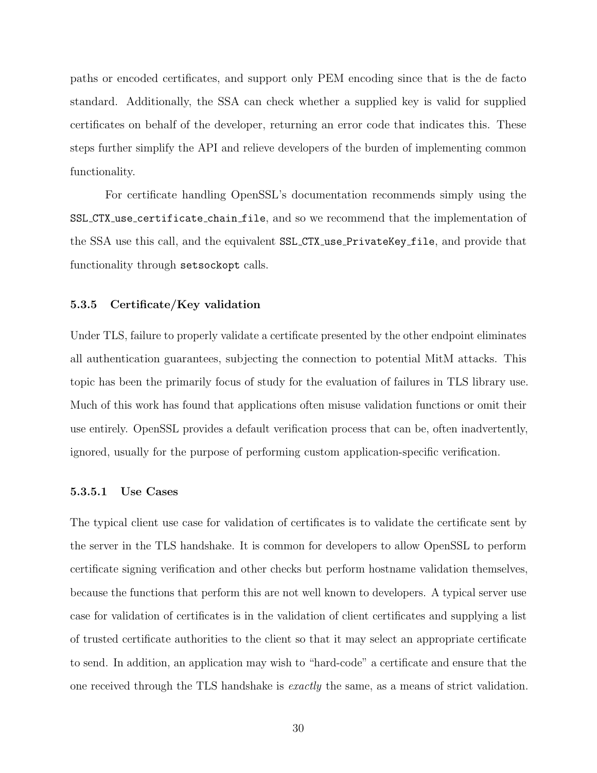paths or encoded certificates, and support only PEM encoding since that is the de facto standard. Additionally, the SSA can check whether a supplied key is valid for supplied certificates on behalf of the developer, returning an error code that indicates this. These steps further simplify the API and relieve developers of the burden of implementing common functionality.

For certificate handling OpenSSL's documentation recommends simply using the SSL CTX use certificate chain file, and so we recommend that the implementation of the SSA use this call, and the equivalent SSL CTX use PrivateKey file, and provide that functionality through setsockopt calls.

#### 5.3.5 Certificate/Key validation

Under TLS, failure to properly validate a certificate presented by the other endpoint eliminates all authentication guarantees, subjecting the connection to potential MitM attacks. This topic has been the primarily focus of study for the evaluation of failures in TLS library use. Much of this work has found that applications often misuse validation functions or omit their use entirely. OpenSSL provides a default verification process that can be, often inadvertently, ignored, usually for the purpose of performing custom application-specific verification.

#### 5.3.5.1 Use Cases

The typical client use case for validation of certificates is to validate the certificate sent by the server in the TLS handshake. It is common for developers to allow OpenSSL to perform certificate signing verification and other checks but perform hostname validation themselves, because the functions that perform this are not well known to developers. A typical server use case for validation of certificates is in the validation of client certificates and supplying a list of trusted certificate authorities to the client so that it may select an appropriate certificate to send. In addition, an application may wish to "hard-code" a certificate and ensure that the one received through the TLS handshake is exactly the same, as a means of strict validation.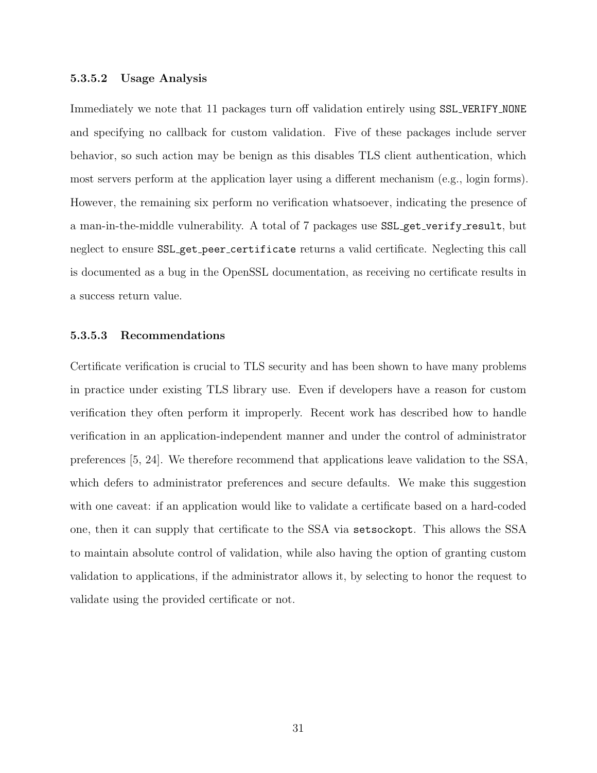# 5.3.5.2 Usage Analysis

Immediately we note that 11 packages turn off validation entirely using SSL\_VERIFY\_NONE and specifying no callback for custom validation. Five of these packages include server behavior, so such action may be benign as this disables TLS client authentication, which most servers perform at the application layer using a different mechanism (e.g., login forms). However, the remaining six perform no verification whatsoever, indicating the presence of a man-in-the-middle vulnerability. A total of 7 packages use SSL-get-verify-result, but neglect to ensure SSL get peer certificate returns a valid certificate. Neglecting this call is documented as a bug in the OpenSSL documentation, as receiving no certificate results in a success return value.

## 5.3.5.3 Recommendations

Certificate verification is crucial to TLS security and has been shown to have many problems in practice under existing TLS library use. Even if developers have a reason for custom verification they often perform it improperly. Recent work has described how to handle verification in an application-independent manner and under the control of administrator preferences [\[5,](#page-77-0) [24\]](#page-79-0). We therefore recommend that applications leave validation to the SSA, which defers to administrator preferences and secure defaults. We make this suggestion with one caveat: if an application would like to validate a certificate based on a hard-coded one, then it can supply that certificate to the SSA via setsockopt. This allows the SSA to maintain absolute control of validation, while also having the option of granting custom validation to applications, if the administrator allows it, by selecting to honor the request to validate using the provided certificate or not.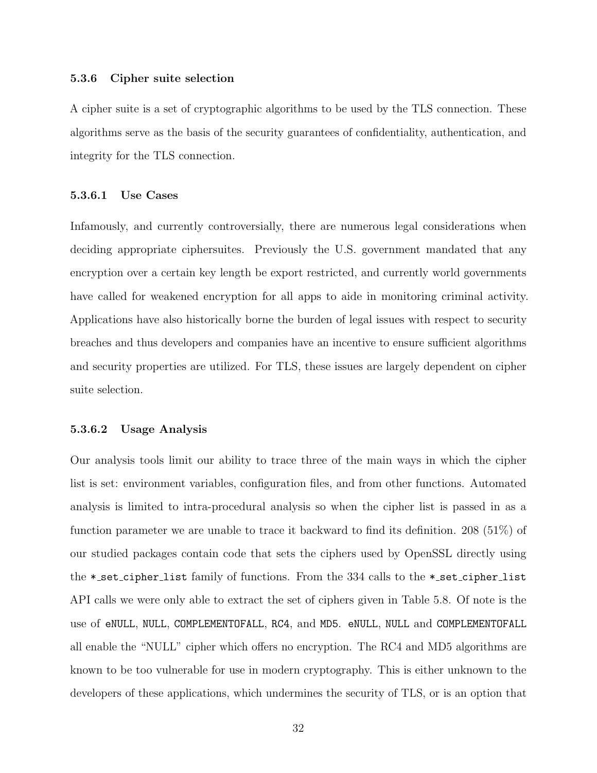#### 5.3.6 Cipher suite selection

A cipher suite is a set of cryptographic algorithms to be used by the TLS connection. These algorithms serve as the basis of the security guarantees of confidentiality, authentication, and integrity for the TLS connection.

# 5.3.6.1 Use Cases

Infamously, and currently controversially, there are numerous legal considerations when deciding appropriate ciphersuites. Previously the U.S. government mandated that any encryption over a certain key length be export restricted, and currently world governments have called for weakened encryption for all apps to aide in monitoring criminal activity. Applications have also historically borne the burden of legal issues with respect to security breaches and thus developers and companies have an incentive to ensure sufficient algorithms and security properties are utilized. For TLS, these issues are largely dependent on cipher suite selection.

# 5.3.6.2 Usage Analysis

Our analysis tools limit our ability to trace three of the main ways in which the cipher list is set: environment variables, configuration files, and from other functions. Automated analysis is limited to intra-procedural analysis so when the cipher list is passed in as a function parameter we are unable to trace it backward to find its definition. 208 (51%) of our studied packages contain code that sets the ciphers used by OpenSSL directly using the \* set cipher list family of functions. From the 334 calls to the \* set cipher list API calls we were only able to extract the set of ciphers given in Table [5.8.](#page-39-0) Of note is the use of eNULL, NULL, COMPLEMENTOFALL, RC4, and MD5. eNULL, NULL and COMPLEMENTOFALL all enable the "NULL" cipher which offers no encryption. The RC4 and MD5 algorithms are known to be too vulnerable for use in modern cryptography. This is either unknown to the developers of these applications, which undermines the security of TLS, or is an option that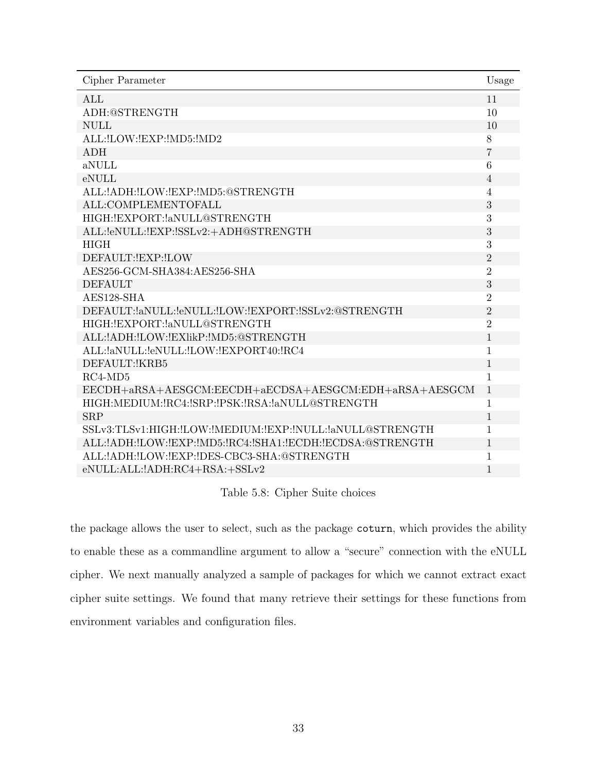<span id="page-39-0"></span>

| Cipher Parameter                                              | Usage          |
|---------------------------------------------------------------|----------------|
| <b>ALL</b>                                                    | 11             |
| ADH:@STRENGTH                                                 | 10             |
| <b>NULL</b>                                                   | 10             |
| ALL: !LOW: !EXP: ! MD5: ! MD2                                 | 8              |
| <b>ADH</b>                                                    | $\overline{7}$ |
| aNULL                                                         | 6              |
| eNULL                                                         | $\overline{4}$ |
| ALL: ! ADH: !LOW: !EXP: ! MD5: @STRENGTH                      | $\overline{4}$ |
| ALL:COMPLEMENTOFALL                                           | 3              |
| HIGH: ! EXPORT: ! aNULL@STRENGTH                              | 3              |
| ALL:leNULL:lEXP:lSSLv2:+ADH@STRENGTH                          | 3              |
| <b>HIGH</b>                                                   | 3              |
| DEFAULT: EXP: LOW                                             | $\overline{2}$ |
| AES256-GCM-SHA384:AES256-SHA                                  | $\overline{2}$ |
| <b>DEFAULT</b>                                                | 3              |
| AES128-SHA                                                    | $\overline{2}$ |
| DEFAULT:laNULL:leNULL:lLOW:lEXPORT:lSSLv2:@STRENGTH           | $\overline{2}$ |
| HIGH: ! EXPORT: ! aNULL@STRENGTH                              | $\overline{2}$ |
| ALL: ! ADH: ! LOW: ! EXI ik P: ! MD5: @STRENGTH               | 1              |
| ALL:laNULL:leNULL:!LOW:!EXPORT40:!RC4                         | 1              |
| DEFAULT: KRB5                                                 | $\mathbf{1}$   |
| $RC4-MD5$                                                     | 1              |
| EECDH+aRSA+AESGCM:EECDH+aECDSA+AESGCM:EDH+aRSA+AESGCM         | $1\,$          |
| HIGH:MEDIUM: !RC4: !SRP: !PSK: !RSA: ! aNULL@STRENGTH         | $\mathbf{1}$   |
| <b>SRP</b>                                                    | $\mathbf{1}$   |
| SSLv3:TLSv1:HIGH:!LOW:!MEDIUM:!EXP:!NULL:!aNULL@STRENGTH      | 1              |
| ALL: ADH: LOW: LEXP: MD5: RC4: SHA1: LECDH: LECDSA: @STRENGTH | $\mathbf{1}$   |
| ALL: ! ADH: ! LOW: ! EXP: ! DES-CBC3-SHA: @STRENGTH           | 1              |
| eNULL:ALL:!ADH:RC4+RSA:+SSLv2                                 | 1              |

Table 5.8: Cipher Suite choices

the package allows the user to select, such as the package coturn, which provides the ability to enable these as a commandline argument to allow a "secure" connection with the eNULL cipher. We next manually analyzed a sample of packages for which we cannot extract exact cipher suite settings. We found that many retrieve their settings for these functions from environment variables and configuration files.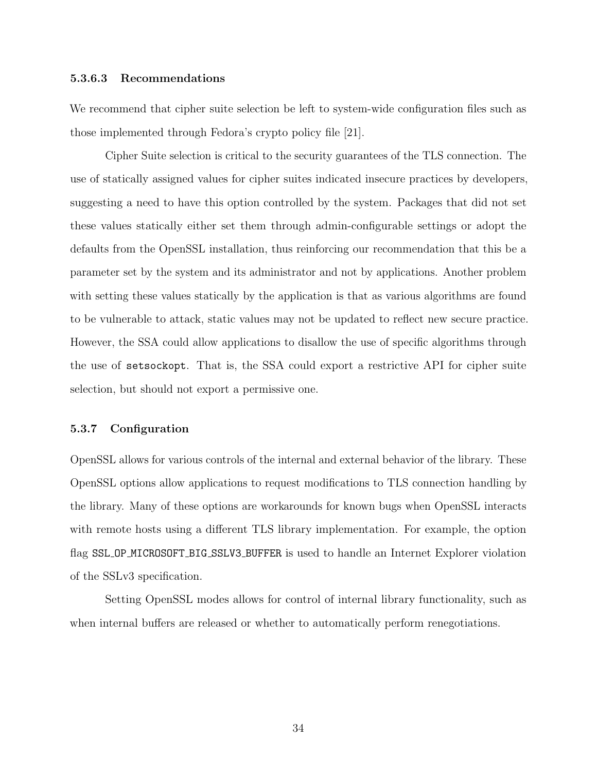## 5.3.6.3 Recommendations

We recommend that cipher suite selection be left to system-wide configuration files such as those implemented through Fedora's crypto policy file [\[21\]](#page-78-0).

Cipher Suite selection is critical to the security guarantees of the TLS connection. The use of statically assigned values for cipher suites indicated insecure practices by developers, suggesting a need to have this option controlled by the system. Packages that did not set these values statically either set them through admin-configurable settings or adopt the defaults from the OpenSSL installation, thus reinforcing our recommendation that this be a parameter set by the system and its administrator and not by applications. Another problem with setting these values statically by the application is that as various algorithms are found to be vulnerable to attack, static values may not be updated to reflect new secure practice. However, the SSA could allow applications to disallow the use of specific algorithms through the use of setsockopt. That is, the SSA could export a restrictive API for cipher suite selection, but should not export a permissive one.

# 5.3.7 Configuration

OpenSSL allows for various controls of the internal and external behavior of the library. These OpenSSL options allow applications to request modifications to TLS connection handling by the library. Many of these options are workarounds for known bugs when OpenSSL interacts with remote hosts using a different TLS library implementation. For example, the option flag SSL OP MICROSOFT BIG SSLV3 BUFFER is used to handle an Internet Explorer violation of the SSLv3 specification.

Setting OpenSSL modes allows for control of internal library functionality, such as when internal buffers are released or whether to automatically perform renegotiations.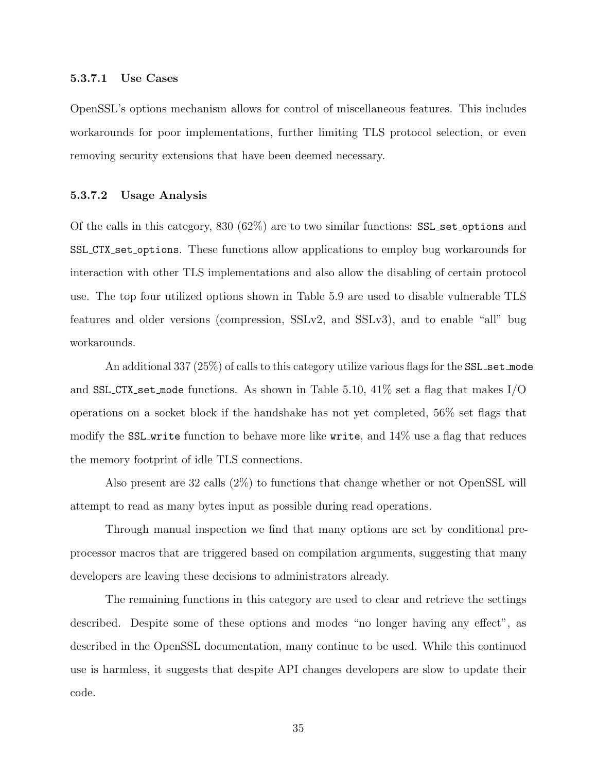#### 5.3.7.1 Use Cases

OpenSSL's options mechanism allows for control of miscellaneous features. This includes workarounds for poor implementations, further limiting TLS protocol selection, or even removing security extensions that have been deemed necessary.

## 5.3.7.2 Usage Analysis

Of the calls in this category, 830 (62%) are to two similar functions: SSL set options and SSL CTX set options. These functions allow applications to employ bug workarounds for interaction with other TLS implementations and also allow the disabling of certain protocol use. The top four utilized options shown in Table [5.9](#page-44-0) are used to disable vulnerable TLS features and older versions (compression, SSLv2, and SSLv3), and to enable "all" bug workarounds.

An additional 337 (25%) of calls to this category utilize various flags for the SSL set mode and SSL CTX set mode functions. As shown in Table [5.10,](#page-45-0) 41% set a flag that makes  $I/O$ operations on a socket block if the handshake has not yet completed, 56% set flags that modify the SSL write function to behave more like write, and  $14\%$  use a flag that reduces the memory footprint of idle TLS connections.

Also present are 32 calls (2%) to functions that change whether or not OpenSSL will attempt to read as many bytes input as possible during read operations.

Through manual inspection we find that many options are set by conditional preprocessor macros that are triggered based on compilation arguments, suggesting that many developers are leaving these decisions to administrators already.

The remaining functions in this category are used to clear and retrieve the settings described. Despite some of these options and modes "no longer having any effect", as described in the OpenSSL documentation, many continue to be used. While this continued use is harmless, it suggests that despite API changes developers are slow to update their code.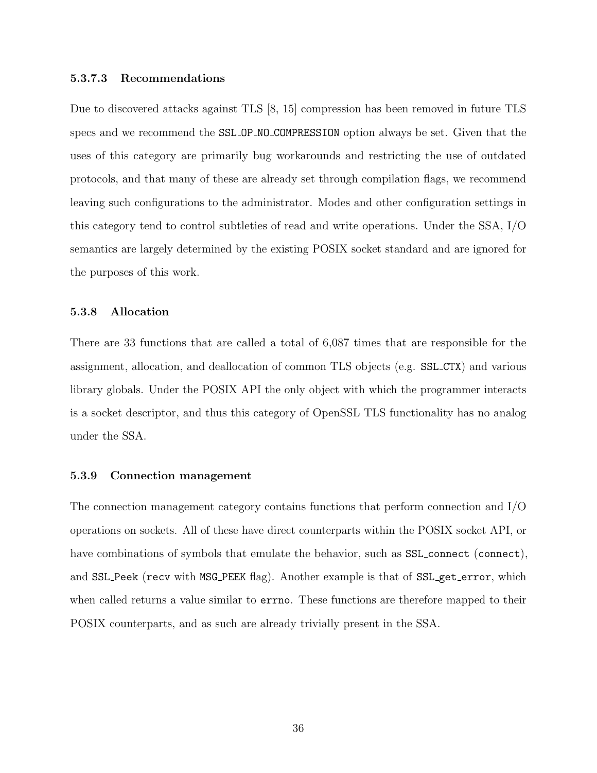## 5.3.7.3 Recommendations

Due to discovered attacks against TLS [\[8,](#page-77-1) [15\]](#page-78-1) compression has been removed in future TLS specs and we recommend the SSL OP NO COMPRESSION option always be set. Given that the uses of this category are primarily bug workarounds and restricting the use of outdated protocols, and that many of these are already set through compilation flags, we recommend leaving such configurations to the administrator. Modes and other configuration settings in this category tend to control subtleties of read and write operations. Under the SSA, I/O semantics are largely determined by the existing POSIX socket standard and are ignored for the purposes of this work.

# 5.3.8 Allocation

There are 33 functions that are called a total of 6,087 times that are responsible for the assignment, allocation, and deallocation of common TLS objects (e.g. SSL CTX) and various library globals. Under the POSIX API the only object with which the programmer interacts is a socket descriptor, and thus this category of OpenSSL TLS functionality has no analog under the SSA.

#### 5.3.9 Connection management

The connection management category contains functions that perform connection and I/O operations on sockets. All of these have direct counterparts within the POSIX socket API, or have combinations of symbols that emulate the behavior, such as  $SSL_{\text{connect}}$  (connect), and SSL Peek (recv with MSG PEEK flag). Another example is that of SSL get error, which when called returns a value similar to errno. These functions are therefore mapped to their POSIX counterparts, and as such are already trivially present in the SSA.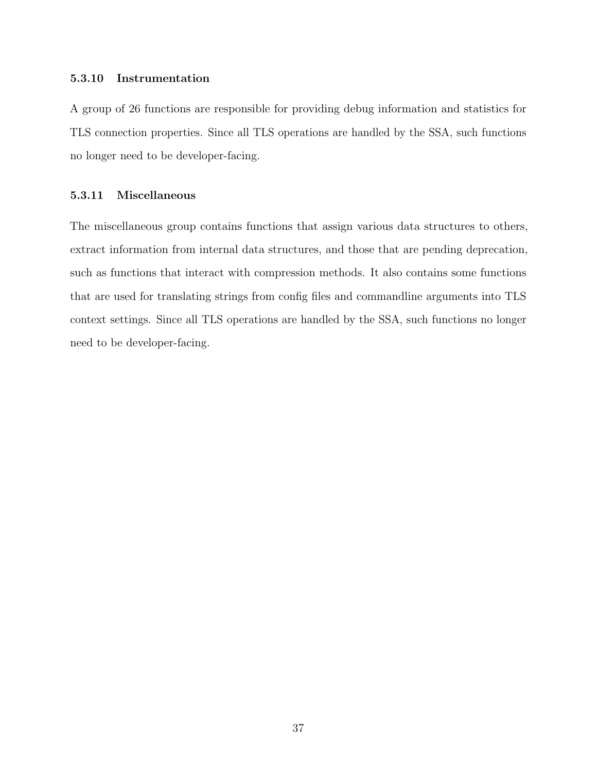# 5.3.10 Instrumentation

A group of 26 functions are responsible for providing debug information and statistics for TLS connection properties. Since all TLS operations are handled by the SSA, such functions no longer need to be developer-facing.

# 5.3.11 Miscellaneous

The miscellaneous group contains functions that assign various data structures to others, extract information from internal data structures, and those that are pending deprecation, such as functions that interact with compression methods. It also contains some functions that are used for translating strings from config files and commandline arguments into TLS context settings. Since all TLS operations are handled by the SSA, such functions no longer need to be developer-facing.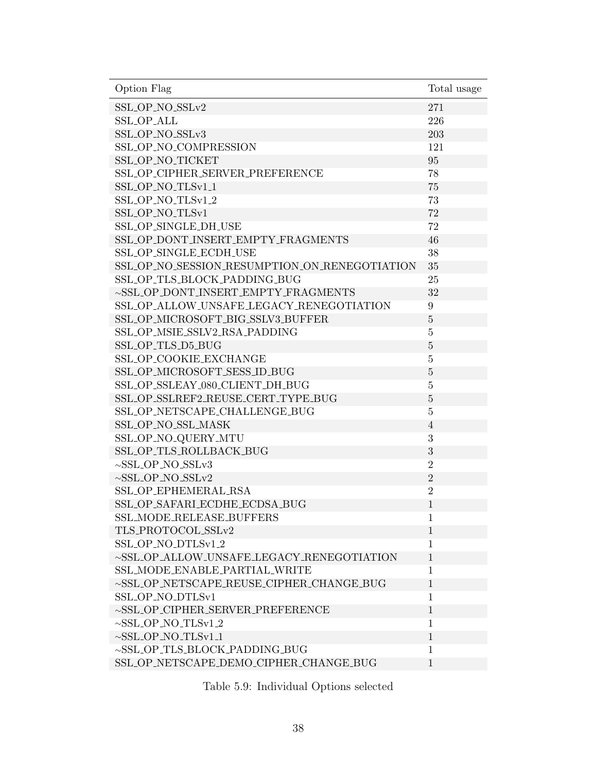<span id="page-44-0"></span>

| Option Flag                                     | Total usage    |
|-------------------------------------------------|----------------|
| SSL_OP_NO_SSLv2                                 | 271            |
| <b>SSL_OP_ALL</b>                               | 226            |
| SSL_OP_NO_SSLv3                                 | 203            |
| SSL_OP_NO_COMPRESSION                           | 121            |
| SSL_OP_NO_TICKET                                | 95             |
| SSL_OP_CIPHER_SERVER_PREFERENCE                 | 78             |
| SSL_OP_NO_TLSv1_1                               | 75             |
| SSL_OP_NO_TLSv1_2                               | 73             |
| SSL_OP_NO_TLSv1                                 | 72             |
| SSL_OP_SINGLE_DH_USE                            | 72             |
| SSL_OP_DONT_INSERT_EMPTY_FRAGMENTS              | 46             |
| SSL_OP_SINGLE_ECDH_USE                          | 38             |
| SSL_OP_NO_SESSION_RESUMPTION_ON_RENEGOTIATION   | 35             |
| SSL_OP_TLS_BLOCK_PADDING_BUG                    | 25             |
| ~SSL_OP_DONT_INSERT_EMPTY_FRAGMENTS             | 32             |
| SSL_OP_ALLOW_UNSAFE_LEGACY_RENEGOTIATION        | 9              |
| SSL_OP_MICROSOFT_BIG_SSLV3_BUFFER               | $\overline{5}$ |
| SSL_OP_MSIE_SSLV2_RSA_PADDING                   | $\overline{5}$ |
| SSL_OP_TLS_D5_BUG                               | $\overline{5}$ |
| SSL_OP_COOKIE_EXCHANGE                          | $\overline{5}$ |
| SSL_OP_MICROSOFT_SESS_ID_BUG                    | $\overline{5}$ |
| SSL_OP_SSLEAY_080_CLIENT_DH_BUG                 | 5              |
| SSL_OP_SSLREF2_REUSE_CERT_TYPE_BUG              | $\bf 5$        |
| SSL_OP_NETSCAPE_CHALLENGE_BUG                   | $\overline{5}$ |
| SSL_OP_NO_SSL_MASK                              | $\overline{4}$ |
| SSL_OP_NO_QUERY_MTU                             | 3              |
| SSL_OP_TLS_ROLLBACK_BUG                         | 3              |
| $\sim$ SSL_OP_NO_SSLv3                          | $\overline{2}$ |
| $\sim$ SSL_OP_NO_SSLv2                          | $\overline{2}$ |
| SSL_OP_EPHEMERAL_RSA                            | $\overline{2}$ |
| SSL_OP_SAFARI_ECDHE_ECDSA_BUG                   | $\mathbf{1}$   |
| SSL_MODE_RELEASE_BUFFERS                        | $\mathbf{1}$   |
| TLS_PROTOCOL_SSLv2                              | $\mathbf{1}$   |
| SSL_OP_NO_DTLSv1_2                              | 1              |
| $\sim$ SSL_OP_ALLOW_UNSAFE_LEGACY_RENEGOTIATION | $\mathbf{1}$   |
| SSL_MODE_ENABLE_PARTIAL_WRITE                   | 1              |
| $\sim$ SSL_OP_NETSCAPE_REUSE_CIPHER_CHANGE_BUG  | $\mathbf{1}$   |
| SSL_OP_NO_DTLSv1                                | 1              |
| $\sim$ SSL_OP_CIPHER_SERVER_PREFERENCE          | $\mathbf{1}$   |
| $\sim$ SSL_OP_NO_TLSv1_2                        | 1              |
| $\sim$ SSL_OP_NO_TLSv1_1                        | $\mathbf{1}$   |
| ~SSL_OP_TLS_BLOCK_PADDING_BUG                   | 1              |
| SSL_OP_NETSCAPE_DEMO_CIPHER_CHANGE_BUG          | $\mathbf{1}$   |

Table 5.9: Individual Options selected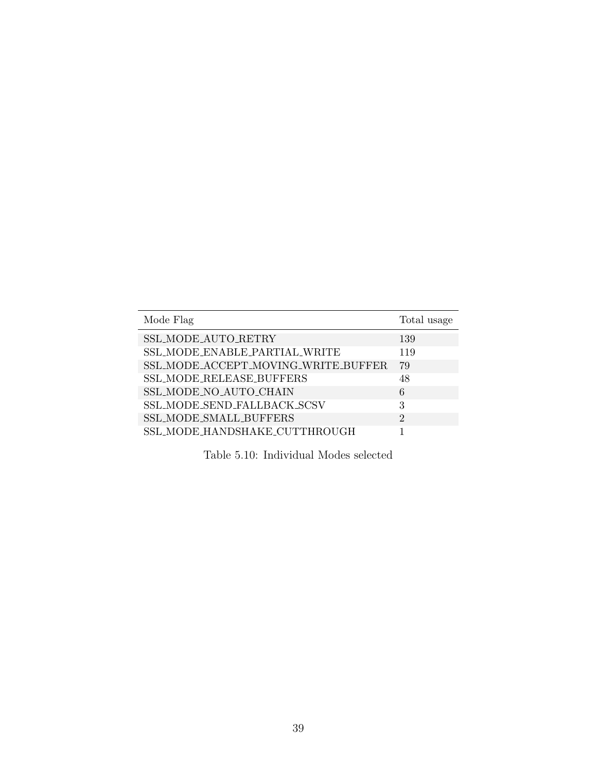<span id="page-45-0"></span>

| Mode Flag                           | Total usage    |
|-------------------------------------|----------------|
| SSL_MODE_AUTO_RETRY                 | 139            |
| SSL_MODE_ENABLE_PARTIAL_WRITE       | 119            |
| SSL_MODE_ACCEPT_MOVING_WRITE_BUFFER | 79             |
| SSL_MODE_RELEASE_BUFFERS            | 48             |
| SSL_MODE_NO_AUTO_CHAIN              | 6              |
| SSL_MODE_SEND_FALLBACK_SCSV         | 3              |
| SSL_MODE_SMALL_BUFFERS              | $\mathfrak{D}$ |
| SSL_MODE_HANDSHAKE_CUTTHROUGH       |                |

Table 5.10: Individual Modes selected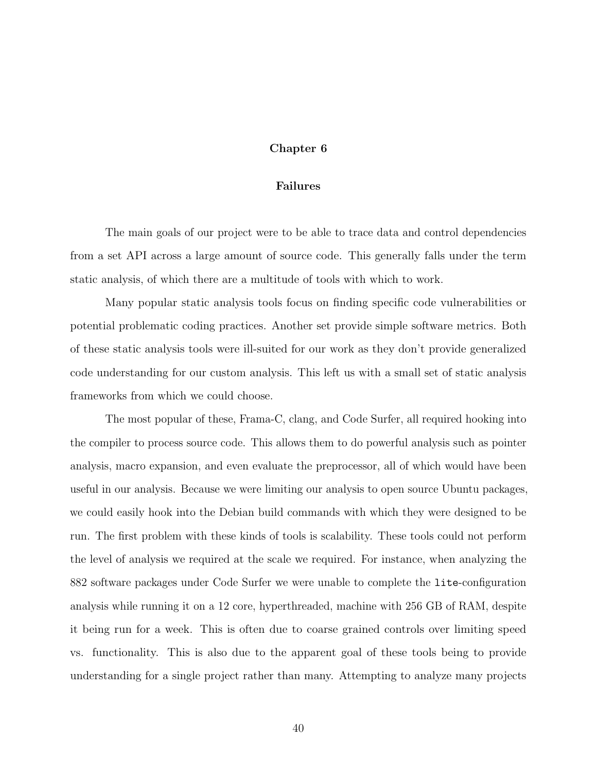# Chapter 6

#### Failures

<span id="page-46-0"></span>The main goals of our project were to be able to trace data and control dependencies from a set API across a large amount of source code. This generally falls under the term static analysis, of which there are a multitude of tools with which to work.

Many popular static analysis tools focus on finding specific code vulnerabilities or potential problematic coding practices. Another set provide simple software metrics. Both of these static analysis tools were ill-suited for our work as they don't provide generalized code understanding for our custom analysis. This left us with a small set of static analysis frameworks from which we could choose.

The most popular of these, Frama-C, clang, and Code Surfer, all required hooking into the compiler to process source code. This allows them to do powerful analysis such as pointer analysis, macro expansion, and even evaluate the preprocessor, all of which would have been useful in our analysis. Because we were limiting our analysis to open source Ubuntu packages, we could easily hook into the Debian build commands with which they were designed to be run. The first problem with these kinds of tools is scalability. These tools could not perform the level of analysis we required at the scale we required. For instance, when analyzing the 882 software packages under Code Surfer we were unable to complete the lite-configuration analysis while running it on a 12 core, hyperthreaded, machine with 256 GB of RAM, despite it being run for a week. This is often due to coarse grained controls over limiting speed vs. functionality. This is also due to the apparent goal of these tools being to provide understanding for a single project rather than many. Attempting to analyze many projects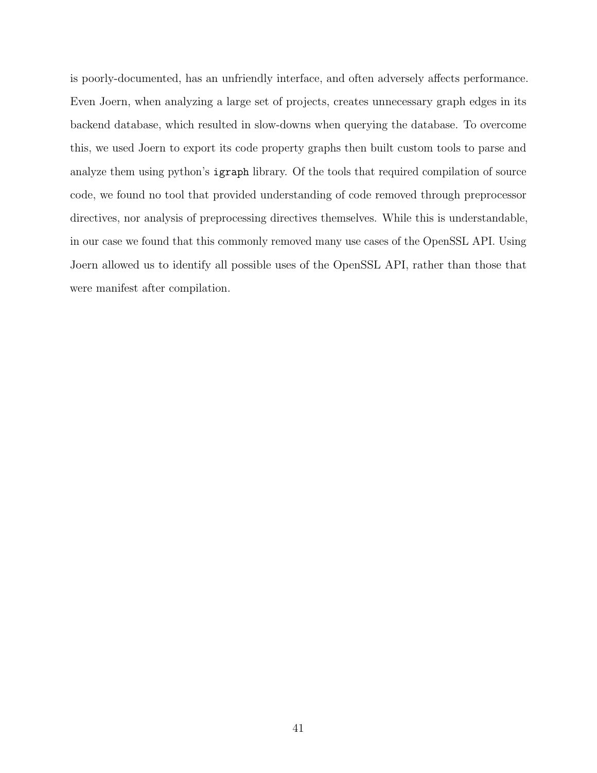is poorly-documented, has an unfriendly interface, and often adversely affects performance. Even Joern, when analyzing a large set of projects, creates unnecessary graph edges in its backend database, which resulted in slow-downs when querying the database. To overcome this, we used Joern to export its code property graphs then built custom tools to parse and analyze them using python's igraph library. Of the tools that required compilation of source code, we found no tool that provided understanding of code removed through preprocessor directives, nor analysis of preprocessing directives themselves. While this is understandable, in our case we found that this commonly removed many use cases of the OpenSSL API. Using Joern allowed us to identify all possible uses of the OpenSSL API, rather than those that were manifest after compilation.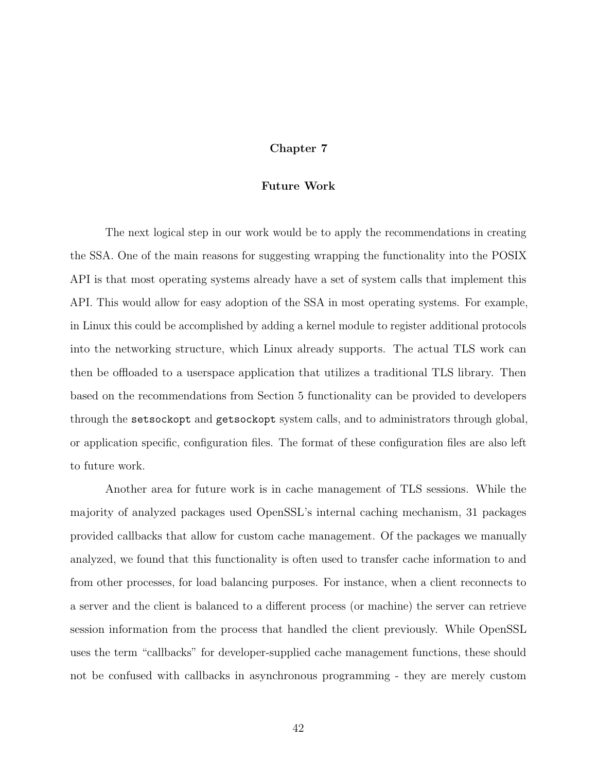# Chapter 7

#### Future Work

The next logical step in our work would be to apply the recommendations in creating the SSA. One of the main reasons for suggesting wrapping the functionality into the POSIX API is that most operating systems already have a set of system calls that implement this API. This would allow for easy adoption of the SSA in most operating systems. For example, in Linux this could be accomplished by adding a kernel module to register additional protocols into the networking structure, which Linux already supports. The actual TLS work can then be offloaded to a userspace application that utilizes a traditional TLS library. Then based on the recommendations from Section [5](#page-23-0) functionality can be provided to developers through the setsockopt and getsockopt system calls, and to administrators through global, or application specific, configuration files. The format of these configuration files are also left to future work.

Another area for future work is in cache management of TLS sessions. While the majority of analyzed packages used OpenSSL's internal caching mechanism, 31 packages provided callbacks that allow for custom cache management. Of the packages we manually analyzed, we found that this functionality is often used to transfer cache information to and from other processes, for load balancing purposes. For instance, when a client reconnects to a server and the client is balanced to a different process (or machine) the server can retrieve session information from the process that handled the client previously. While OpenSSL uses the term "callbacks" for developer-supplied cache management functions, these should not be confused with callbacks in asynchronous programming - they are merely custom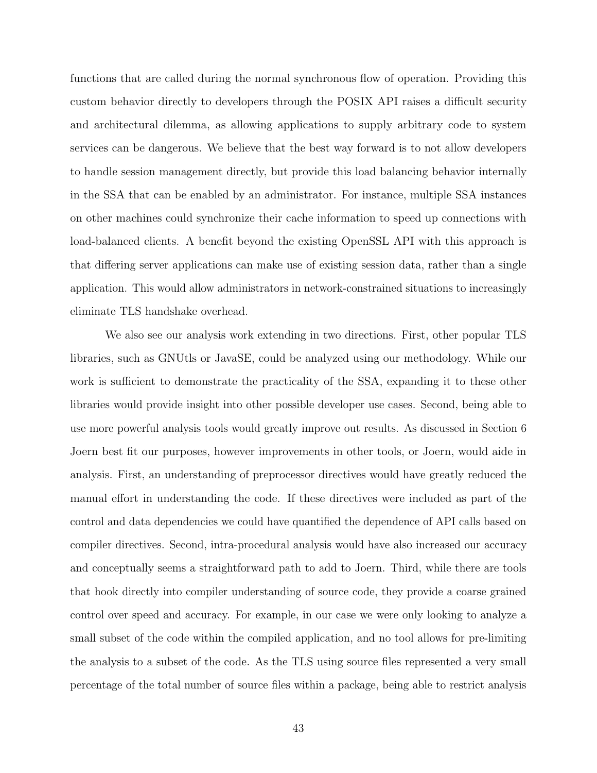functions that are called during the normal synchronous flow of operation. Providing this custom behavior directly to developers through the POSIX API raises a difficult security and architectural dilemma, as allowing applications to supply arbitrary code to system services can be dangerous. We believe that the best way forward is to not allow developers to handle session management directly, but provide this load balancing behavior internally in the SSA that can be enabled by an administrator. For instance, multiple SSA instances on other machines could synchronize their cache information to speed up connections with load-balanced clients. A benefit beyond the existing OpenSSL API with this approach is that differing server applications can make use of existing session data, rather than a single application. This would allow administrators in network-constrained situations to increasingly eliminate TLS handshake overhead.

We also see our analysis work extending in two directions. First, other popular TLS libraries, such as GNUtls or JavaSE, could be analyzed using our methodology. While our work is sufficient to demonstrate the practicality of the SSA, expanding it to these other libraries would provide insight into other possible developer use cases. Second, being able to use more powerful analysis tools would greatly improve out results. As discussed in Section [6](#page-46-0) Joern best fit our purposes, however improvements in other tools, or Joern, would aide in analysis. First, an understanding of preprocessor directives would have greatly reduced the manual effort in understanding the code. If these directives were included as part of the control and data dependencies we could have quantified the dependence of API calls based on compiler directives. Second, intra-procedural analysis would have also increased our accuracy and conceptually seems a straightforward path to add to Joern. Third, while there are tools that hook directly into compiler understanding of source code, they provide a coarse grained control over speed and accuracy. For example, in our case we were only looking to analyze a small subset of the code within the compiled application, and no tool allows for pre-limiting the analysis to a subset of the code. As the TLS using source files represented a very small percentage of the total number of source files within a package, being able to restrict analysis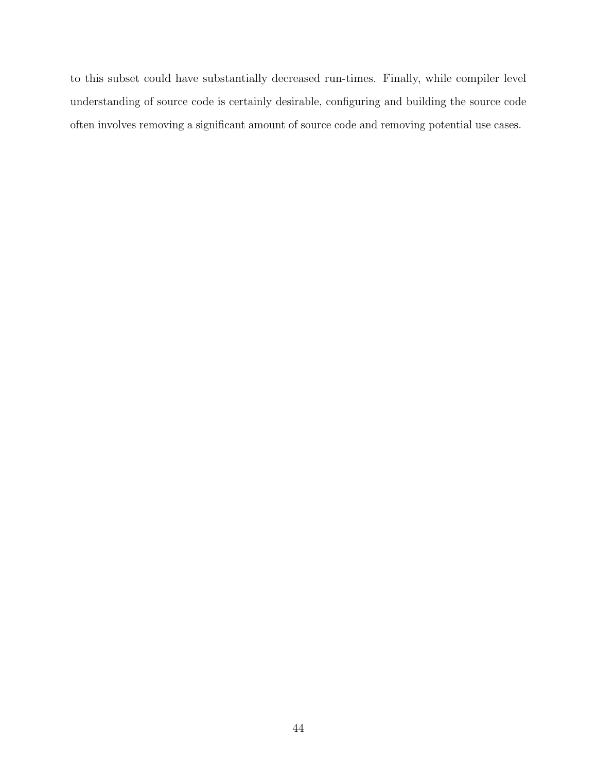to this subset could have substantially decreased run-times. Finally, while compiler level understanding of source code is certainly desirable, configuring and building the source code often involves removing a significant amount of source code and removing potential use cases.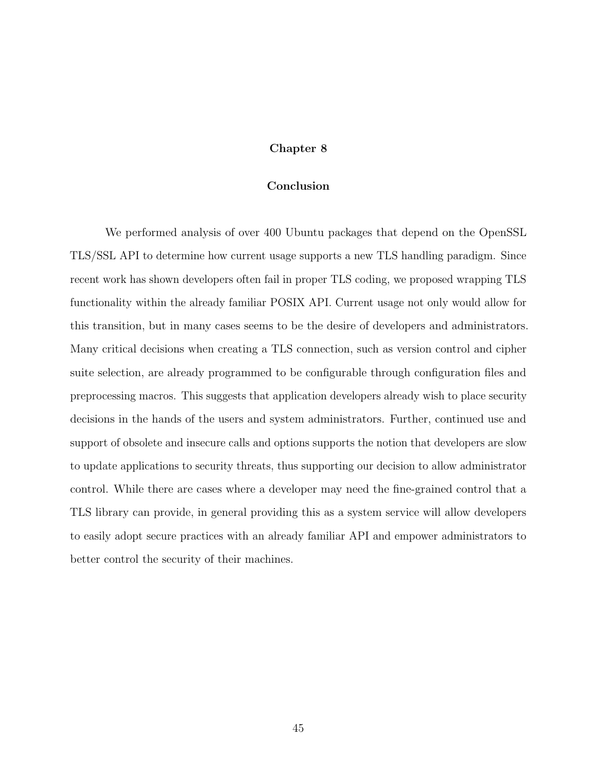# Chapter 8

## Conclusion

We performed analysis of over 400 Ubuntu packages that depend on the OpenSSL TLS/SSL API to determine how current usage supports a new TLS handling paradigm. Since recent work has shown developers often fail in proper TLS coding, we proposed wrapping TLS functionality within the already familiar POSIX API. Current usage not only would allow for this transition, but in many cases seems to be the desire of developers and administrators. Many critical decisions when creating a TLS connection, such as version control and cipher suite selection, are already programmed to be configurable through configuration files and preprocessing macros. This suggests that application developers already wish to place security decisions in the hands of the users and system administrators. Further, continued use and support of obsolete and insecure calls and options supports the notion that developers are slow to update applications to security threats, thus supporting our decision to allow administrator control. While there are cases where a developer may need the fine-grained control that a TLS library can provide, in general providing this as a system service will allow developers to easily adopt secure practices with an already familiar API and empower administrators to better control the security of their machines.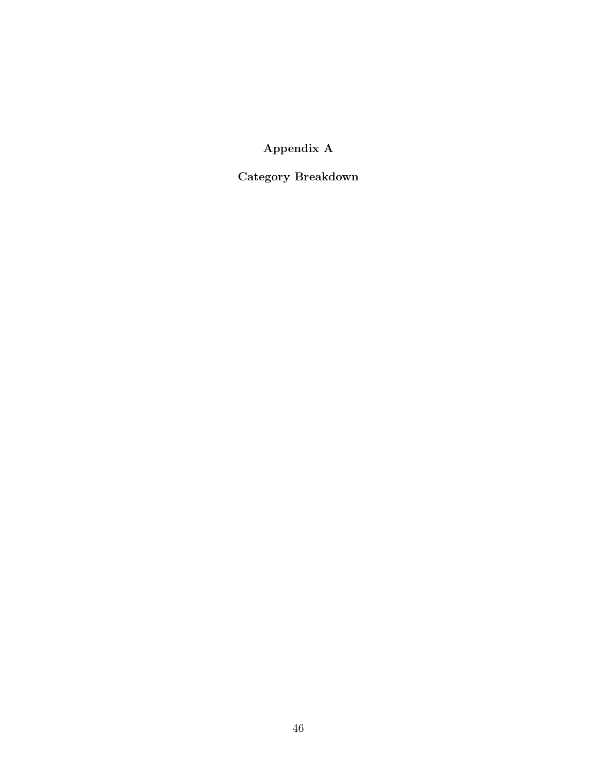Appendix A

Category Breakdown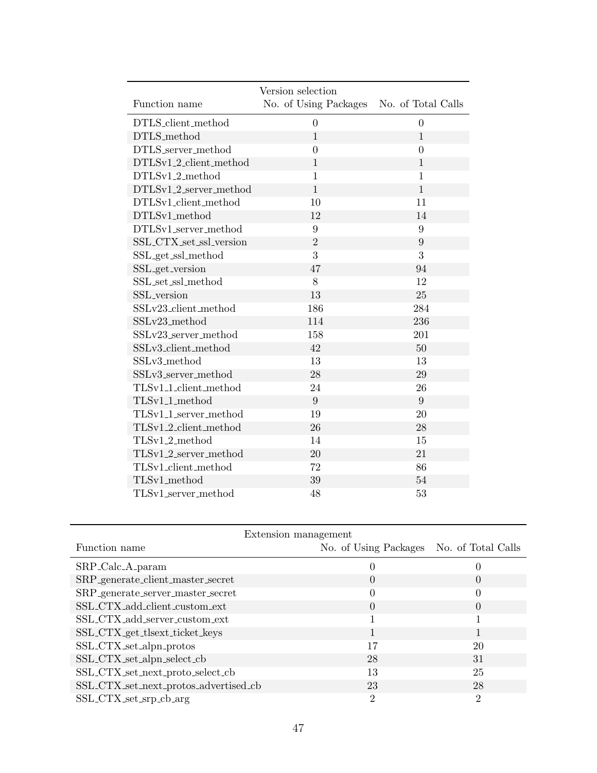|                                                             | Version selection     |                    |
|-------------------------------------------------------------|-----------------------|--------------------|
| Function name                                               | No. of Using Packages | No. of Total Calls |
| DTLS_client_method                                          | $\theta$              | $\theta$           |
| DTLS_method                                                 | $\mathbf{1}$          | $\mathbf{1}$       |
| DTLS_server_method                                          | $\theta$              | $\overline{0}$     |
| DTLSv1_2_client_method                                      | $\mathbf{1}$          | $\mathbf{1}$       |
| DTLSv1_2_method                                             | $\mathbf{1}$          | $\mathbf{1}$       |
| DTLSv1_2_server_method                                      | $\mathbf{1}$          | $\mathbf{1}$       |
| DTLSv1_client_method                                        | 10                    | 11                 |
| DTLSv1_method                                               | 12                    | 14                 |
| DTLSv1_server_method                                        | 9                     | 9                  |
| SSL_CTX_set_ssl_version                                     | $\overline{2}$        | 9                  |
| SSL_get_ssl_method                                          | 3                     | 3                  |
| SSL_get_version                                             | 47                    | 94                 |
| $\operatorname{SSL}\_\text{set}\_\text{ssl}\_\text{method}$ | 8                     | 12                 |
| SSL_version                                                 | 13                    | 25                 |
| SSLv23_client_method                                        | 186                   | 284                |
| SSLv23_method                                               | 114                   | 236                |
| SSLv23_server_method                                        | 158                   | 201                |
| SSLv3_client_method                                         | 42                    | 50                 |
| SSLv3_method                                                | 13                    | 13                 |
| SSLv3_server_method                                         | 28                    | 29                 |
| TLSv1_1_client_method                                       | 24                    | 26                 |
| TLSv1_1_method                                              | 9                     | 9                  |
| TLSv1_1_server_method                                       | 19                    | 20                 |
| TLSv1_2_client_method                                       | 26                    | 28                 |
| TLSv1_2_method                                              | 14                    | 15                 |
| TLSv1_2_server_method                                       | 20                    | 21                 |
| TLSv1_client_method                                         | 72                    | 86                 |
| TLSv1_method                                                | 39                    | 54                 |
| TLSv1_server_method                                         | 48                    | 53                 |

| Extension management                  |                                          |                |
|---------------------------------------|------------------------------------------|----------------|
| Function name                         | No. of Using Packages No. of Total Calls |                |
| SRP_Calc_A_param                      | 0                                        |                |
| SRP_generate_client_master_secret     | 0                                        |                |
| SRP_generate_server_master_secret     | 0                                        | 0              |
| SSL_CTX_add_client_custom_ext         | 0                                        | 0              |
| SSL_CTX_add_server_custom_ext         |                                          |                |
| SSL_CTX_get_tlsext_ticket_keys        |                                          |                |
| SSL_CTX_set_alpn_protos               | 17                                       | 20             |
| SSL_CTX_set_alpn_select_cb            | 28                                       | 31             |
| SSL_CTX_set_next_proto_select_cb      | 13                                       | 25             |
| SSL_CTX_set_next_protos_advertised_cb | 23                                       | 28             |
| SSL_CTX_set_srp_cb_arg                | 2                                        | $\overline{2}$ |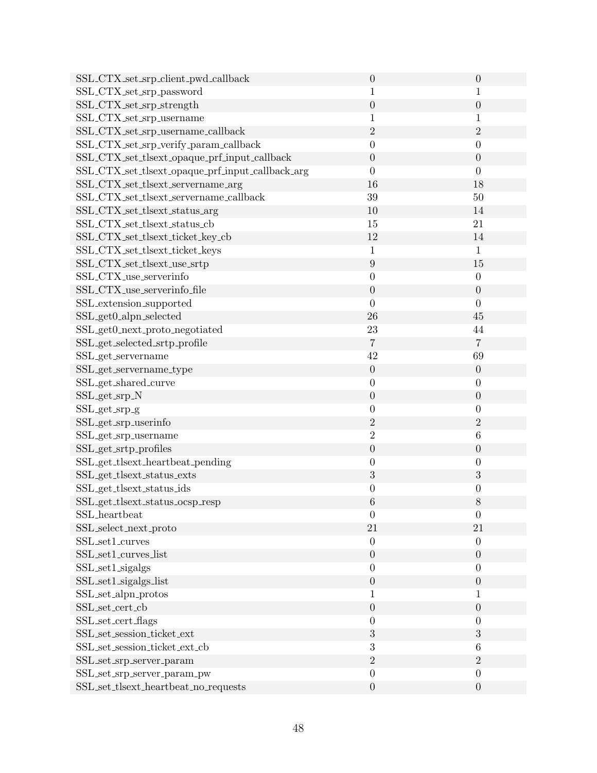| SSL_CTX_set_srp_client_pwd_callback                          | $\boldsymbol{0}$ | $\theta$         |
|--------------------------------------------------------------|------------------|------------------|
| SSL_CTX_set_srp_password                                     | 1                | 1                |
| SSL_CTX_set_srp_strength                                     | $\overline{0}$   | $\overline{0}$   |
| SSL_CTX_set_srp_username                                     | $\mathbf{1}$     | $\mathbf{1}$     |
| SSL_CTX_set_srp_username_callback                            | $\overline{2}$   | $\overline{2}$   |
| SSL_CTX_set_srp_verify_param_callback                        | $\boldsymbol{0}$ | $\theta$         |
| SSL_CTX_set_tlsext_opaque_prf_input_callback                 | $\boldsymbol{0}$ | $\overline{0}$   |
| SSL_CTX_set_tlsext_opaque_prf_input_callback_arg             | $\overline{0}$   | $\overline{0}$   |
| SSL_CTX_set_tlsext_servername_arg                            | 16               | 18               |
| $\operatorname{SSL\_CTX\_set\_tlsext\_servername\_callback}$ | 39               | 50               |
| SSL_CTX_set_tlsext_status_arg                                | 10               | 14               |
| SSL_CTX_set_tlsext_status_cb                                 | 15               | 21               |
| SSL_CTX_set_tlsext_ticket_key_cb                             | 12               | 14               |
| SSL_CTX_set_tlsext_ticket_keys                               | $\mathbf 1$      | $\mathbf{1}$     |
| SSL_CTX_set_tlsext_use_srtp                                  | $\boldsymbol{9}$ | 15               |
| SSL_CTX_use_serverinfo                                       | $\boldsymbol{0}$ | $\theta$         |
| SSL_CTX_use_serverinfo_file                                  | $\boldsymbol{0}$ | $\theta$         |
| SSL_extension_supported                                      | $\boldsymbol{0}$ | $\overline{0}$   |
| SSL_get0_alpn_selected                                       | ${\bf 26}$       | 45               |
| SSL_get0_next_proto_negotiated                               | $23\,$           | 44               |
| SSL_get_selected_srtp_profile                                | $\overline{7}$   | $\overline{7}$   |
| SSL_get_servername                                           | 42               | 69               |
| SSL_get_servername_type                                      | $\overline{0}$   | $\theta$         |
| SSL_get_shared_curve                                         | $\boldsymbol{0}$ | $\theta$         |
| SSL_get_srp_N                                                | $\boldsymbol{0}$ | $\theta$         |
| SSL_get_srp_g                                                | $\boldsymbol{0}$ | $\theta$         |
| SSL_get_srp_userinfo                                         | $\sqrt{2}$       | $\sqrt{2}$       |
| SSL_get_srp_username                                         | $\overline{2}$   | 6                |
| SSL_get_srtp_profiles                                        | $\boldsymbol{0}$ | $\boldsymbol{0}$ |
| SSL_get_tlsext_heartbeat_pending                             | $\boldsymbol{0}$ | $\theta$         |
| SSL_get_tlsext_status_exts                                   | 3                | 3                |
| SSL_get_tlsext_status_ids                                    | $\boldsymbol{0}$ | $\overline{0}$   |
| SSL_get_tlsext_status_ocsp_resp                              | $\,6\,$          | 8                |
| SSL_heartbeat                                                | $\boldsymbol{0}$ | $\overline{0}$   |
| SSL_select_next_proto                                        | 21               | 21               |
| SSL_set1_curves                                              | $\overline{0}$   | $\theta$         |
| SSL_set1_curves_list                                         | $\boldsymbol{0}$ | $\theta$         |
| SSL_set1_sigalgs                                             | $\overline{0}$   | $\overline{0}$   |
| SSL_set1_sigalgs_list                                        | $\boldsymbol{0}$ | $\theta$         |
| $\operatorname{SSL\_set\_alpn\_protos}$                      | 1                | $\mathbf{1}$     |
| SSL_set_cert_cb                                              | $\boldsymbol{0}$ | $\theta$         |
| SSL_set_cert_flags                                           | $\overline{0}$   | $\theta$         |
| SSL_set_session_ticket_ext                                   | $\sqrt{3}$       | $\sqrt{3}$       |
| SSL_set_session_ticket_ext_cb                                | 3                | 6                |
| SSL_set_srp_server_param                                     | $\overline{2}$   | $\overline{2}$   |
| SSL_set_srp_server_param_pw                                  | $\boldsymbol{0}$ | $\boldsymbol{0}$ |
| SSL_set_tlsext_heartbeat_no_requests                         | $\boldsymbol{0}$ | $\boldsymbol{0}$ |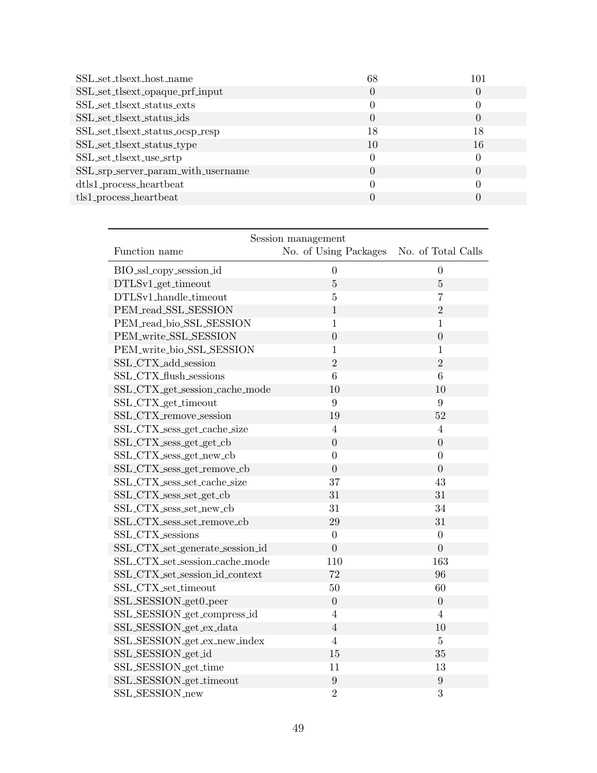| SSL_set_tlsext_host_name           | 68 | 101 |
|------------------------------------|----|-----|
| SSL_set_tlsext_opaque_prf_input    |    |     |
| SSL_set_tlsext_status_exts         |    |     |
| SSL_set_tlsext_status_ids          |    |     |
| SSL_set_tlsext_status_ocsp_resp    | 18 | 18  |
| SSL_set_tlsext_status_type         | 10 | 16  |
| SSL_set_tlsext_use_srtp            |    |     |
| SSL_srp_server_param_with_username | 0  |     |
| dtls1_process_heartbeat            |    |     |
| $tls1$ -process_heartbeat          |    |     |
|                                    |    |     |

| Session management              |                       |                    |  |
|---------------------------------|-----------------------|--------------------|--|
| Function name                   | No. of Using Packages | No. of Total Calls |  |
| BIO_ssl_copy_session_id         | $\boldsymbol{0}$      | $\overline{0}$     |  |
| DTLSv1_get_timeout              | $\bf 5$               | $\overline{5}$     |  |
| DTLSv1_handle_timeout           | $\bf 5$               | $\overline{7}$     |  |
| PEM_read_SSL_SESSION            | $\mathbf{1}$          | $\overline{2}$     |  |
| PEM_read_bio_SSL_SESSION        | $\mathbf{1}$          | $\mathbf{1}$       |  |
| PEM_write_SSL_SESSION           | $\boldsymbol{0}$      | $\overline{0}$     |  |
| PEM_write_bio_SSL_SESSION       | $\mathbf{1}$          | $\mathbf{1}$       |  |
| SSL_CTX_add_session             | $\overline{2}$        | $\overline{2}$     |  |
| SSL_CTX_flush_sessions          | 6                     | 6                  |  |
| SSL_CTX_get_session_cache_mode  | 10                    | 10                 |  |
| SSL_CTX_get_timeout             | 9                     | 9                  |  |
| SSL_CTX_remove_session          | 19                    | 52                 |  |
| SSL_CTX_sess_get_cache_size     | $\overline{4}$        | $\overline{4}$     |  |
| SSL_CTX_sess_get_get_cb         | $\overline{0}$        | $\overline{0}$     |  |
| SSL_CTX_sess_get_new_cb         | $\overline{0}$        | $\overline{0}$     |  |
| SSL_CTX_sess_get_remove_cb      | $\overline{0}$        | $\overline{0}$     |  |
| SSL_CTX_sess_set_cache_size     | 37                    | 43                 |  |
| SSL_CTX_sess_set_get_cb         | 31                    | 31                 |  |
| SSL_CTX_sess_set_new_cb         | 31                    | 34                 |  |
| SSL_CTX_sess_set_remove_cb      | 29                    | 31                 |  |
| SSL_CTX_sessions                | $\boldsymbol{0}$      | $\overline{0}$     |  |
| SSL_CTX_set_generate_session_id | $\overline{0}$        | $\overline{0}$     |  |
| SSL_CTX_set_session_cache_mode  | 110                   | 163                |  |
| SSL_CTX_set_session_id_context  | 72                    | 96                 |  |
| SSL_CTX_set_timeout             | 50                    | 60                 |  |
| SSL_SESSION_get0_peer           | $\boldsymbol{0}$      | $\overline{0}$     |  |
| SSL_SESSION_get_compress_id     | $\overline{4}$        | $\overline{4}$     |  |
| SSL_SESSION_get_ex_data         | $\overline{4}$        | 10                 |  |
| SSL_SESSION_get_ex_new_index    | $\overline{4}$        | $\bf 5$            |  |
| SSL_SESSION_get_id              | 15                    | 35                 |  |
| SSL_SESSION_get_time            | 11                    | 13                 |  |
| SSL_SESSION_get_timeout         | $\boldsymbol{9}$      | $\boldsymbol{9}$   |  |
| SSL_SESSION_new                 | $\overline{2}$        | 3                  |  |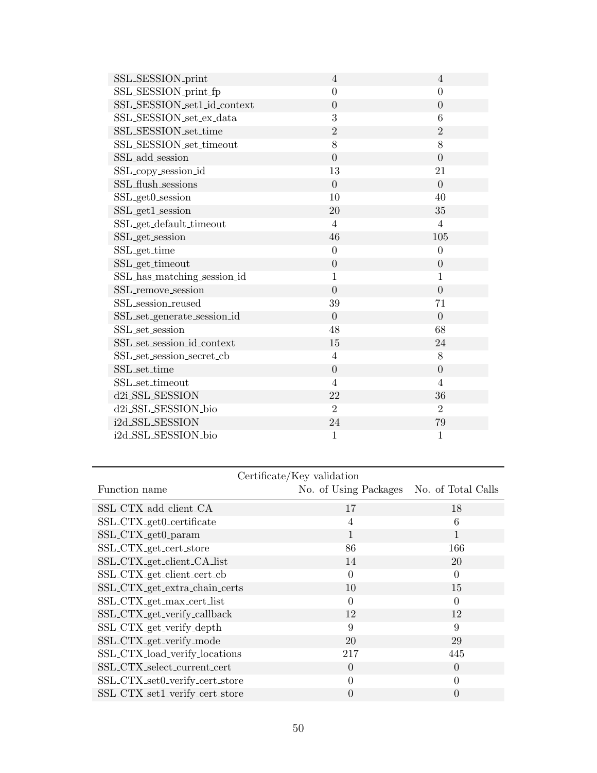| SSL_SESSION_print           | $\overline{4}$   | $\overline{4}$   |
|-----------------------------|------------------|------------------|
| SSL_SESSION_print_fp        | $\overline{0}$   | $\overline{0}$   |
| SSL_SESSION_set1_id_context | $\overline{0}$   | $\overline{0}$   |
| SSL_SESSION_set_ex_data     | 3                | 6                |
| SSL_SESSION_set_time        | $\overline{2}$   | $\overline{2}$   |
| SSL_SESSION_set_timeout     | 8                | 8                |
| SSL_add_session             | $\overline{0}$   | $\overline{0}$   |
| SSL_copy_session_id         | 13               | 21               |
| SSL_flush_sessions          | $\overline{0}$   | $\overline{0}$   |
| SSL_get0_session            | 10               | 40               |
| SSL_get1_session            | 20               | 35               |
| SSL_get_default_timeout     | $\overline{4}$   | $\overline{4}$   |
| SSL_get_session             | 46               | 105              |
| SSL <sub>-get-time</sub>    | $\boldsymbol{0}$ | $\boldsymbol{0}$ |
| SSL <sub>-get-timeout</sub> | $\overline{0}$   | $\overline{0}$   |
| SSL_has_matching_session_id | $\mathbf{1}$     | 1                |
| SSL_remove_session          | $\overline{0}$   | $\overline{0}$   |
| SSL_session_reused          | 39               | 71               |
| SSL_set_generate_session_id | $\overline{0}$   | $\overline{0}$   |
| SSL_set_session             | 48               | 68               |
| SSL_set_session_id_context  | 15               | 24               |
| SSL_set_session_secret_cb   | 4                | 8                |
| SSL_set_time                | $\overline{0}$   | $\overline{0}$   |
| SSL_set_timeout             | $\overline{4}$   | $\overline{4}$   |
| d2i_SSL_SESSION             | 22               | 36               |
| d2i_SSL_SESSION_bio         | $\overline{2}$   | $\overline{2}$   |
| i2d_SSL_SESSION             | 24               | 79               |
| i2d_SSL_SESSION_bio         | $\mathbf{1}$     | 1                |

| Certificate/Key validation     |                       |                    |
|--------------------------------|-----------------------|--------------------|
| Function name                  | No. of Using Packages | No. of Total Calls |
| SSL_CTX_add_client_CA          | 17                    | 18                 |
| SSL_CTX_get0_certificate       | $\overline{4}$        | 6                  |
| SSL_CTX_get0_param             | 1                     | 1                  |
| SSL_CTX_get_cert_store         | 86                    | 166                |
| SSL_CTX_get_client_CA_list     | 14                    | 20                 |
| SSL_CTX_get_client_cert_cb     | $\Omega$              | $\Omega$           |
| SSL_CTX_get_extra_chain_certs  | 10                    | 15                 |
| SSL_CTX_get_max_cert_list      | $\theta$              | $\Omega$           |
| SSL_CTX_get_verify_callback    | 12                    | 12                 |
| SSL_CTX_get_verify_depth       | 9                     | 9                  |
| SSL_CTX_get_verify_mode        | 20                    | 29                 |
| SSL_CTX_load_verify_locations  | 217                   | 445                |
| SSL_CTX_select_current_cert    | $\Omega$              | $\Omega$           |
| SSL_CTX_set0_verify_cert_store | $\theta$              | $\Omega$           |
| SSL_CTX_set1_verify_cert_store | 0                     | $\mathbf{0}$       |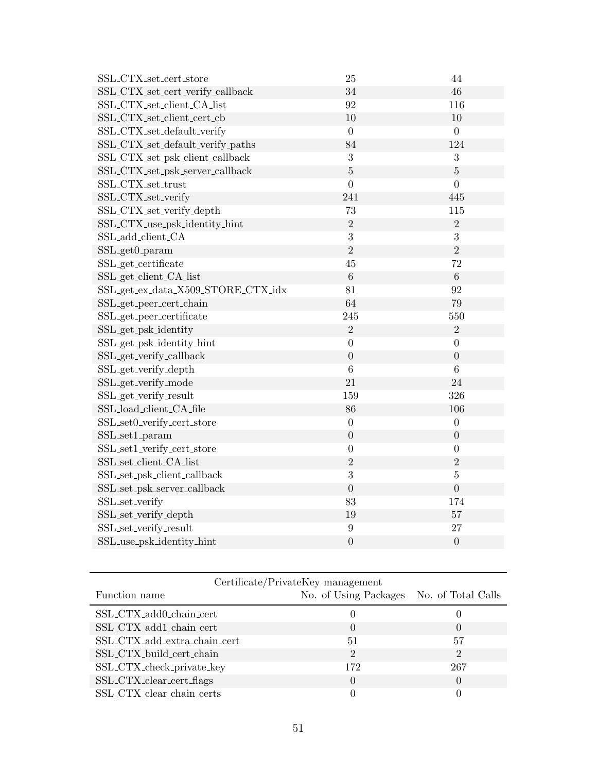| SSL_CTX_set_cert_store             | 25                | 44               |
|------------------------------------|-------------------|------------------|
| SSL_CTX_set_cert_verify_callback   | 34                | 46               |
| SSL_CTX_set_client_CA_list         | $\boldsymbol{92}$ | 116              |
| SSL_CTX_set_client_cert_cb         | 10                | 10               |
| SSL_CTX_set_default_verify         | $\boldsymbol{0}$  | $\overline{0}$   |
| SSL_CTX_set_default_verify_paths   | 84                | 124              |
| SSL_CTX_set_psk_client_callback    | 3                 | 3                |
| SSL_CTX_set_psk_server_callback    | $\overline{5}$    | $\overline{5}$   |
| SSL_CTX_set_trust                  | $\overline{0}$    | $\overline{0}$   |
| SSL_CTX_set_verify                 | 241               | 445              |
| SSL_CTX_set_verify_depth           | 73                | 115              |
| SSL_CTX_use_psk_identity_hint      | $\overline{2}$    | $\overline{2}$   |
| SSL_add_client_CA                  | 3                 | 3                |
| SSL_get0_param                     | $\overline{2}$    | $\overline{2}$   |
| SSL_get_certificate                | 45                | 72               |
| SSL_get_client_CA_list             | 6                 | $6\phantom{.}6$  |
| SSL_get_ex_data_X509_STORE_CTX_idx | 81                | 92               |
| SSL_get_peer_cert_chain            | 64                | 79               |
| SSL_get_peer_certificate           | 245               | 550              |
| SSL_get_psk_identity               | $\overline{2}$    | $\overline{2}$   |
| SSL_get_psk_identity_hint          | $\overline{0}$    | $\boldsymbol{0}$ |
| SSL_get_verify_callback            | $\overline{0}$    | $\overline{0}$   |
| SSL_get_verify_depth               | 6                 | 6                |
| SSL_get_verify_mode                | 21                | 24               |
| SSL_get_verify_result              | 159               | 326              |
| SSL_load_client_CA_file            | 86                | 106              |
| SSL_set0_verify_cert_store         | $\boldsymbol{0}$  | $\boldsymbol{0}$ |
| SSL_set1_param                     | $\boldsymbol{0}$  | $\boldsymbol{0}$ |
| SSL_set1_verify_cert_store         | $\overline{0}$    | $\boldsymbol{0}$ |
| SSL_set_client_CA_list             | $\overline{2}$    | $\overline{2}$   |
| SSL_set_psk_client_callback        | 3                 | $\bf 5$          |
| SSL_set_psk_server_callback        | $\overline{0}$    | $\overline{0}$   |
| SSL_set_verify                     | 83                | 174              |
| SSL_set_verify_depth               | 19                | 57               |
| SSL_set_verify_result              | $\boldsymbol{9}$  | 27               |
| SSL_use_psk_identity_hint          | $\overline{0}$    | $\boldsymbol{0}$ |

| Certificate/PrivateKey management |                                          |                  |
|-----------------------------------|------------------------------------------|------------------|
| Function name                     | No. of Using Packages No. of Total Calls |                  |
| SSL_CTX_add0_chain_cert           |                                          |                  |
| SSL_CTX_add1_chain_cert           |                                          | $\left( \right)$ |
| SSL_CTX_add_extra_chain_cert      | 51                                       | 57               |
| SSL_CTX_build_cert_chain          | $\mathcal{D}_{\mathcal{L}}$              | $\overline{2}$   |
| SSL_CTX_check_private_key         | 172                                      | 267              |
| SSL_CTX_clear_cert_flags          |                                          | $\Omega$         |
| SSL_CTX_clear_chain_certs         |                                          |                  |

l.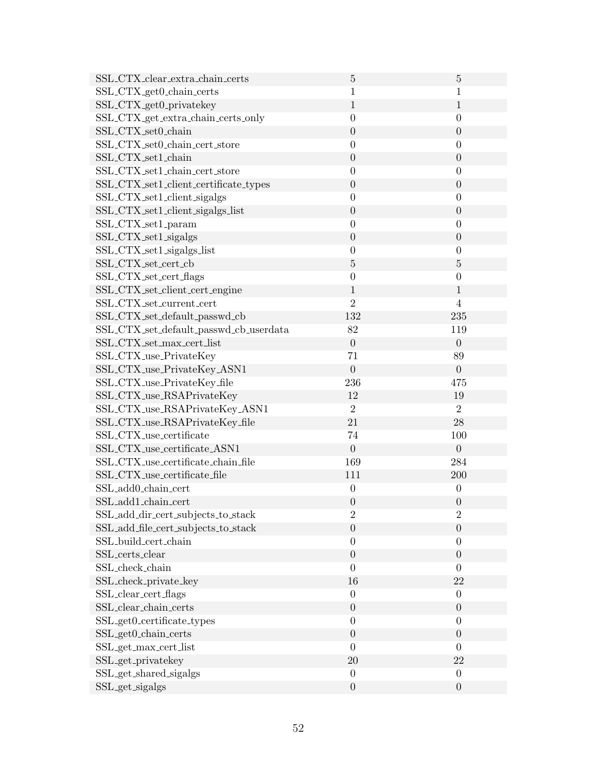| SSL_CTX_clear_extra_chain_certs        | $\overline{5}$   | $\overline{5}$   |
|----------------------------------------|------------------|------------------|
| SSL_CTX_get0_chain_certs               | $\mathbf{1}$     | 1                |
| SSL_CTX_get0_privatekey                | $\mathbf{1}$     | $1\,$            |
| SSL_CTX_get_extra_chain_certs_only     | $\overline{0}$   | $\boldsymbol{0}$ |
| SSL_CTX_set0_chain                     | $\boldsymbol{0}$ | $\theta$         |
| SSL_CTX_set0_chain_cert_store          | $\boldsymbol{0}$ | $\boldsymbol{0}$ |
| SSL_CTX_set1_chain                     | $\overline{0}$   | $\boldsymbol{0}$ |
| SSL_CTX_set1_chain_cert_store          | $\overline{0}$   | $\overline{0}$   |
| SSL_CTX_set1_client_certificate_types  | $\overline{0}$   | $\boldsymbol{0}$ |
| SSL_CTX_set1_client_sigalgs            | $\overline{0}$   | $\boldsymbol{0}$ |
| SSL_CTX_set1_client_sigalgs_list       | $\overline{0}$   | $\boldsymbol{0}$ |
| SSL_CTX_set1_param                     | $\boldsymbol{0}$ | $\boldsymbol{0}$ |
| SSL_CTX_set1_sigalgs                   | $\boldsymbol{0}$ | $\boldsymbol{0}$ |
| SSL_CTX_set1_sigalgs_list              | $\boldsymbol{0}$ | $\boldsymbol{0}$ |
| SSL_CTX_set_cert_cb                    | $\bf 5$          | $\overline{5}$   |
| SSL_CTX_set_cert_flags                 | $\boldsymbol{0}$ | $\boldsymbol{0}$ |
| SSL_CTX_set_client_cert_engine         | 1                | $\mathbf{1}$     |
| SSL_CTX_set_current_cert               | $\overline{2}$   | $\overline{4}$   |
| SSL_CTX_set_default_passwd_cb          | 132              | 235              |
| SSL_CTX_set_default_passwd_cb_userdata | 82               | 119              |
| SSL_CTX_set_max_cert_list              | $\boldsymbol{0}$ | $\overline{0}$   |
| SSL_CTX_use_PrivateKey                 | 71               | 89               |
| SSL_CTX_use_PrivateKey_ASN1            | $\overline{0}$   | $\overline{0}$   |
| SSL_CTX_use_PrivateKey_file            | 236              | 475              |
| SSL_CTX_use_RSAPrivateKey              | 12               | 19               |
| SSL_CTX_use_RSAPrivateKey_ASN1         | $\overline{2}$   | $\overline{2}$   |
| SSL_CTX_use_RSAPrivateKey_file         | 21               | 28               |
| SSL_CTX_use_certificate                | 74               | 100              |
| SSL_CTX_use_certificate_ASN1           | $\boldsymbol{0}$ | $\theta$         |
| SSL_CTX_use_certificate_chain_file     | 169              | 284              |
| SSL_CTX_use_certificate_file           | 111              | 200              |
| SSL_add0_chain_cert                    | $\boldsymbol{0}$ | $\boldsymbol{0}$ |
| SSL_add1_chain_cert                    | $\theta$         | $\theta$         |
| SSL_add_dir_cert_subjects_to_stack     | $\overline{2}$   | $\sqrt{2}$       |
| SSL_add_file_cert_subjects_to_stack    | $\boldsymbol{0}$ | $\boldsymbol{0}$ |
| SSL_build_cert_chain                   | $\boldsymbol{0}$ | $\boldsymbol{0}$ |
| SSL_certs_clear                        | $\boldsymbol{0}$ | $\boldsymbol{0}$ |
| SSL_check_chain                        | $\overline{0}$   | $\overline{0}$   |
| SSL_check_private_key                  | 16               | 22               |
| SSL_clear_cert_flags                   | $\boldsymbol{0}$ | $\boldsymbol{0}$ |
| SSL_clear_chain_certs                  | $\boldsymbol{0}$ | $\boldsymbol{0}$ |
| SSL_get0_certificate_types             | $\boldsymbol{0}$ | $\boldsymbol{0}$ |
| SSL_get0_chain_certs                   | $\boldsymbol{0}$ | $\boldsymbol{0}$ |
| SSL_get_max_cert_list                  | $\boldsymbol{0}$ | $\boldsymbol{0}$ |
| SSL_get_privatekey                     | 20               | 22               |
| SSL_get_shared_sigalgs                 | $\boldsymbol{0}$ | $\boldsymbol{0}$ |
| SSL_get_sigalgs                        | $\boldsymbol{0}$ | $\boldsymbol{0}$ |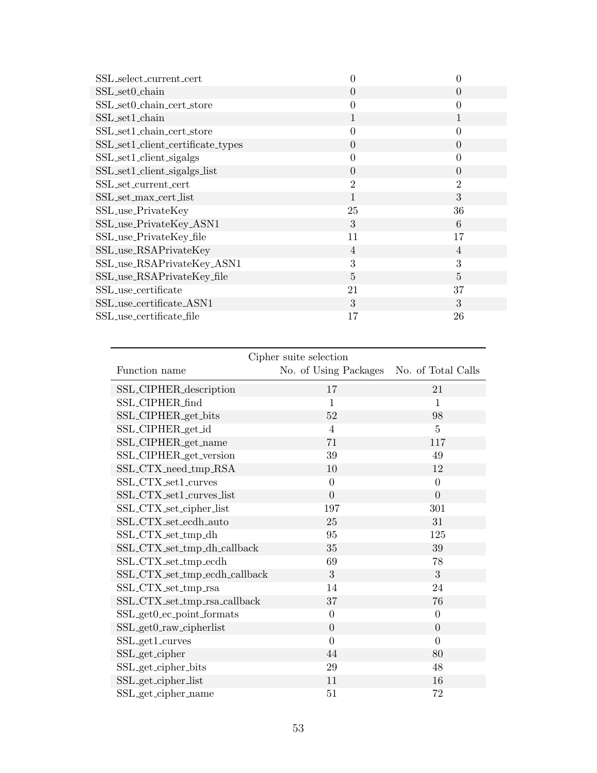| SSL_select_current_cert           | 0              | 0              |
|-----------------------------------|----------------|----------------|
| SSL_set0_chain                    | $\Omega$       | $\theta$       |
| SSL_set0_chain_cert_store         | $\theta$       | 0              |
| SSL_set1_chain                    | 1              |                |
| SSL_set1_chain_cert_store         | $\theta$       | 0              |
| SSL_set1_client_certificate_types | $\overline{0}$ | $\overline{0}$ |
| SSL_set1_client_sigalgs           | 0              | 0              |
| SSL_set1_client_sigalgs_list      | $\Omega$       | $\theta$       |
| SSL_set_current_cert              | $\overline{2}$ | $\overline{2}$ |
| SSL_set_max_cert_list             | 1              | 3              |
| SSL_use_PrivateKey                | 25             | 36             |
| SSL_use_PrivateKey_ASN1           | 3              | 6              |
| SSL_use_PrivateKey_file           | 11             | 17             |
| SSL_use_RSAPrivateKey             | $\overline{4}$ | 4              |
| SSL_use_RSAPrivateKey_ASN1        | 3              | 3              |
| SSL_use_RSAPrivateKey_file        | 5              | 5              |
| SSL_use_certificate               | 21             | 37             |
| SSL_use_certificate_ASN1          | 3              | 3              |
| SSL_use_certificate_file          | 17             | 26             |

| Cipher suite selection          |                       |                    |  |
|---------------------------------|-----------------------|--------------------|--|
| Function name                   | No. of Using Packages | No. of Total Calls |  |
| SSL_CIPHER_description          | 17                    | 21                 |  |
| SSL_CIPHER_find                 | $\mathbf{1}$          | $\mathbf{1}$       |  |
| SSL_CIPHER_get_bits             | 52                    | 98                 |  |
| SSL_CIPHER_get_id               | $\overline{4}$        | $\overline{5}$     |  |
| SSL_CIPHER_get_name             | 71                    | 117                |  |
| SSL_CIPHER_get_version          | 39                    | 49                 |  |
| SSL_CTX_need_tmp_RSA            | 10                    | 12                 |  |
| SSL_CTX_set1_curves             | $\overline{0}$        | $\theta$           |  |
| SSL_CTX_set1_curves_list        | $\overline{0}$        | $\overline{0}$     |  |
| SSL_CTX_set_cipher_list         | 197                   | 301                |  |
| SSL_CTX_set_ecdh_auto           | 25                    | 31                 |  |
| SSL_CTX_set_tmp_dh              | 95                    | 125                |  |
| SSL_CTX_set_tmp_dh_callback     | 35                    | 39                 |  |
| SSL_CTX_set_tmp_ecdh            | 69                    | 78                 |  |
| SSL_CTX_set_tmp_ecdh_callback   | 3                     | 3                  |  |
| SSL_CTX_set_tmp_rsa             | 14                    | 24                 |  |
| SSL_CTX_set_tmp_rsa_callback    | 37                    | 76                 |  |
| SSL_get0_ec_point_formats       | $\overline{0}$        | $\theta$           |  |
| SSL_get0_raw_cipherlist         | $\overline{0}$        | $\overline{0}$     |  |
| SSL_get1_curves                 | $\overline{0}$        | $\overline{0}$     |  |
| SSL_get_cipher                  | 44                    | 80                 |  |
| SSL <sub>-get-cipher-bits</sub> | $\,29$                | 48                 |  |
| SSL_get_cipher_list             | 11                    | 16                 |  |
| SSL_get_cipher_name             | 51                    | 72                 |  |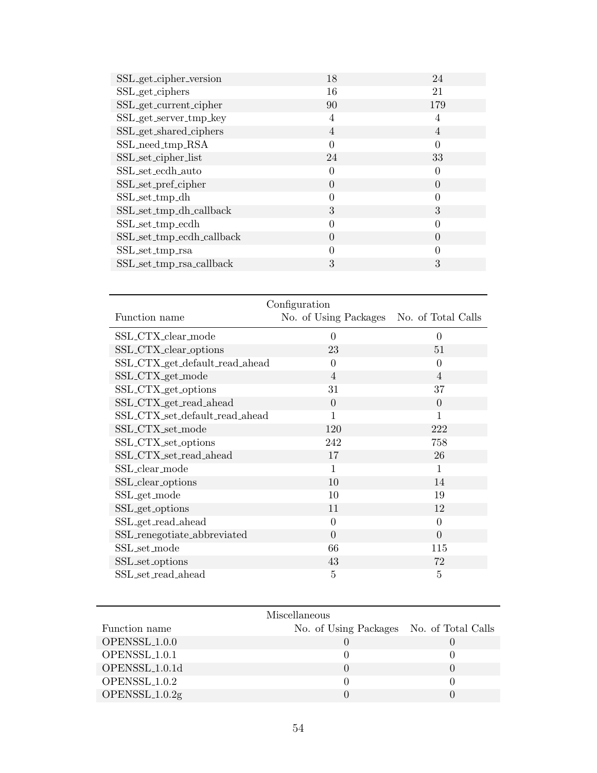| SSL_get_cipher_version    | 18             | 24               |
|---------------------------|----------------|------------------|
| SSL_get_ciphers           | 16             | 21               |
| SSL_get_current_cipher    | 90             | 179              |
| SSL_get_server_tmp_key    | 4              | 4                |
| SSL_get_shared_ciphers    | $\overline{4}$ | 4                |
| SSL_need_tmp_RSA          | $\Omega$       | $\Omega$         |
| SSL_set_cipher_list       | 24             | 33               |
| SSL_set_ecdh_auto         | 0              |                  |
| SSL_set_pref_cipher       | $\Omega$       | $\Omega$         |
| SSL_set_tmp_dh            | $\Omega$       |                  |
| SSL_set_tmp_dh_callback   | 3              | 3                |
| SSL_set_tmp_ecdh          | $\Omega$       |                  |
| SSL_set_tmp_ecdh_callback | $\Omega$       | $\left( \right)$ |
| SSL_set_tmp_rsa           | 0              |                  |
| SSL_set_tmp_rsa_callback  | 3              | 3                |

| Configuration                  |                                          |                |  |
|--------------------------------|------------------------------------------|----------------|--|
| Function name                  | No. of Using Packages No. of Total Calls |                |  |
| SSL_CTX_clear_mode             | $\theta$                                 | $\theta$       |  |
| SSL_CTX_clear_options          | 23                                       | 51             |  |
| SSL_CTX_get_default_read_ahead | $\theta$                                 | $\Omega$       |  |
| SSL_CTX_get_mode               | $\overline{4}$                           | $\overline{4}$ |  |
| SSL_CTX_get_options            | 31                                       | 37             |  |
| SSL_CTX_get_read_ahead         | $\overline{0}$                           | $\Omega$       |  |
| SSL_CTX_set_default_read_ahead | 1                                        | 1              |  |
| SSL_CTX_set_mode               | 120                                      | 222            |  |
| SSL_CTX_set_options            | 242                                      | 758            |  |
| SSL_CTX_set_read_ahead         | 17                                       | 26             |  |
| SSL_clear_mode                 | 1                                        | 1              |  |
| SSL_clear_options              | 10                                       | 14             |  |
| SSL_get_mode                   | 10                                       | 19             |  |
| SSL_get_options                | 11                                       | 12             |  |
| SSL_get_read_ahead             | $\theta$                                 | $\Omega$       |  |
| SSL_renegotiate_abbreviated    | $\theta$                                 | $\overline{0}$ |  |
| SSL_set_mode                   | 66                                       | 115            |  |
| SSL_set_options                | 43                                       | 72             |  |
| SSL_set_read_ahead             | 5                                        | 5              |  |

| Miscellaneous             |                                          |  |
|---------------------------|------------------------------------------|--|
| Function name             | No. of Using Packages No. of Total Calls |  |
| OPENSSL <sub>1.0.0</sub>  |                                          |  |
| OPENSSL <sub>1.0.1</sub>  |                                          |  |
| OPENSSL <sub>1.0.1d</sub> |                                          |  |
| OPENSSL <sub>1.0.2</sub>  |                                          |  |
| $OPENSSL_1.0.2g$          |                                          |  |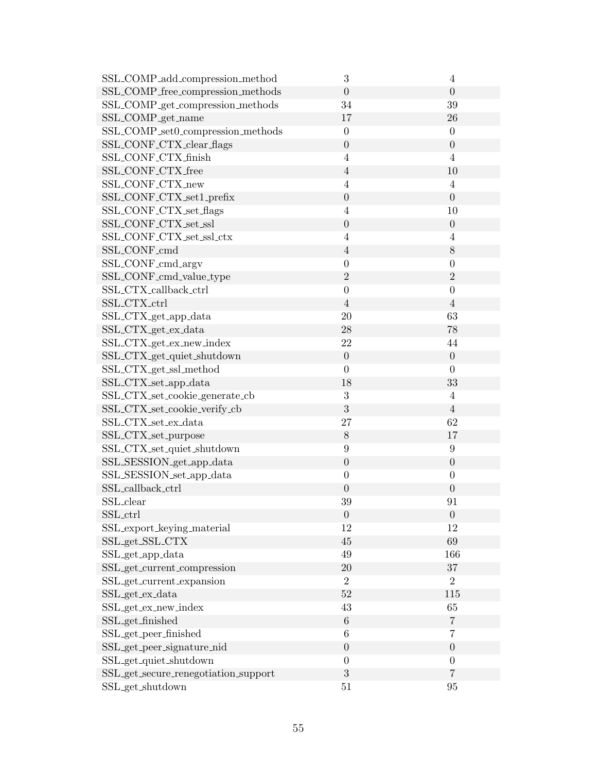| SSL_COMP_add_compression_method        | 3                | 4                |
|----------------------------------------|------------------|------------------|
| SSL_COMP_free_compression_methods      | $\boldsymbol{0}$ | $\theta$         |
| SSL_COMP_get_compression_methods       | 34               | 39               |
| SSL_COMP_get_name                      | 17               | 26               |
| SSL_COMP_set0_compression_methods      | $\boldsymbol{0}$ | $\boldsymbol{0}$ |
| SSL_CONF_CTX_clear_flags               | $\boldsymbol{0}$ | $\boldsymbol{0}$ |
| SSL_CONF_CTX_finish                    | $\overline{4}$   | $\overline{4}$   |
| SSL_CONF_CTX_free                      | $\overline{4}$   | 10               |
| SSL_CONF_CTX_new                       | $\overline{4}$   | $\overline{4}$   |
| SSL_CONF_CTX_set1_prefix               | $\boldsymbol{0}$ | $\overline{0}$   |
| SSL_CONF_CTX_set_flags                 | $\overline{4}$   | 10               |
| SSL_CONF_CTX_set_ssl                   | $\boldsymbol{0}$ | $\theta$         |
| SSL_CONF_CTX_set_ssl_ctx               | $\overline{4}$   | $\overline{4}$   |
| SSL_CONF_cmd                           | $\overline{4}$   | 8                |
| SSL_CONF_cmd_argv                      | $\boldsymbol{0}$ | $\boldsymbol{0}$ |
| SSL_CONF_cmd_value_type                | $\overline{2}$   | $\overline{2}$   |
| SSL_CTX_callback_ctrl                  | $\boldsymbol{0}$ | $\boldsymbol{0}$ |
| SSL_CTX_ctrl                           | $\overline{4}$   | $\overline{4}$   |
| SSL_CTX_get_app_data                   | 20               | 63               |
| SSL_CTX_get_ex_data                    | 28               | 78               |
| SSL_CTX_get_ex_new_index               | 22               | 44               |
| SSL_CTX_get_quiet_shutdown             | $\boldsymbol{0}$ | $\boldsymbol{0}$ |
| SSL_CTX_get_ssl_method                 | $\overline{0}$   | $\overline{0}$   |
| SSL_CTX_set_app_data                   | 18               | 33               |
| SSL_CTX_set_cookie_generate_cb         | 3                | $\overline{4}$   |
| SSL_CTX_set_cookie_verify_cb           | 3                | $\overline{4}$   |
| SSL_CTX_set_ex_data                    | 27               | 62               |
| SSL_CTX_set_purpose                    | $8\,$            | 17               |
| SSL_CTX_set_quiet_shutdown             | $9\,$            | $\boldsymbol{9}$ |
| SSL_SESSION_get_app_data               | $\boldsymbol{0}$ | $\boldsymbol{0}$ |
| SSL_SESSION_set_app_data               | $\boldsymbol{0}$ | $\boldsymbol{0}$ |
| SSL_callback_ctrl                      | $\boldsymbol{0}$ | $\boldsymbol{0}$ |
| SSL_clear                              | 39               | 91               |
| SSL_ctrl                               | $\boldsymbol{0}$ | $\boldsymbol{0}$ |
| SSL_export_keying_material             | 12               | 12               |
| SSL_get_SSL_CTX                        | 45               | 69               |
| SSL_get_app_data                       | 49               | 166              |
| SSL_get_current_compression            | 20               | 37               |
| SSL_get_current_expansion              | $\boldsymbol{2}$ | $\overline{2}$   |
| SSL_get_ex_data                        | 52               | 115              |
| SSL_get_ex_new_index                   | 43               | 65               |
| SSL_get_finished                       | $\,6$            | $\overline{7}$   |
| SSL_get_peer_finished                  | 6                | $\overline{7}$   |
| SSL <sub>-get-peer-signature-nid</sub> | $\boldsymbol{0}$ | $\boldsymbol{0}$ |
| SSL_get_quiet_shutdown                 | $\boldsymbol{0}$ | $\boldsymbol{0}$ |
| SSL_get_secure_renegotiation_support   | 3                | $\overline{7}$   |
| SSL_get_shutdown                       | 51               | 95               |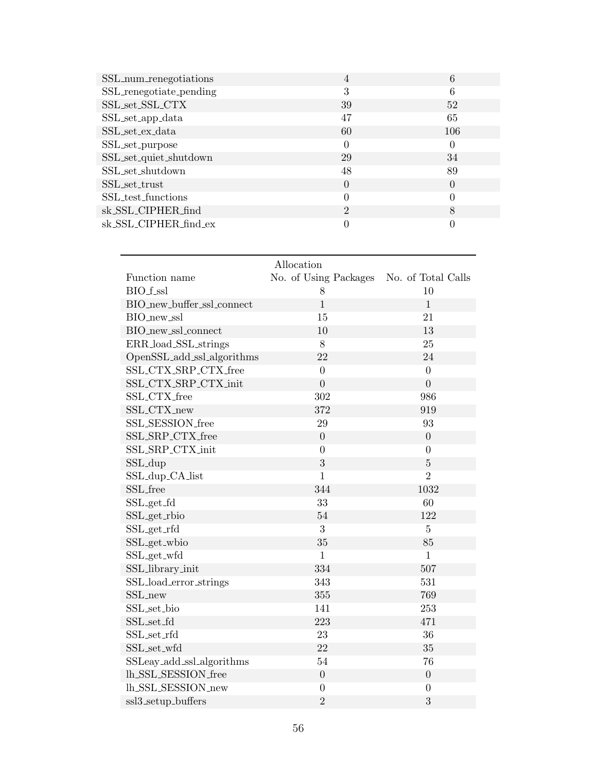| SSL_num_renegotiations  | $\overline{4}$ | 6        |
|-------------------------|----------------|----------|
| SSL_renegotiate_pending | 3              | 6        |
| SSL_set_SSL_CTX         | 39             | 52       |
| SSL_set_app_data        | 47             | 65       |
| SSL_set_ex_data         | 60             | 106      |
| SSL_set_purpose         | 0              | 0        |
| SSL_set_quiet_shutdown  | 29             | 34       |
| SSL_set_shutdown        | 48             | 89       |
| SSL_set_trust           | $\theta$       | $\theta$ |
| SSL_test_functions      | $\Omega$       | 0        |
| sk_SSL_CIPHER_find      | $\overline{2}$ | 8        |
| sk_SSL_CIPHER_find_ex   |                | 0        |

# Allocation Function name No. of Using Packages No. of Total Calls  $BIO.f.ssl$  8 10  $\rm BIO\_new\_buffer\_ssl\_connect$   $\rm 1$  $BIO_{new\_ssl}$  15 21 BIO\_new\_ssl\_connect 10 13 ERR\_load\_SSL\_strings 8 25 OpenSSL add ssl algorithms 22 24 SSL CTX SRP CTX free 0 0 SSL CTX SRP CTX init 0 0 SSL\_CTX\_free 302 986  $372 \hspace{35mm} 919$ SSL SESSION free 29 29 93  $\begin{tabular}{c} SSL\_SRP_CTX\_free \end{tabular} \hspace{1cm} 0 \hspace{3cm} 0$ SSL SRP CTX init 0 0  $SSL_dup$   $3$   $5$ SSL\_dup\_CA\_list 1 2  $344 \qquad \qquad 1032$ SSL<sub>-get-fd</sub> 33 60 SSL<sub>-</sub>get\_rbio 54 122 SSL\_get\_rfd 3 5  $SSL.get_w$ bio  $35$  85 SSL<sub>-</sub>get<sub>-</sub>wfd 1 1 SSL library init 334 507 SSL load error strings 343 531  $355 \hspace{20pt} 355 \hspace{20pt} 769$ SSL set bio 141 253 SSL set fd 223 471  $SSL<sub>set-rfd</sub>$  23 36  $SSL\_set\_wfd$   $22$   $35$ SSLeav<sub>-add-ssl-algorithms</sub> 54 76  $\begin{tabular}{c} 0 \\ 0 \\ 0 \\ \end{tabular}$  $\begin{matrix} \text{lh\_SSL\_SESSION\_new} \\ 0 \end{matrix} \qquad \qquad \begin{matrix} 0 \\ 0 \end{matrix}$

ssl3.setup.buffers 2 3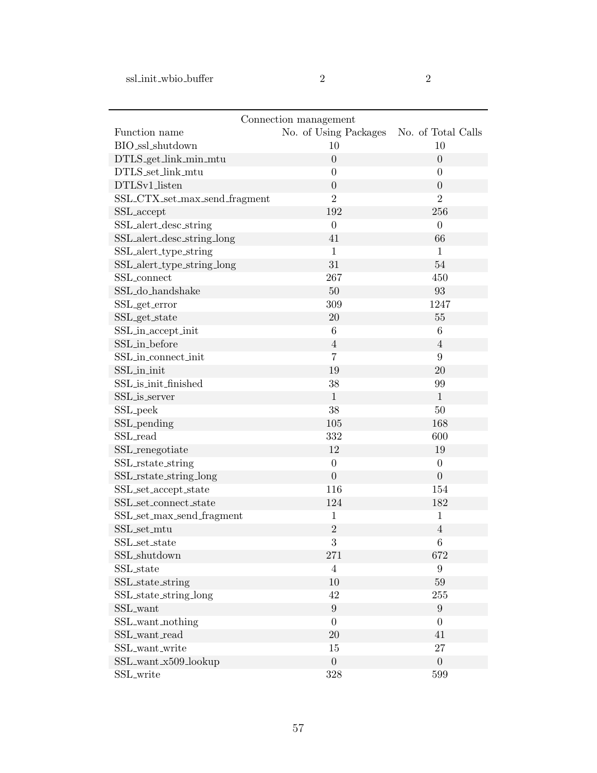| ٠<br>I |  |
|--------|--|
| I      |  |
|        |  |

| Connection management             |                       |                    |  |
|-----------------------------------|-----------------------|--------------------|--|
| Function name                     | No. of Using Packages | No. of Total Calls |  |
| BIO_ssl_shutdown                  | 10                    | 10                 |  |
| DTLS_get_link_min_mtu             | $\boldsymbol{0}$      | $\overline{0}$     |  |
| DTLS_set_link_mtu                 | $\boldsymbol{0}$      | $\overline{0}$     |  |
| DTLSv1_listen                     | $\boldsymbol{0}$      | $\overline{0}$     |  |
| SSL_CTX_set_max_send_fragment     | $\overline{2}$        | $\overline{2}$     |  |
| SSL_accept                        | 192                   | 256                |  |
| SSL_alert_desc_string             | $\boldsymbol{0}$      | $\overline{0}$     |  |
| SSL_alert_desc_string_long        | 41                    | 66                 |  |
| SSL <sub>-alert-type-string</sub> | $\mathbf{1}$          | $\mathbf{1}$       |  |
| SSL_alert_type_string_long        | 31                    | 54                 |  |
| SSL_connect                       | 267                   | 450                |  |
| SSL_do_handshake                  | 50                    | $\boldsymbol{93}$  |  |
| SSL_get_error                     | 309                   | 1247               |  |
| SSL_get_state                     | 20                    | $55\,$             |  |
| SSL_in_accept_init                | $\,6$                 | $\,6$              |  |
| SSL_in_before                     | $\overline{4}$        | $\overline{4}$     |  |
| SSL_in_connect_init               | $\overline{7}$        | 9                  |  |
| SSL_in_init                       | 19                    | 20                 |  |
| SSL_is_init_finished              | 38                    | 99                 |  |
| SSL_is_server                     | $\mathbf{1}$          | $\mathbf{1}$       |  |
| SSL_peek                          | 38                    | $50\,$             |  |
| SSL <sub>-pending</sub>           | $105\,$               | 168                |  |
| SSL_read                          | 332                   | 600                |  |
| SSL_renegotiate                   | 12                    | 19                 |  |
| SSL_rstate_string                 | $\boldsymbol{0}$      | $\boldsymbol{0}$   |  |
| SSL_rstate_string_long            | $\boldsymbol{0}$      | $\overline{0}$     |  |
| SSL_set_accept_state              | 116                   | 154                |  |
| SSL_set_connect_state             | 124                   | 182                |  |
| SSL_set_max_send_fragment         | $\mathbf{1}$          | $\mathbf{1}$       |  |
| SSL_set_mtu                       | $\overline{2}$        | $\overline{4}$     |  |
| SSL_set_state                     | 3                     | $\,6$              |  |
| SSL_shutdown                      | 271                   | 672                |  |
| SSL_state                         | $\overline{4}$        | $9\phantom{.0}$    |  |
| SSL_state_string                  | $10\,$                | $59\,$             |  |
| SSL_state_string_long             | 42                    | 255                |  |
| SSL_want                          | $\boldsymbol{9}$      | $9\phantom{.}$     |  |
| SSL_want_nothing                  | $\boldsymbol{0}$      | $\overline{0}$     |  |
| SSL_want_read                     | $20\,$                | 41                 |  |
| SSL_want_write                    | $15\,$                | $27\,$             |  |
| SSL_want_x509_lookup              | $\boldsymbol{0}$      | $\boldsymbol{0}$   |  |
| SSL_write                         | 328                   | 599                |  |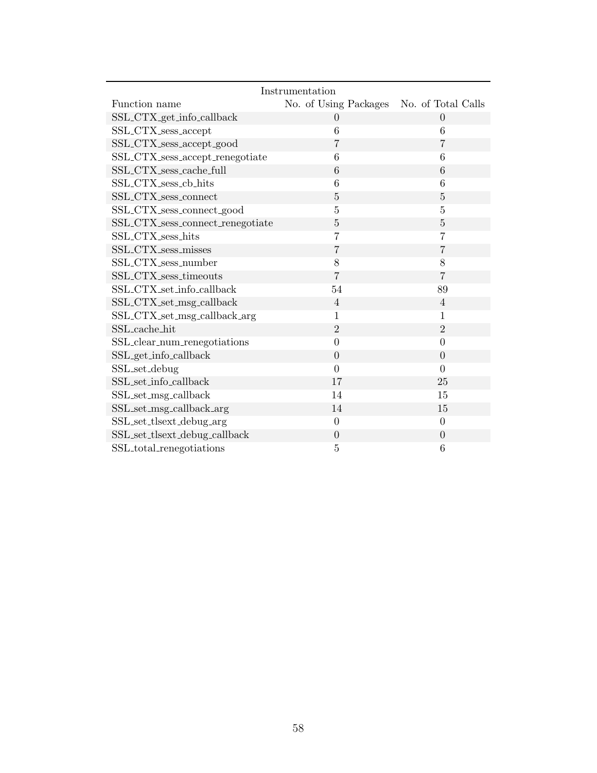| Instrumentation                  |                       |                    |  |
|----------------------------------|-----------------------|--------------------|--|
| Function name                    | No. of Using Packages | No. of Total Calls |  |
| SSL_CTX_get_info_callback        | $\Omega$              | $\Omega$           |  |
| SSL_CTX_sess_accept              | 6                     | 6                  |  |
| SSL_CTX_sess_accept_good         | $\overline{7}$        | $\overline{7}$     |  |
| SSL_CTX_sess_accept_renegotiate  | 6                     | 6                  |  |
| SSL_CTX_sess_cache_full          | 6                     | 6                  |  |
| SSL_CTX_sess_cb_hits             | 6                     | 6                  |  |
| SSL_CTX_sess_connect             | 5                     | $\overline{5}$     |  |
| SSL_CTX_sess_connect_good        | $\overline{5}$        | $\overline{5}$     |  |
| SSL_CTX_sess_connect_renegotiate | $\overline{5}$        | $\bf 5$            |  |
| SSL_CTX_sess_hits                | $\overline{7}$        | $\overline{7}$     |  |
| SSL_CTX_sess_misses              | $\overline{7}$        | $\overline{7}$     |  |
| SSL_CTX_sess_number              | 8                     | 8                  |  |
| SSL_CTX_sess_timeouts            | $\overline{7}$        | $\overline{7}$     |  |
| SSL_CTX_set_info_callback        | 54                    | 89                 |  |
| SSL_CTX_set_msg_callback         | $\overline{4}$        | $\overline{4}$     |  |
| SSL_CTX_set_msg_callback_arg     | $\mathbf{1}$          | $\mathbf{1}$       |  |
| SSL_cache_hit                    | $\overline{2}$        | $\overline{2}$     |  |
| SSL_clear_num_renegotiations     | $\overline{0}$        | $\overline{0}$     |  |
| SSL_get_info_callback            | $\overline{0}$        | $\overline{0}$     |  |
| SSL_set_debug                    | $\theta$              | $\theta$           |  |
| SSL_set_info_callback            | 17                    | 25                 |  |
| SSL_set_msg_callback             | 14                    | 15                 |  |
| SSL_set_msg_callback_arg         | 14                    | 15                 |  |
| SSL_set_tlsext_debug_arg         | $\boldsymbol{0}$      | $\theta$           |  |
| SSL_set_tlsext_debug_callback    | $\overline{0}$        | $\overline{0}$     |  |
| SSL_total_renegotiations         | 5                     | 6                  |  |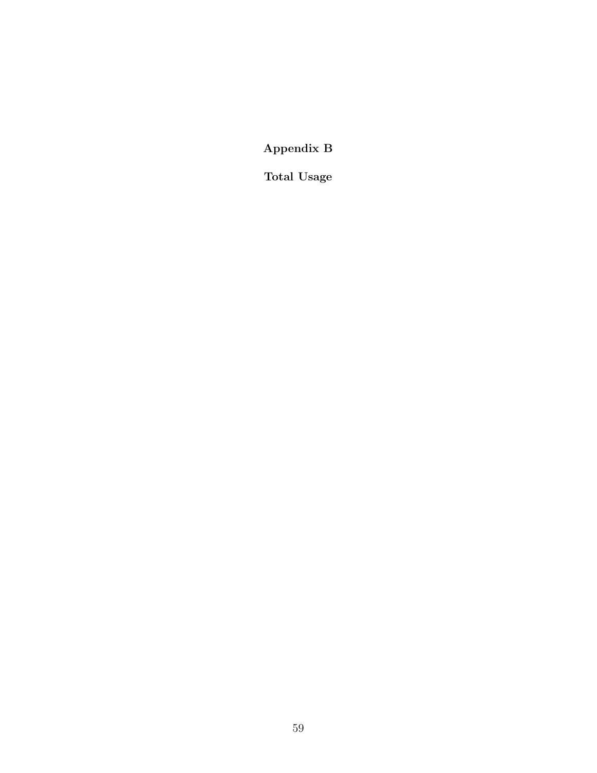Appendix B

Total Usage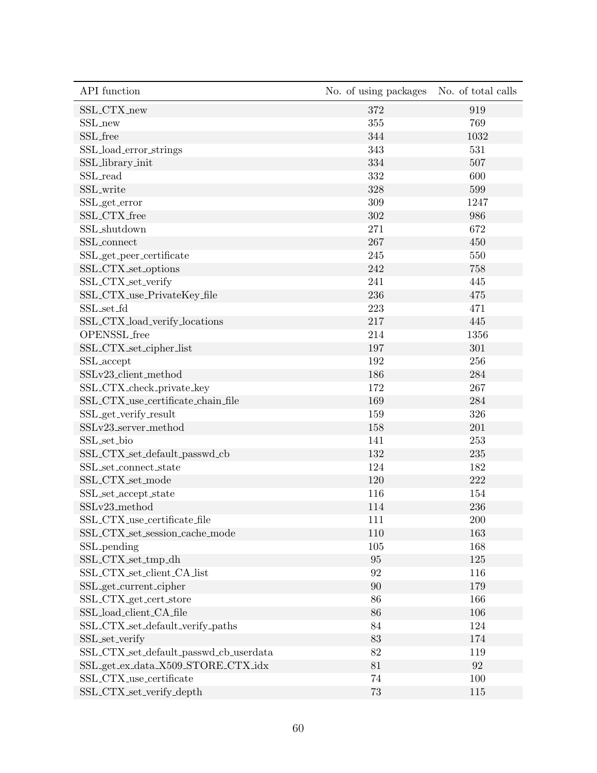| API function                            | No. of using packages | No. of total calls |
|-----------------------------------------|-----------------------|--------------------|
| SSL_CTX_new                             | 372                   | 919                |
| SSL_new                                 | 355                   | 769                |
| SSL_free                                | 344                   | 1032               |
| SSL_load_error_strings                  | 343                   | 531                |
| SSL_library_init                        | 334                   | 507                |
| SSL_read                                | 332                   | 600                |
| SSL_write                               | 328                   | 599                |
| SSL_get_error                           | 309                   | 1247               |
| SSL_CTX_free                            | 302                   | 986                |
| SSL_shutdown                            | 271                   | 672                |
| SSL_connect                             | 267                   | 450                |
| $\texttt{SSL\_get\_peer\_certificance}$ | 245                   | 550                |
| SSL_CTX_set_options                     | 242                   | 758                |
| SSL_CTX_set_verify                      | 241                   | 445                |
| SSL_CTX_use_PrivateKey_file             | 236                   | 475                |
| SSL_set_fd                              | 223                   | 471                |
| SSL_CTX_load_verify_locations           | 217                   | 445                |
| OPENSSL_free                            | 214                   | 1356               |
| SSL_CTX_set_cipher_list                 | 197                   | 301                |
| SSL_accept                              | 192                   | 256                |
| SSLv23_client_method                    | 186                   | 284                |
| SSL_CTX_check_private_key               | 172                   | 267                |
| SSL_CTX_use_certificate_chain_file      | 169                   | 284                |
| SSL_get_verify_result                   | 159                   | 326                |
| SSLv23_server_method                    | 158                   | 201                |
| SSL_set_bio                             | 141                   | 253                |
| SSL_CTX_set_default_passwd_cb           | 132                   | 235                |
| SSL_set_connect_state                   | 124                   | 182                |
| SSL_CTX_set_mode                        | 120                   | 222                |
| SSL_set_accept_state                    | 116                   | 154                |
| SSLv23_method                           | 114                   | 236                |
| SSL_CTX_use_certificate_file            | 111                   | $200\,$            |
| SSL_CTX_set_session_cache_mode          | 110                   | 163                |
| SSL <sub>-pending</sub>                 | 105                   | 168                |
| SSL_CTX_set_tmp_dh                      | 95                    | 125                |
| SSL_CTX_set_client_CA_list              | 92                    | 116                |
| SSL_get_current_cipher                  | 90                    | 179                |
| SSL_CTX_get_cert_store                  | 86                    | 166                |
| SSL_load_client_CA_file                 | 86                    | 106                |
| SSL_CTX_set_default_verify_paths        | 84                    | 124                |
| SSL_set_verify                          | 83                    | 174                |
| SSL_CTX_set_default_passwd_cb_userdata  | 82                    | 119                |
| SSL_get_ex_data_X509_STORE_CTX_idx      | 81                    | $\boldsymbol{92}$  |
| SSL_CTX_use_certificate                 | 74                    | 100                |
| SSL_CTX_set_verify_depth                | 73                    | 115                |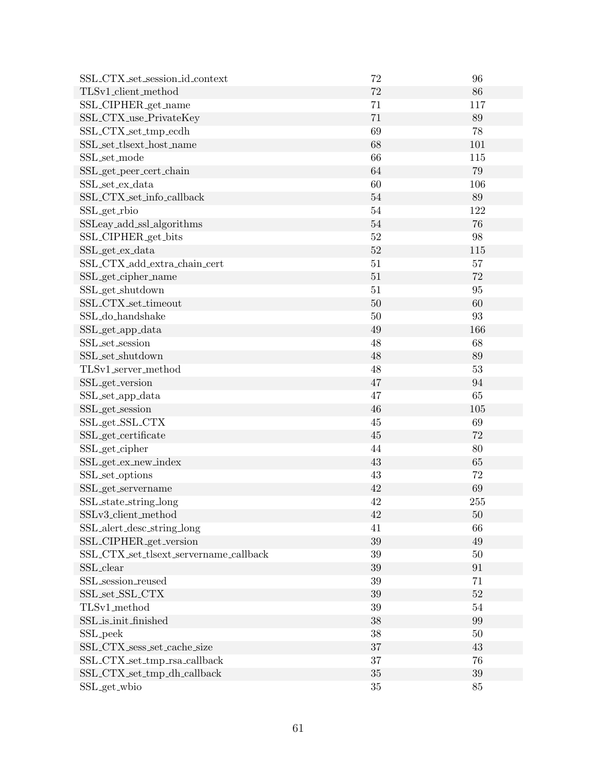| SSL_CTX_set_session_id_context         | 72     | 96     |
|----------------------------------------|--------|--------|
| TLSv1_client_method                    | 72     | 86     |
| SSL_CIPHER_get_name                    | 71     | 117    |
| SSL_CTX_use_PrivateKey                 | 71     | 89     |
| SSL_CTX_set_tmp_ecdh                   | 69     | 78     |
| SSL_set_tlsext_host_name               | 68     | 101    |
| SSL_set_mode                           | 66     | 115    |
| SSL_get_peer_cert_chain                | 64     | 79     |
| SSL_set_ex_data                        | 60     | 106    |
| SSL_CTX_set_info_callback              | $54\,$ | 89     |
| SSL_get_rbio                           | $54\,$ | 122    |
| SSLeay_add_ssl_algorithms              | 54     | 76     |
| SSL_CIPHER_get_bits                    | 52     | 98     |
| SSL_get_ex_data                        | 52     | 115    |
| SSL_CTX_add_extra_chain_cert           | 51     | 57     |
| SSL_get_cipher_name                    | 51     | 72     |
| SSL_get_shutdown                       | 51     | 95     |
| SSL_CTX_set_timeout                    | 50     | 60     |
| SSL_do_handshake                       | 50     | 93     |
| SSL_get_app_data                       | 49     | 166    |
| SSL_set_session                        | 48     | 68     |
| SSL_set_shutdown                       | 48     | 89     |
| TLSv1_server_method                    | 48     | 53     |
| SSL_get_version                        | 47     | 94     |
| SSL_set_app_data                       | 47     | 65     |
| SSL_get_session                        | 46     | 105    |
| SSL_get_SSL_CTX                        | 45     | 69     |
| SSL_get_certificate                    | 45     | 72     |
| SSL <sub>-get-cipher</sub>             | 44     | 80     |
| SSL_get_ex_new_index                   | 43     | 65     |
| SSL_set_options                        | 43     | 72     |
| SSL_get_servername                     | 42     | 69     |
| SSL_state_string_long                  | 42     | 255    |
| SSLv3_client_method                    | 42     | $50\,$ |
| SSL_alert_desc_string_long             | 41     | 66     |
| SSL_CIPHER_get_version                 | 39     | 49     |
| SSL_CTX_set_tlsext_servername_callback | 39     | 50     |
| SSL_clear                              | 39     | 91     |
| SSL_session_reused                     | 39     | 71     |
| SSL_set_SSL_CTX                        | 39     | 52     |
| TLSv1_method                           | 39     | $54\,$ |
| SSL_is_init_finished                   | 38     | 99     |
| SSL_peek                               | 38     | $50\,$ |
| SSL_CTX_sess_set_cache_size            | 37     | 43     |
| SSL_CTX_set_tmp_rsa_callback           | 37     | 76     |
| SSL_CTX_set_tmp_dh_callback            | 35     | $39\,$ |
| SSL_get_wbio                           | 35     | 85     |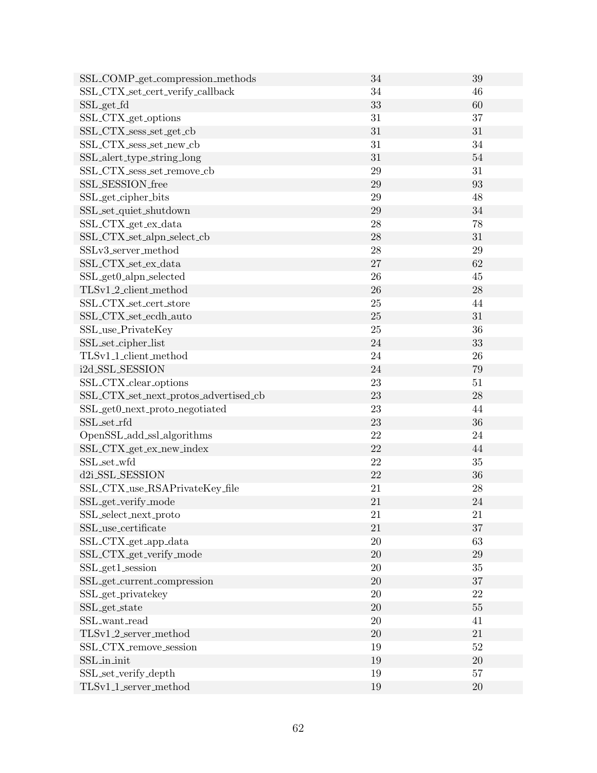| SSL_COMP_get_compression_methods      | 34     | 39     |
|---------------------------------------|--------|--------|
| SSL_CTX_set_cert_verify_callback      | 34     | 46     |
| SSL_get_fd                            | 33     | 60     |
| SSL_CTX_get_options                   | 31     | 37     |
| SSL_CTX_sess_set_get_cb               | 31     | 31     |
| SSL_CTX_sess_set_new_cb               | 31     | 34     |
| SSL_alert_type_string_long            | 31     | $54\,$ |
| SSL_CTX_sess_set_remove_cb            | 29     | 31     |
| SSL_SESSION_free                      | 29     | 93     |
| SSL_get_cipher_bits                   | 29     | 48     |
| SSL_set_quiet_shutdown                | 29     | 34     |
| SSL_CTX_get_ex_data                   | 28     | 78     |
| SSL_CTX_set_alpn_select_cb            | 28     | 31     |
| SSLv3_server_method                   | 28     | $29\,$ |
| SSL_CTX_set_ex_data                   | 27     | 62     |
| SSL_get0_alpn_selected                | 26     | 45     |
| TLSv1_2_client_method                 | 26     | 28     |
| SSL_CTX_set_cert_store                | $25\,$ | 44     |
| SSL_CTX_set_ecdh_auto                 | 25     | $31\,$ |
| SSL_use_PrivateKey                    | $25\,$ | 36     |
| SSL_set_cipher_list                   | 24     | 33     |
| TLSv1 <sub>-1-client-method</sub>     | 24     | 26     |
| i2d_SSL_SESSION                       | 24     | 79     |
| SSL_CTX_clear_options                 | 23     | 51     |
| SSL_CTX_set_next_protos_advertised_cb | 23     | 28     |
| SSL_get0_next_proto_negotiated        | $23\,$ | 44     |
| SSL_set_rfd                           | 23     | 36     |
| OpenSSL_add_ssl_algorithms            | 22     | 24     |
| SSL_CTX_get_ex_new_index              | 22     | 44     |
| SSL_set_wfd                           | 22     | $35\,$ |
| d2i_SSL_SESSION                       | 22     | 36     |
| SSL_CTX_use_RSAPrivateKey_file        | 21     | 28     |
| SSL_get_verify_mode                   | 21     | 24     |
| SSL_select_next_proto                 | 21     | 21     |
| SSL_use_certificate                   | 21     | 37     |
| SSL_CTX_get_app_data                  | 20     | 63     |
| SSL_CTX_get_verify_mode               | 20     | 29     |
| SSL_get1_session                      | 20     | $35\,$ |
| SSL_get_current_compression           | $20\,$ | $37\,$ |
| SSL_get_privatekey                    | 20     | 22     |
| SSL_get_state                         | 20     | $55\,$ |
| SSL_want_read                         | 20     | 41     |
| TLSv1_2_server_method                 | 20     | 21     |
| SSL_CTX_remove_session                | 19     | $52\,$ |
| SSL_in_init                           | 19     | 20     |
| SSL_set_verify_depth                  | $19\,$ | $57\,$ |
| TLSv1_1_server_method                 | 19     | $20\,$ |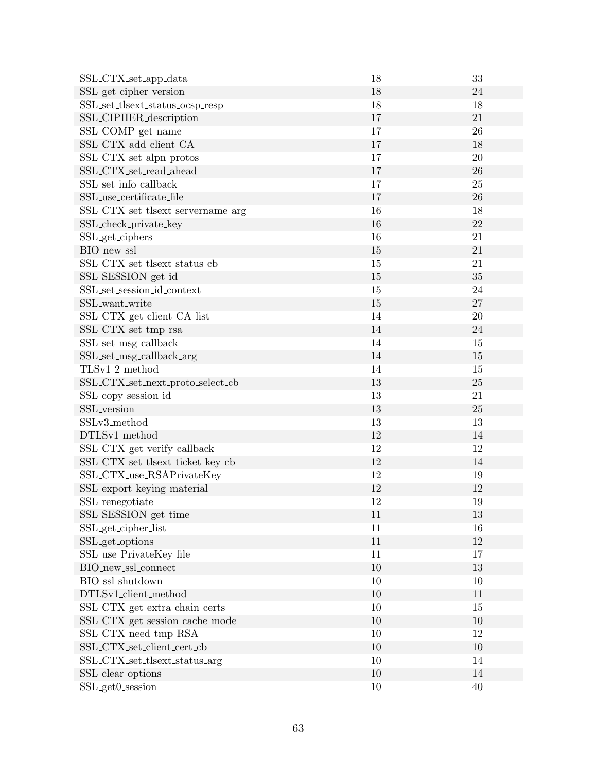| SSL_CTX_set_app_data              | 18     | 33     |
|-----------------------------------|--------|--------|
| SSL_get_cipher_version            | 18     | 24     |
| SSL_set_tlsext_status_ocsp_resp   | 18     | 18     |
| SSL_CIPHER_description            | 17     | 21     |
| SSL_COMP_get_name                 | 17     | 26     |
| SSL_CTX_add_client_CA             | 17     | 18     |
| SSL_CTX_set_alpn_protos           | 17     | 20     |
| SSL_CTX_set_read_ahead            | 17     | 26     |
| SSL_set_info_callback             | 17     | 25     |
| SSL_use_certificate_file          | 17     | 26     |
| SSL_CTX_set_tlsext_servername_arg | 16     | 18     |
| SSL_check_private_key             | 16     | 22     |
| SSL_get_ciphers                   | 16     | 21     |
| BIO_new_ssl                       | 15     | 21     |
| SSL_CTX_set_tlsext_status_cb      | 15     | 21     |
| SSL_SESSION_get_id                | 15     | 35     |
| SSL_set_session_id_context        | $15\,$ | 24     |
| SSL_want_write                    | 15     | 27     |
| SSL_CTX_get_client_CA_list        | 14     | 20     |
| SSL_CTX_set_tmp_rsa               | 14     | 24     |
| SSL_set_msg_callback              | 14     | 15     |
| SSL_set_msg_callback_arg          | 14     | 15     |
| TLSv1_2_method                    | 14     | 15     |
| SSL_CTX_set_next_proto_select_cb  | 13     | 25     |
| SSL_copy_session_id               | 13     | 21     |
| SSL_version                       | 13     | 25     |
| SSLv3_method                      | 13     | 13     |
| DTLSv1_method                     | 12     | 14     |
| SSL_CTX_get_verify_callback       | 12     | 12     |
| SSL_CTX_set_tlsext_ticket_key_cb  | 12     | 14     |
| SSL_CTX_use_RSAPrivateKey         | 12     | 19     |
| SSL_export_keying_material        | 12     | 12     |
| SSL_renegotiate                   | 12     | 19     |
| SSL_SESSION_get_time              | 11     | $13\,$ |
| SSL_get_cipher_list               | 11     | 16     |
| SSL_get_options                   | 11     | 12     |
| SSL_use_PrivateKey_file           | 11     | 17     |
| BIO_new_ssl_connect               | $10\,$ | 13     |
| BIO_ssl_shutdown                  | 10     | 10     |
| DTLSv1_client_method              | 10     | 11     |
| SSL_CTX_get_extra_chain_certs     | $10\,$ | 15     |
| SSL_CTX_get_session_cache_mode    | 10     | 10     |
| SSL_CTX_need_tmp_RSA              | $10\,$ | 12     |
| SSL_CTX_set_client_cert_cb        | 10     | 10     |
| SSL_CTX_set_tlsext_status_arg     | $10\,$ | 14     |
| SSL_clear_options                 | $10\,$ | $14\,$ |
| SSL_get0_session                  | $10\,$ | 40     |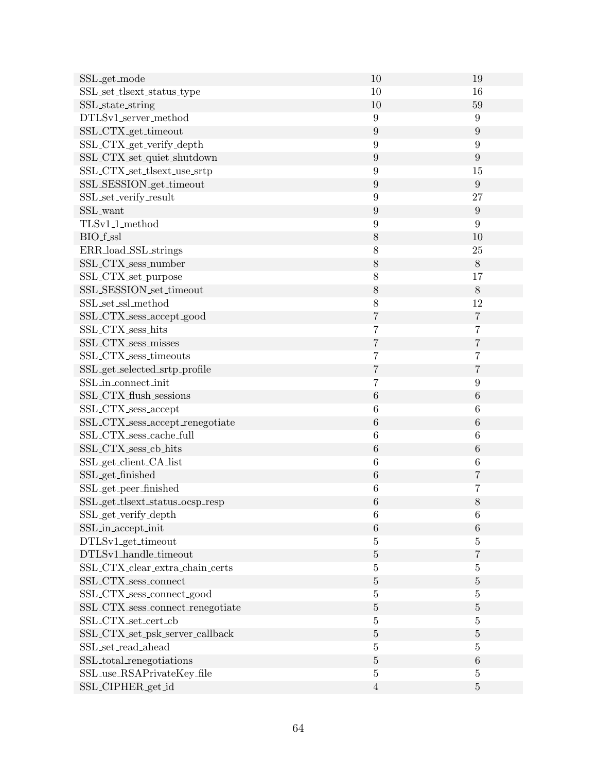| SSL_get_mode                                          | 10               | 19               |
|-------------------------------------------------------|------------------|------------------|
| SSL_set_tlsext_status_type                            | 10               | 16               |
| SSL_state_string                                      | 10               | 59               |
| DTLSv1_server_method                                  | $\boldsymbol{9}$ | $\boldsymbol{9}$ |
| SSL_CTX_get_timeout                                   | $\boldsymbol{9}$ | $\boldsymbol{9}$ |
| SSL_CTX_get_verify_depth                              | $\boldsymbol{9}$ | $\boldsymbol{9}$ |
| SSL_CTX_set_quiet_shutdown                            | $\boldsymbol{9}$ | $\boldsymbol{9}$ |
| SSL_CTX_set_tlsext_use_srtp                           | $9\phantom{.0}$  | 15               |
| SSL_SESSION_get_timeout                               | $\boldsymbol{9}$ | 9                |
| SSL_set_verify_result                                 | $\boldsymbol{9}$ | 27               |
| SSL_want                                              | $\boldsymbol{9}$ | $\boldsymbol{9}$ |
| $\operatorname{TLSvl\_1\_method}$                     | $\boldsymbol{9}$ | $\boldsymbol{9}$ |
| BIO_f_ssl                                             | $8\,$            | 10               |
| ERR_load_SSL_strings                                  | 8                | $25\,$           |
| SSL_CTX_sess_number                                   | $8\,$            | $8\,$            |
| SSL_CTX_set_purpose                                   | 8                | 17               |
| SSL_SESSION_set_timeout                               | $8\,$            | $8\,$            |
| SSL_set_ssl_method                                    | 8                | 12               |
| SSL_CTX_sess_accept_good                              | $\overline{7}$   | $\overline{7}$   |
| SSL_CTX_sess_hits                                     | $\overline{7}$   | $\overline{7}$   |
| SSL_CTX_sess_misses                                   | 7                | $\overline{7}$   |
| SSL_CTX_sess_timeouts                                 | $\overline{7}$   | $\overline{7}$   |
| SSL_get_selected_srtp_profile                         | $\overline{7}$   | $\,7$            |
| SSL_in_connect_init                                   | 7                | $9\phantom{.0}$  |
| SSL_CTX_flush_sessions                                | $\,6$            | $\,6$            |
| SSL_CTX_sess_accept                                   | $\,6$            | 6                |
| SSL_CTX_sess_accept_renegotiate                       | $\,6$            | $\,6\,$          |
| SSL_CTX_sess_cache_full                               | $\!6\,$          | 6                |
| SSL_CTX_sess_cb_hits                                  | $\,6$            | $\,6$            |
| SSL_get_client_CA_list                                | $\,6$            | $\!6\,$          |
| SSL_get_finished                                      | $\,6$            | $\,7$            |
| SSL_get_peer_finished                                 | 6                | 7                |
| SSL_get_tlsext_status_ocsp_resp                       | $\,6$            | 8                |
| SSL_get_verify_depth                                  | 6                | 6                |
| SSL_in_accept_init                                    | $\,6\,$          | $\,6$            |
| DTLSv1_get_timeout                                    | $\overline{5}$   | 5                |
| DTLSv1_handle_timeout                                 | $\bf 5$          | 7                |
| SSL_CTX_clear_extra_chain_certs                       | $\bf 5$          | $\overline{5}$   |
| SSL_CTX_sess_connect                                  | $\bf 5$          | $\bf 5$          |
| SSL_CTX_sess_connect_good                             | $\overline{5}$   | 5                |
| SSL_CTX_sess_connect_renegotiate                      | $\bf 5$          | $\bf 5$          |
| SSL_CTX_set_cert_cb                                   | $\overline{5}$   | $\overline{5}$   |
| $\operatorname{SSL\_CTX\_set\_psk\_server\_callback}$ | $\bf 5$          | $\bf 5$          |
| SSL_set_read_ahead                                    | $\overline{5}$   | $\overline{5}$   |
| SSL_total_renegotiations                              | $\bf 5$          | $\,6$            |
| SSL_use_RSAPrivateKey_file                            | $\bf 5$          | $\bf 5$          |
| SSL_CIPHER_get_id                                     | $\,4\,$          | $\bf 5$          |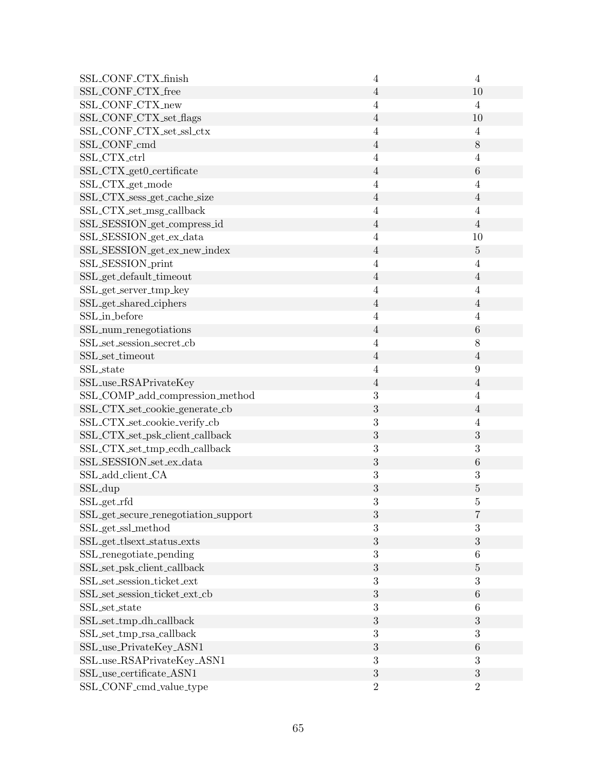| SSL_CONF_CTX_finish                  | $\overline{4}$   | $\overline{4}$          |
|--------------------------------------|------------------|-------------------------|
| SSL_CONF_CTX_free                    | $\overline{4}$   | 10                      |
| SSL_CONF_CTX_new                     | $\overline{4}$   | $\overline{4}$          |
| SSL_CONF_CTX_set_flags               | $\overline{4}$   | 10                      |
| SSL_CONF_CTX_set_ssl_ctx             | $\overline{4}$   | 4                       |
| SSL_CONF_cmd                         | $\overline{4}$   | $8\,$                   |
| SSL_CTX_ctrl                         | $\overline{4}$   | $\overline{4}$          |
| SSL_CTX_get0_certificate             | $\overline{4}$   | $\,6$                   |
| SSL_CTX_get_mode                     | $\overline{4}$   | 4                       |
| SSL_CTX_sess_get_cache_size          | $\overline{4}$   | $\overline{4}$          |
| SSL_CTX_set_msg_callback             | $\overline{4}$   | $\overline{4}$          |
| SSL_SESSION_get_compress_id          | $\overline{4}$   | $\overline{4}$          |
| SSL_SESSION_get_ex_data              | 4                | 10                      |
| SSL_SESSION_get_ex_new_index         | $\overline{4}$   | $\bf 5$                 |
| SSL_SESSION_print                    | $\overline{4}$   | $\overline{4}$          |
| SSL_get_default_timeout              | $\overline{4}$   | $\overline{4}$          |
| SSL_get_server_tmp_key               | $\overline{4}$   | 4                       |
| SSL_get_shared_ciphers               | $\overline{4}$   | $\overline{4}$          |
| SSL_in_before                        | $\overline{4}$   | $\overline{4}$          |
| SSL_num_renegotiations               | $\overline{4}$   | $\,6$                   |
| SSL_set_session_secret_cb            | $\overline{4}$   | 8                       |
| SSL_set_timeout                      | $\overline{4}$   | $\sqrt{4}$              |
| SSL_state                            | $\overline{4}$   | $9\phantom{.0}$         |
| SSL_use_RSAPrivateKey                | $\overline{4}$   | $\overline{4}$          |
| SSL_COMP_add_compression_method      | 3                | $\overline{4}$          |
| SSL_CTX_set_cookie_generate_cb       | 3                | $\overline{4}$          |
| SSL_CTX_set_cookie_verify_cb         | 3                | $\overline{4}$          |
| SSL_CTX_set_psk_client_callback      | $\boldsymbol{3}$ | $\boldsymbol{3}$        |
| SSL_CTX_set_tmp_ecdh_callback        | 3                | 3                       |
| SSL_SESSION_set_ex_data              | 3                | $\,6$                   |
| SSL_add_client_CA                    | 3                | 3                       |
| SSL_dup                              | $\boldsymbol{3}$ | $\overline{5}$          |
| SSL_get_rfd                          | 3                | 5                       |
| SSL_get_secure_renegotiation_support | 3                | $\overline{\mathbf{7}}$ |
| SSL_get_ssl_method                   | 3                | 3                       |
| SSL_get_tlsext_status_exts           | $\sqrt{3}$       | $\boldsymbol{3}$        |
| SSL_renegotiate_pending              | $\boldsymbol{3}$ | 6                       |
| SSL_set_psk_client_callback          | 3                | $\bf 5$                 |
| SSL_set_session_ticket_ext           | $\boldsymbol{3}$ | 3                       |
| SSL_set_session_ticket_ext_cb        | $\boldsymbol{3}$ | $\,6$                   |
| SSL_set_state                        | $\boldsymbol{3}$ | $\,6\,$                 |
| SSL_set_tmp_dh_callback              | $\boldsymbol{3}$ | $\boldsymbol{3}$        |
| SSL_set_tmp_rsa_callback             | $\boldsymbol{3}$ | 3                       |
| SSL_use_PrivateKey_ASN1              | $\sqrt{3}$       | $\,6$                   |
| SSL_use_RSAPrivateKey_ASN1           | $\sqrt{3}$       | 3                       |
| SSL_use_certificate_ASN1             | 3                | $\mathbf{3}$            |
| SSL_CONF_cmd_value_type              | $\overline{2}$   | $\overline{2}$          |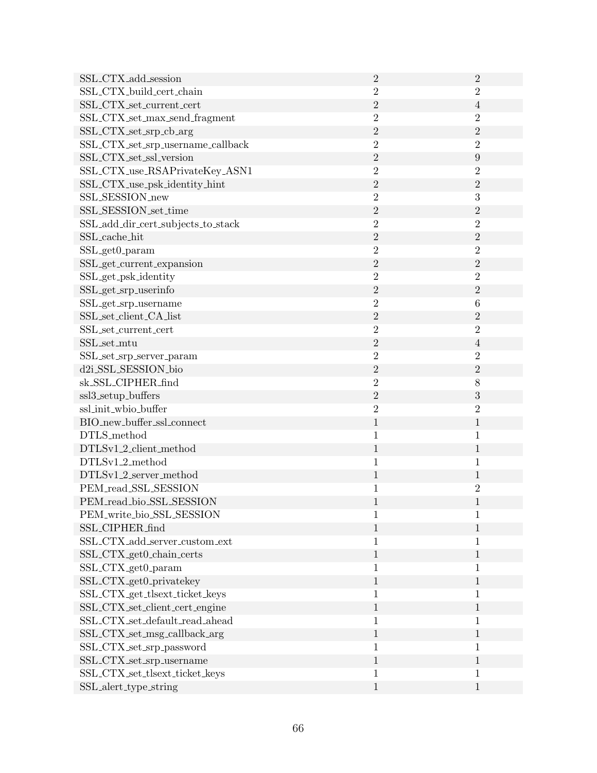| SSL_CTX_add_session                                  | $\overline{2}$   | $\overline{2}$   |
|------------------------------------------------------|------------------|------------------|
| SSL_CTX_build_cert_chain                             | $\boldsymbol{2}$ | $\overline{2}$   |
| SSL_CTX_set_current_cert                             | $\overline{2}$   | $\overline{4}$   |
| SSL_CTX_set_max_send_fragment                        | $\overline{2}$   | $\overline{2}$   |
| SSL_CTX_set_srp_cb_arg                               | $\sqrt{2}$       | $\sqrt{2}$       |
| SSL_CTX_set_srp_username_callback                    | $\overline{2}$   | $\overline{2}$   |
| SSL_CTX_set_ssl_version                              | $\sqrt{2}$       | $\boldsymbol{9}$ |
| SSL_CTX_use_RSAPrivateKey_ASN1                       | $\overline{2}$   | $\overline{2}$   |
| SSL_CTX_use_psk_identity_hint                        | $\sqrt{2}$       | $\overline{2}$   |
| SSL_SESSION_new                                      | $\overline{2}$   | $\sqrt{3}$       |
| SSL_SESSION_set_time                                 | $\sqrt{2}$       | $\overline{2}$   |
| SSL_add_dir_cert_subjects_to_stack                   | $\overline{2}$   | $\overline{2}$   |
| SSL_cache_hit                                        | $\sqrt{2}$       | $\sqrt{2}$       |
| SSL_get0_param                                       | $\overline{2}$   | $\overline{2}$   |
| SSL_get_current_expansion                            | $\overline{2}$   | $\overline{2}$   |
| SSL_get_psk_identity                                 | $\overline{2}$   | $\overline{2}$   |
| SSL_get_srp_userinfo                                 | $\sqrt{2}$       | $\overline{2}$   |
| SSL_get_srp_username                                 | $\overline{2}$   | $\,6$            |
| SSL_set_client_CA_list                               | $\sqrt{2}$       | $\overline{2}$   |
| SSL_set_current_cert                                 | $\sqrt{2}$       | $\overline{2}$   |
| SSL_set_mtu                                          | $\sqrt{2}$       | $\overline{4}$   |
| SSL_set_srp_server_param                             | $\overline{2}$   | $\overline{2}$   |
| d2i_SSL_SESSION_bio                                  | $\overline{2}$   | $\overline{2}$   |
| sk_SSL_CIPHER_find                                   | $\overline{2}$   | 8                |
| ssl3_setup_buffers                                   | $\overline{2}$   | $\sqrt{3}$       |
| ssl_init_wbio_buffer                                 | $\sqrt{2}$       | $\overline{2}$   |
| BIO_new_buffer_ssl_connect                           | $\,1\,$          | $\mathbf{1}$     |
| DTLS_method                                          | 1                | $\mathbf{1}$     |
| DTLSv1_2_client_method                               | $\mathbf{1}$     | $\mathbf{1}$     |
| DTLSv1_2_method                                      | $\mathbf{1}$     | $\mathbf 1$      |
| DTLSv1_2_server_method                               | $\mathbf 1$      | $\mathbf{1}$     |
| PEM_read_SSL_SESSION                                 | 1                | $\overline{2}$   |
| PEM_read_bio_SSL_SESSION                             | $\mathbf{1}$     | $\mathbf{1}$     |
| PEM_write_bio_SSL_SESSION                            |                  | 1                |
| SSL_CIPHER_find                                      | $\mathbf{1}$     | 1                |
| SSL_CTX_add_server_custom_ext                        | 1                | 1                |
| SSL_CTX_get0_chain_certs                             | $\mathbf{1}$     | $\mathbf{1}$     |
| SSL_CTX_get0_param                                   | $\mathbf{1}$     | 1                |
| SSL_CTX_get0_privatekey                              | $\mathbf{1}$     | $\mathbf{1}$     |
| SSL_CTX_get_tlsext_ticket_keys                       | $\mathbf{1}$     | $\mathbf{1}$     |
| SSL_CTX_set_client_cert_engine                       | $\mathbf{1}$     | $\mathbf{1}$     |
| $\operatorname{SSL\_CTX\_set\_default\_read\_ahead}$ | $\mathbf{1}$     | $\mathbf{1}$     |
| SSL_CTX_set_msg_callback_arg                         | $\mathbf{1}$     | $\mathbf{1}$     |
| SSL_CTX_set_srp_password                             | 1                | $\mathbf{1}$     |
| SSL_CTX_set_srp_username                             | $\mathbf{1}$     | $\mathbf{1}$     |
| SSL_CTX_set_tlsext_ticket_keys                       | $\mathbf{1}$     | $\mathbf{1}$     |
| SSL_alert_type_string                                | $\mathbf{1}$     | $\mathbf{1}$     |
|                                                      |                  |                  |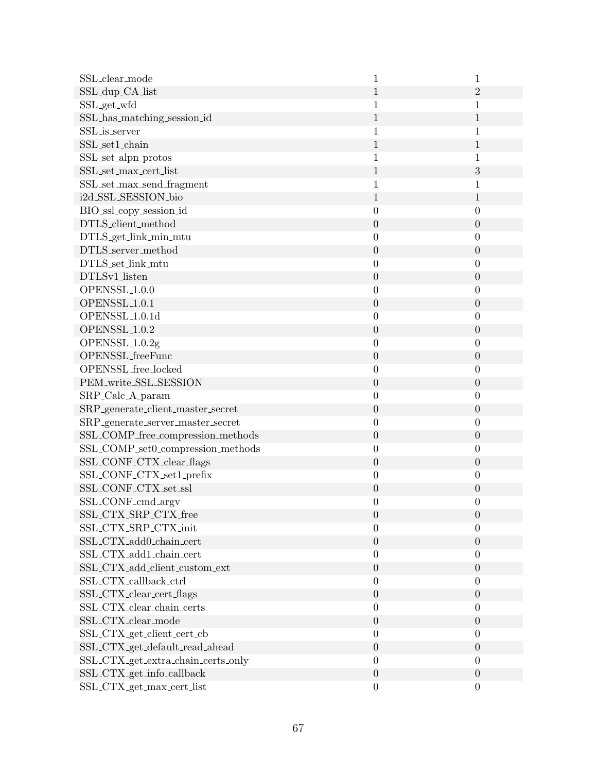| SSL_clear_mode                                | 1                | 1                |
|-----------------------------------------------|------------------|------------------|
| SSL_dup_CA_list                               | $\mathbf{1}$     | $\overline{2}$   |
| SSL_get_wfd                                   | $\mathbf 1$      | 1                |
| SSL_has_matching_session_id                   | 1                | $\mathbf{1}$     |
| SSL_is_server                                 | 1                | 1                |
| SSL_set1_chain                                | $\mathbf{1}$     | $\mathbf{1}$     |
| SSL_set_alpn_protos                           | 1                | 1                |
| SSL_set_max_cert_list                         | $\mathbf{1}$     | 3                |
| SSL_set_max_send_fragment                     | 1                | 1                |
| i2d_SSL_SESSION_bio                           | $\mathbf{1}$     | $\mathbf{1}$     |
| BIO_ssl_copy_session_id                       | $\boldsymbol{0}$ | $\boldsymbol{0}$ |
| DTLS_client_method                            | $\boldsymbol{0}$ | $\boldsymbol{0}$ |
| DTLS_get_link_min_mtu                         | $\boldsymbol{0}$ | $\boldsymbol{0}$ |
| DTLS_server_method                            | $\boldsymbol{0}$ | $\boldsymbol{0}$ |
| DTLS_set_link_mtu                             | $\boldsymbol{0}$ | $\boldsymbol{0}$ |
| DTLSv1_listen                                 | $\boldsymbol{0}$ | $\boldsymbol{0}$ |
| OPENSSL <sub>1.0.0</sub>                      | $\boldsymbol{0}$ | $\overline{0}$   |
| OPENSSL <sub>1.0.1</sub>                      | $\boldsymbol{0}$ | $\boldsymbol{0}$ |
| OPENSSL <sub>1.0.1d</sub>                     | $\boldsymbol{0}$ | $\overline{0}$   |
| OPENSSL <sub>1.0.2</sub>                      | $\boldsymbol{0}$ | $\boldsymbol{0}$ |
| OPENSSL <sub>-1.0.2g</sub>                    | $\boldsymbol{0}$ | $\boldsymbol{0}$ |
| OPENSSL_freeFunc                              | $\boldsymbol{0}$ | $\boldsymbol{0}$ |
| OPENSSL_free_locked                           | $\boldsymbol{0}$ | $\boldsymbol{0}$ |
| PEM_write_SSL_SESSION                         | $\boldsymbol{0}$ | $\boldsymbol{0}$ |
| SRP_Calc_A_param                              | $\boldsymbol{0}$ | $\boldsymbol{0}$ |
| SRP_generate_client_master_secret             | $\boldsymbol{0}$ | $\boldsymbol{0}$ |
| SRP_generate_server_master_secret             | $\boldsymbol{0}$ | $\boldsymbol{0}$ |
| SSL_COMP_free_compression_methods             | $\boldsymbol{0}$ | $\boldsymbol{0}$ |
| ${\rm SSL\_COMP\_set0\_compression\_methods}$ | $\boldsymbol{0}$ | $\boldsymbol{0}$ |
| SSL_CONF_CTX_clear_flags                      | $\boldsymbol{0}$ | $\boldsymbol{0}$ |
| SSL_CONF_CTX_set1_prefix                      | $\boldsymbol{0}$ | $\boldsymbol{0}$ |
| SSL_CONF_CTX_set_ssl                          | $\boldsymbol{0}$ | $\boldsymbol{0}$ |
| SSL_CONF_cmd_argv                             | $\boldsymbol{0}$ | $\boldsymbol{0}$ |
| SSL_CTX_SRP_CTX_free                          | $\boldsymbol{0}$ | $\boldsymbol{0}$ |
| SSL_CTX_SRP_CTX_init                          | $\boldsymbol{0}$ | $\boldsymbol{0}$ |
| SSL_CTX_add0_chain_cert                       | $\boldsymbol{0}$ | $\boldsymbol{0}$ |
| SSL_CTX_add1_chain_cert                       | $\boldsymbol{0}$ | $\overline{0}$   |
| SSL_CTX_add_client_custom_ext                 | $\boldsymbol{0}$ | $\boldsymbol{0}$ |
| SSL_CTX_callback_ctrl                         | $\boldsymbol{0}$ | $\boldsymbol{0}$ |
| SSL_CTX_clear_cert_flags                      | $\boldsymbol{0}$ | $\boldsymbol{0}$ |
| SSL_CTX_clear_chain_certs                     | $\boldsymbol{0}$ | $\boldsymbol{0}$ |
| SSL_CTX_clear_mode                            | $\boldsymbol{0}$ | $\boldsymbol{0}$ |
| SSL_CTX_get_client_cert_cb                    | $\boldsymbol{0}$ | $\boldsymbol{0}$ |
| SSL_CTX_get_default_read_ahead                | $\boldsymbol{0}$ | $\boldsymbol{0}$ |
| SSL_CTX_get_extra_chain_certs_only            | $\boldsymbol{0}$ | $\boldsymbol{0}$ |
| SSL_CTX_get_info_callback                     | $\boldsymbol{0}$ | $\boldsymbol{0}$ |
| SSL_CTX_get_max_cert_list                     | $\boldsymbol{0}$ | $\boldsymbol{0}$ |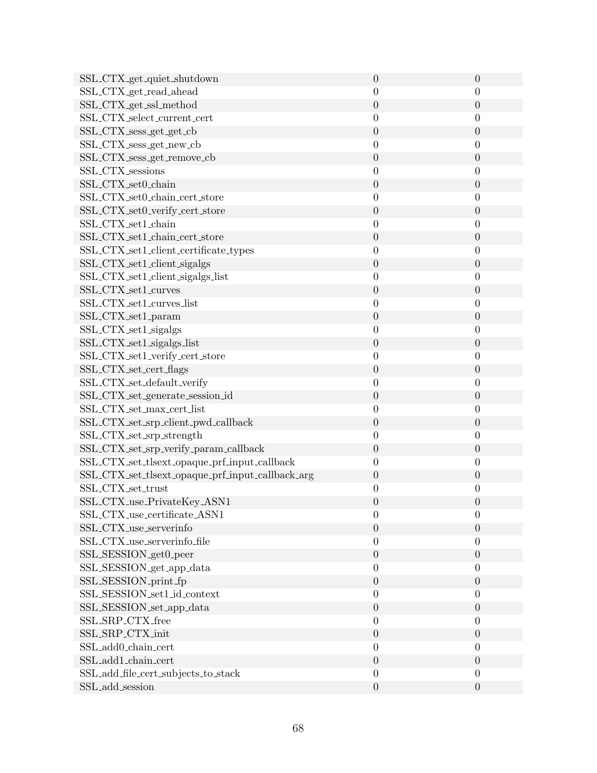| SSL_CTX_get_quiet_shutdown                       | $\boldsymbol{0}$ | $\theta$         |
|--------------------------------------------------|------------------|------------------|
| SSL_CTX_get_read_ahead                           | $\boldsymbol{0}$ | $\theta$         |
| SSL_CTX_get_ssl_method                           | $\boldsymbol{0}$ | $\theta$         |
| SSL_CTX_select_current_cert                      | $\boldsymbol{0}$ | $\overline{0}$   |
| SSL_CTX_sess_get_get_cb                          | $\theta$         | $\theta$         |
| SSL_CTX_sess_get_new_cb                          | $\boldsymbol{0}$ | $\boldsymbol{0}$ |
| SSL_CTX_sess_get_remove_cb                       | $\boldsymbol{0}$ | $\theta$         |
| SSL_CTX_sessions                                 | $\boldsymbol{0}$ | $\theta$         |
| SSL_CTX_set0_chain                               | $\theta$         | $\overline{0}$   |
| SSL_CTX_set0_chain_cert_store                    | $\boldsymbol{0}$ | $\boldsymbol{0}$ |
| SSL_CTX_set0_verify_cert_store                   | $\boldsymbol{0}$ | $\theta$         |
| SSL_CTX_set1_chain                               | $\theta$         | $\theta$         |
| SSL_CTX_set1_chain_cert_store                    | $\theta$         | $\theta$         |
| SSL_CTX_set1_client_certificate_types            | $\boldsymbol{0}$ | $\boldsymbol{0}$ |
| SSL_CTX_set1_client_sigalgs                      | $\boldsymbol{0}$ | $\boldsymbol{0}$ |
| SSL_CTX_set1_client_sigalgs_list                 | $\boldsymbol{0}$ | $\boldsymbol{0}$ |
| SSL_CTX_set1_curves                              | $\theta$         | $\theta$         |
| SSL_CTX_set1_curves_list                         | $\boldsymbol{0}$ | $\boldsymbol{0}$ |
| SSL_CTX_set1_param                               | $\boldsymbol{0}$ | $\boldsymbol{0}$ |
| SSL_CTX_set1_sigalgs                             | $\theta$         | $\boldsymbol{0}$ |
| SSL_CTX_set1_sigalgs_list                        | $\boldsymbol{0}$ | $\boldsymbol{0}$ |
| SSL_CTX_set1_verify_cert_store                   | $\boldsymbol{0}$ | $\boldsymbol{0}$ |
| SSL_CTX_set_cert_flags                           | $\theta$         | $\boldsymbol{0}$ |
| SSL_CTX_set_default_verify                       | $\boldsymbol{0}$ | $\boldsymbol{0}$ |
| SSL_CTX_set_generate_session_id                  | $\theta$         | $\theta$         |
| SSL_CTX_set_max_cert_list                        | $\boldsymbol{0}$ | $\boldsymbol{0}$ |
| SSL_CTX_set_srp_client_pwd_callback              | $\boldsymbol{0}$ | $\boldsymbol{0}$ |
| SSL_CTX_set_srp_strength                         | $\boldsymbol{0}$ | $\theta$         |
| SSL_CTX_set_srp_verify_param_callback            | $\boldsymbol{0}$ | $\boldsymbol{0}$ |
| SSL_CTX_set_tlsext_opaque_prf_input_callback     | $\boldsymbol{0}$ | $\theta$         |
| SSL_CTX_set_tlsext_opaque_prf_input_callback_arg | $\theta$         | $\boldsymbol{0}$ |
| SSL_CTX_set_trust                                | $\theta$         | $\theta$         |
| SSL_CTX_use_PrivateKey_ASN1                      | $\boldsymbol{0}$ | $\boldsymbol{0}$ |
| SSL_CTX_use_certificate_ASN1                     | $\boldsymbol{0}$ | $\boldsymbol{0}$ |
| SSL_CTX_use_serverinfo                           | $\boldsymbol{0}$ | $\boldsymbol{0}$ |
| SSL_CTX_use_serverinfo_file                      | $\boldsymbol{0}$ | $\overline{0}$   |
| SSL_SESSION_get0_peer                            | $\boldsymbol{0}$ | $\boldsymbol{0}$ |
| SSL_SESSION_get_app_data                         | $\boldsymbol{0}$ | $\overline{0}$   |
| SSL_SESSION_print_fp                             | $\boldsymbol{0}$ | $\boldsymbol{0}$ |
| SSL SESSION_set1_id_context                      | $\theta$         | $\overline{0}$   |
| SSL_SESSION_set_app_data                         | $\boldsymbol{0}$ | $\boldsymbol{0}$ |
| SSL_SRP_CTX_free                                 | $\overline{0}$   | $\theta$         |
| SSL_SRP_CTX_init                                 | $\boldsymbol{0}$ | $\boldsymbol{0}$ |
| SSL_add0_chain_cert                              | $\boldsymbol{0}$ | $\overline{0}$   |
| SSL_add1_chain_cert                              | $\boldsymbol{0}$ | $\theta$         |
| SSL_add_file_cert_subjects_to_stack              | $\boldsymbol{0}$ | $\theta$         |
| SSL_add_session                                  | $\boldsymbol{0}$ | $\boldsymbol{0}$ |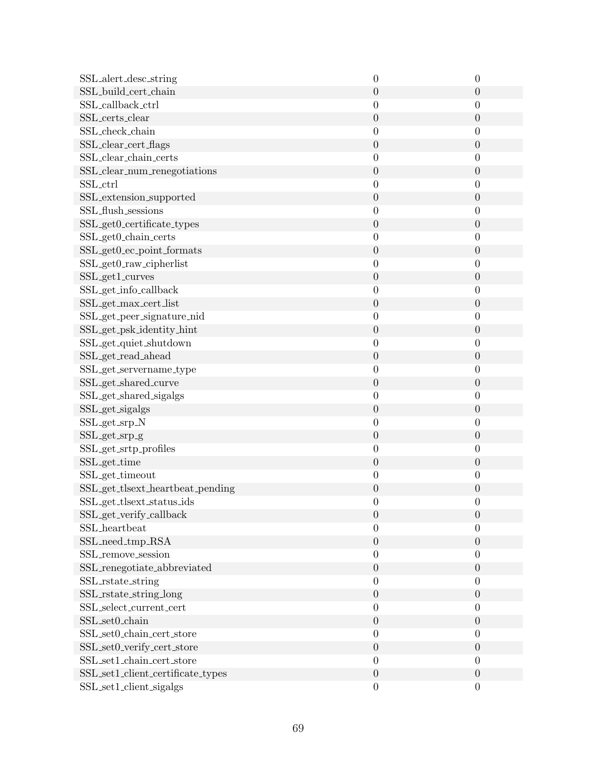| SSL_alert_desc_string                           | $\boldsymbol{0}$ | $\overline{0}$   |
|-------------------------------------------------|------------------|------------------|
| SSL_build_cert_chain                            | $\boldsymbol{0}$ | $\boldsymbol{0}$ |
| SSL_callback_ctrl                               | $\boldsymbol{0}$ | $\boldsymbol{0}$ |
| SSL_certs_clear                                 | $\boldsymbol{0}$ | $\boldsymbol{0}$ |
| SSL_check_chain                                 | $\boldsymbol{0}$ | $\overline{0}$   |
| SSL_clear_cert_flags                            | $\boldsymbol{0}$ | $\boldsymbol{0}$ |
| SSL_clear_chain_certs                           | $\overline{0}$   | $\boldsymbol{0}$ |
| SSL_clear_num_renegotiations                    | $\boldsymbol{0}$ | $\boldsymbol{0}$ |
| SSL_ctrl                                        | $\boldsymbol{0}$ | $\boldsymbol{0}$ |
| SSL_extension_supported                         | $\boldsymbol{0}$ | $\boldsymbol{0}$ |
| SSL_flush_sessions                              | $\boldsymbol{0}$ | $\boldsymbol{0}$ |
| $\operatorname{SSL\_get0\_certificance\_types}$ | $\boldsymbol{0}$ | $\boldsymbol{0}$ |
| SSL_get0_chain_certs                            | $\boldsymbol{0}$ | $\boldsymbol{0}$ |
| SSL_get0_ec_point_formats                       | $\boldsymbol{0}$ | $\boldsymbol{0}$ |
| SSL_get0_raw_cipherlist                         | $\overline{0}$   | $\boldsymbol{0}$ |
| SSL_get1_curves                                 | $\boldsymbol{0}$ | $\boldsymbol{0}$ |
| SSL_get_info_callback                           | $\boldsymbol{0}$ | $\boldsymbol{0}$ |
| SSL_get_max_cert_list                           | $\boldsymbol{0}$ | $\boldsymbol{0}$ |
| SSL_get_peer_signature_nid                      | $\boldsymbol{0}$ | $\boldsymbol{0}$ |
| SSL_get_psk_identity_hint                       | $\boldsymbol{0}$ | $\boldsymbol{0}$ |
| SSL_get_quiet_shutdown                          | $\boldsymbol{0}$ | $\boldsymbol{0}$ |
| SSL_get_read_ahead                              | $\overline{0}$   | $\boldsymbol{0}$ |
| SSL_get_servername_type                         | $\overline{0}$   | $\boldsymbol{0}$ |
| SSL_get_shared_curve                            | $\boldsymbol{0}$ | $\boldsymbol{0}$ |
| SSL_get_shared_sigalgs                          | $\boldsymbol{0}$ | $\boldsymbol{0}$ |
| SSL_get_sigalgs                                 | $\boldsymbol{0}$ | $\boldsymbol{0}$ |
| SSL_get_srp_N                                   | $\boldsymbol{0}$ | 0                |
| SSL_get_srp_g                                   | $\boldsymbol{0}$ | $\boldsymbol{0}$ |
| SSL_get_srtp_profiles                           | $\boldsymbol{0}$ | $\boldsymbol{0}$ |
| SSL <sub>-get-time</sub>                        | $\boldsymbol{0}$ | $\boldsymbol{0}$ |
| SSL_get_timeout                                 | $\boldsymbol{0}$ | $\boldsymbol{0}$ |
| SSL_get_tlsext_heartbeat_pending                | $\boldsymbol{0}$ | $\boldsymbol{0}$ |
| SSL_get_tlsext_status_ids                       | $\boldsymbol{0}$ | $\boldsymbol{0}$ |
| SSL_get_verify_callback                         | $\boldsymbol{0}$ | $\boldsymbol{0}$ |
| SSL_heartbeat                                   | $\boldsymbol{0}$ | $\boldsymbol{0}$ |
| SSL_need_tmp_RSA                                | $\boldsymbol{0}$ | $\boldsymbol{0}$ |
| SSL_remove_session                              | $\boldsymbol{0}$ | $\boldsymbol{0}$ |
| SSL_renegotiate_abbreviated                     | $\boldsymbol{0}$ | $\boldsymbol{0}$ |
| SSL_rstate_string                               | $\boldsymbol{0}$ | $\boldsymbol{0}$ |
| SSL_rstate_string_long                          | $\boldsymbol{0}$ | $\boldsymbol{0}$ |
| SSL_select_current_cert                         | $\boldsymbol{0}$ | $\boldsymbol{0}$ |
| SSL_set0_chain                                  | $\boldsymbol{0}$ | $\boldsymbol{0}$ |
| SSL_set0_chain_cert_store                       | $\boldsymbol{0}$ | $\boldsymbol{0}$ |
| SSL_set0_verify_cert_store                      | $\boldsymbol{0}$ | $\boldsymbol{0}$ |
| SSL_set1_chain_cert_store                       | $\boldsymbol{0}$ | $\boldsymbol{0}$ |
| SSL_set1_client_certificate_types               | $\boldsymbol{0}$ | $\boldsymbol{0}$ |
| SSL_set1_client_sigalgs                         | $\boldsymbol{0}$ | $\boldsymbol{0}$ |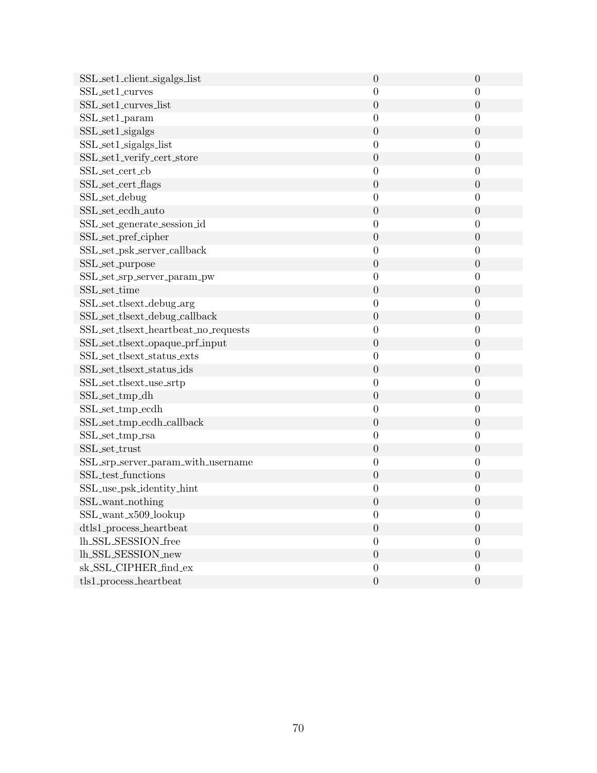| SSL set1_client_sigalgs_list         | $\theta$         | $\theta$         |
|--------------------------------------|------------------|------------------|
| SSL_set1_curves                      | $\boldsymbol{0}$ | $\theta$         |
| SSL_set1_curves_list                 | $\theta$         | $\theta$         |
| SSL_set1_param                       | $\boldsymbol{0}$ | $\boldsymbol{0}$ |
| SSL_set1_sigalgs                     | $\boldsymbol{0}$ | $\theta$         |
| SSL_set1_sigalgs_list                | $\boldsymbol{0}$ | $\boldsymbol{0}$ |
| SSL_set1_verify_cert_store           | $\overline{0}$   | $\theta$         |
| SSL_set_cert_cb                      | $\boldsymbol{0}$ | $\overline{0}$   |
| SSL_set_cert_flags                   | $\theta$         | $\theta$         |
| SSL_set_debug                        | $\boldsymbol{0}$ | $\boldsymbol{0}$ |
| SSL_set_ecdh_auto                    | $\boldsymbol{0}$ | $\theta$         |
| SSL_set_generate_session_id          | $\boldsymbol{0}$ | $\overline{0}$   |
| SSL_set_pref_cipher                  | $\boldsymbol{0}$ | $\theta$         |
| SSL_set_psk_server_callback          | $\boldsymbol{0}$ | $\boldsymbol{0}$ |
| SSL_set_purpose                      | $\boldsymbol{0}$ | $\theta$         |
| SSL_set_srp_server_param_pw          | $\boldsymbol{0}$ | $\theta$         |
| SSL_set_time                         | $\boldsymbol{0}$ | $\theta$         |
| SSL_set_tlsext_debug_arg             | $\boldsymbol{0}$ | $\boldsymbol{0}$ |
| SSL_set_tlsext_debug_callback        | $\boldsymbol{0}$ | $\boldsymbol{0}$ |
| SSL_set_tlsext_heartbeat_no_requests | $\boldsymbol{0}$ | $\theta$         |
| SSL_set_tlsext_opaque_prf_input      | $\boldsymbol{0}$ | $\boldsymbol{0}$ |
| SSL_set_tlsext_status_exts           | $\boldsymbol{0}$ | $\theta$         |
| SSL_set_tlsext_status_ids            | $\theta$         | $\theta$         |
| SSL_set_tlsext_use_srtp              | $\boldsymbol{0}$ | $\overline{0}$   |
| SSL_set_tmp_dh                       | $\theta$         | $\theta$         |
| SSL_set_tmp_ecdh                     | $\boldsymbol{0}$ | $\overline{0}$   |
| SSL_set_tmp_ecdh_callback            | $\boldsymbol{0}$ | $\boldsymbol{0}$ |
| SSL_set_tmp_rsa                      | $\boldsymbol{0}$ | $\overline{0}$   |
| SSL_set_trust                        | $\boldsymbol{0}$ | $\boldsymbol{0}$ |
| SSL_srp_server_param_with_username   | $\boldsymbol{0}$ | $\boldsymbol{0}$ |
| SSL_test_functions                   | $\theta$         | $\theta$         |
| SSL_use_psk_identity_hint            | $\boldsymbol{0}$ | $\boldsymbol{0}$ |
| SSL_want_nothing                     | $\boldsymbol{0}$ | $\theta$         |
| SSL_want_x509_lookup                 | $\boldsymbol{0}$ | $\theta$         |
| dtls1_process_heartbeat              | $\boldsymbol{0}$ | $\theta$         |
| lh_SSL_SESSION_free                  | $\overline{0}$   | $\Omega$         |
| lh_SSL_SESSION_new                   | $\boldsymbol{0}$ | $\boldsymbol{0}$ |
| sk_SSL_CIPHER_find_ex                | $\boldsymbol{0}$ | $\theta$         |
| $tls1$ -process_heartbeat            | $\boldsymbol{0}$ | $\boldsymbol{0}$ |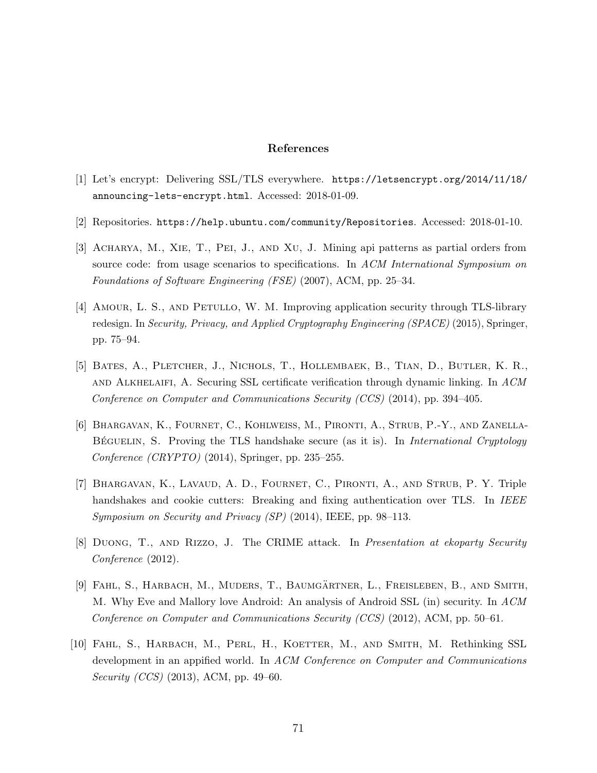## References

- [1] Let's encrypt: Delivering SSL/TLS everywhere. [https://letsencrypt.org/2014/11/18/](https://letsencrypt.org/2014/11/18/announcing-lets-encrypt.html) [announcing-lets-encrypt.html](https://letsencrypt.org/2014/11/18/announcing-lets-encrypt.html). Accessed: 2018-01-09.
- [2] Repositories. <https://help.ubuntu.com/community/Repositories>. Accessed: 2018-01-10.
- [3] Acharya, M., Xie, T., Pei, J., and Xu, J. Mining api patterns as partial orders from source code: from usage scenarios to specifications. In ACM International Symposium on Foundations of Software Engineering (FSE) (2007), ACM, pp. 25–34.
- [4] Amour, L. S., and Petullo, W. M. Improving application security through TLS-library redesign. In Security, Privacy, and Applied Cryptography Engineering (SPACE) (2015), Springer, pp. 75–94.
- [5] Bates, A., Pletcher, J., Nichols, T., Hollembaek, B., Tian, D., Butler, K. R., and Alkhelaifi, A. Securing SSL certificate verification through dynamic linking. In ACM Conference on Computer and Communications Security (CCS) (2014), pp. 394–405.
- [6] Bhargavan, K., Fournet, C., Kohlweiss, M., Pironti, A., Strub, P.-Y., and Zanella-BÉGUELIN, S. Proving the TLS handshake secure (as it is). In *International Cryptology* Conference  $(CRYPTO)$  (2014), Springer, pp. 235–255.
- [7] Bhargavan, K., Lavaud, A. D., Fournet, C., Pironti, A., and Strub, P. Y. Triple handshakes and cookie cutters: Breaking and fixing authentication over TLS. In IEEE Symposium on Security and Privacy (SP) (2014), IEEE, pp. 98–113.
- [8] Duong, T., and Rizzo, J. The CRIME attack. In Presentation at ekoparty Security Conference (2012).
- [9] Fahl, S., Harbach, M., Muders, T., Baumgartner, L., Freisleben, B., and Smith, ¨ M. Why Eve and Mallory love Android: An analysis of Android SSL (in) security. In ACM Conference on Computer and Communications Security (CCS) (2012), ACM, pp. 50–61.
- [10] Fahl, S., Harbach, M., Perl, H., Koetter, M., and Smith, M. Rethinking SSL development in an appified world. In ACM Conference on Computer and Communications Security (CCS) (2013), ACM, pp. 49–60.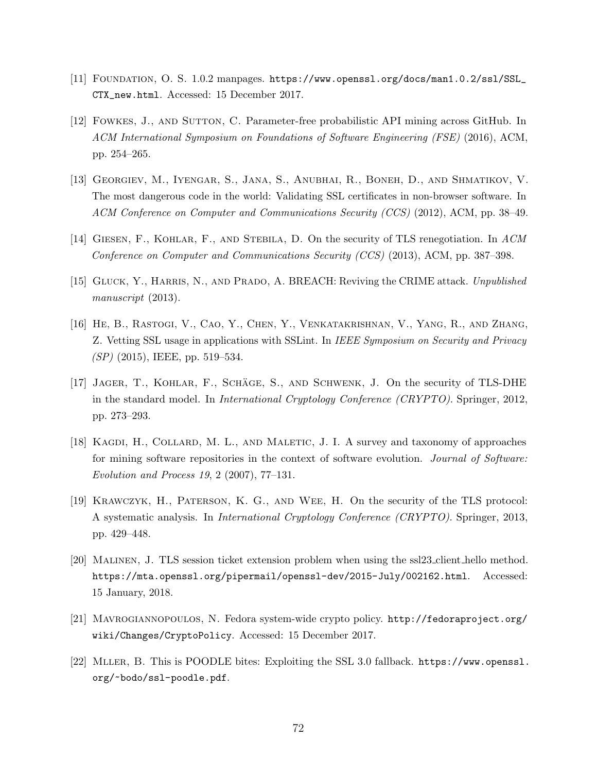- [11] Foundation, O. S. 1.0.2 manpages. [https://www.openssl.org/docs/man1.0.2/ssl/SSL\\_](https://www.openssl.org/docs/man1.0.2/ssl/SSL_CTX_new.html) [CTX\\_new.html](https://www.openssl.org/docs/man1.0.2/ssl/SSL_CTX_new.html). Accessed: 15 December 2017.
- [12] Fowkes, J., and Sutton, C. Parameter-free probabilistic API mining across GitHub. In ACM International Symposium on Foundations of Software Engineering (FSE) (2016), ACM, pp. 254–265.
- [13] Georgiev, M., Iyengar, S., Jana, S., Anubhai, R., Boneh, D., and Shmatikov, V. The most dangerous code in the world: Validating SSL certificates in non-browser software. In ACM Conference on Computer and Communications Security (CCS) (2012), ACM, pp. 38–49.
- [14] Giesen, F., Kohlar, F., and Stebila, D. On the security of TLS renegotiation. In ACM Conference on Computer and Communications Security (CCS) (2013), ACM, pp. 387–398.
- [15] GLUCK, Y., HARRIS, N., AND PRADO, A. BREACH: Reviving the CRIME attack. Unpublished manuscript (2013).
- [16] He, B., Rastogi, V., Cao, Y., Chen, Y., Venkatakrishnan, V., Yang, R., and Zhang, Z. Vetting SSL usage in applications with SSLint. In IEEE Symposium on Security and Privacy  $(SP)$  (2015), IEEE, pp. 519–534.
- [17] JAGER, T., KOHLAR, F., SCHÄGE, S., AND SCHWENK, J. On the security of TLS-DHE in the standard model. In *International Cryptology Conference (CRYPTO)*. Springer, 2012, pp. 273–293.
- [18] KAGDI, H., COLLARD, M. L., AND MALETIC, J. I. A survey and taxonomy of approaches for mining software repositories in the context of software evolution. Journal of Software: Evolution and Process 19, 2 (2007), 77–131.
- [19] Krawczyk, H., Paterson, K. G., and Wee, H. On the security of the TLS protocol: A systematic analysis. In International Cryptology Conference (CRYPTO). Springer, 2013, pp. 429–448.
- [20] Malinen, J. TLS session ticket extension problem when using the ssl23 client hello method. <https://mta.openssl.org/pipermail/openssl-dev/2015-July/002162.html>. Accessed: 15 January, 2018.
- [21] Mavrogiannopoulos, N. Fedora system-wide crypto policy. [http://fedoraproject.org/](http://fedoraproject.org/wiki/Changes/CryptoPolicy) [wiki/Changes/CryptoPolicy](http://fedoraproject.org/wiki/Changes/CryptoPolicy). Accessed: 15 December 2017.
- [22] Mller, B. This is POODLE bites: Exploiting the SSL 3.0 fallback. [https://www.openssl.](https://www.openssl.org/~bodo/ssl-poodle.pdf) [org/~bodo/ssl-poodle.pdf](https://www.openssl.org/~bodo/ssl-poodle.pdf).